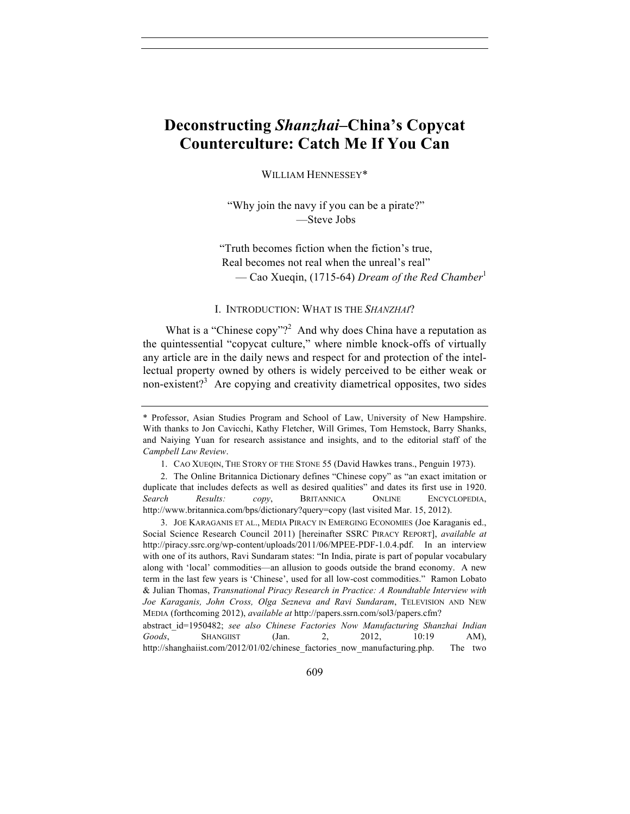# **Deconstructing** *Shanzhai***–China's Copycat Counterculture: Catch Me If You Can**

WILLIAM HENNESSEY\*

"Why join the navy if you can be a pirate?" —Steve Jobs

"Truth becomes fiction when the fiction's true, Real becomes not real when the unreal's real" — Cao Xueqin, (1715-64) *Dream of the Red Chamber*<sup>1</sup>

#### I. INTRODUCTION: WHAT IS THE *SHANZHAI*?

What is a "Chinese copy"?<sup>2</sup> And why does China have a reputation as the quintessential "copycat culture," where nimble knock-offs of virtually any article are in the daily news and respect for and protection of the intellectual property owned by others is widely perceived to be either weak or non-existent?<sup>3</sup> Are copying and creativity diametrical opposites, two sides

 3. JOE KARAGANIS ET AL., MEDIA PIRACY IN EMERGING ECONOMIES (Joe Karaganis ed., Social Science Research Council 2011) [hereinafter SSRC PIRACY REPORT], *available at* http://piracy.ssrc.org/wp-content/uploads/2011/06/MPEE-PDF-1.0.4.pdf. In an interview with one of its authors, Ravi Sundaram states: "In India, pirate is part of popular vocabulary along with 'local' commodities—an allusion to goods outside the brand economy. A new term in the last few years is 'Chinese', used for all low-cost commodities." Ramon Lobato & Julian Thomas, *Transnational Piracy Research in Practice: A Roundtable Interview with Joe Karaganis, John Cross, Olga Sezneva and Ravi Sundaram*, TELEVISION AND NEW MEDIA (forthcoming 2012), *available at* http://papers.ssrn.com/sol3/papers.cfm?

<sup>\*</sup> Professor, Asian Studies Program and School of Law, University of New Hampshire. With thanks to Jon Cavicchi, Kathy Fletcher, Will Grimes, Tom Hemstock, Barry Shanks, and Naiying Yuan for research assistance and insights, and to the editorial staff of the *Campbell Law Review*.

 <sup>1.</sup> CAO XUEQIN, THE STORY OF THE STONE 55 (David Hawkes trans., Penguin 1973).

 <sup>2.</sup> The Online Britannica Dictionary defines "Chinese copy" as "an exact imitation or duplicate that includes defects as well as desired qualities" and dates its first use in 1920. *Search Results: copy*, BRITANNICA ONLINE ENCYCLOPEDIA, http://www.britannica.com/bps/dictionary?query=copy (last visited Mar. 15, 2012).

abstract\_id=1950482; *see also Chinese Factories Now Manufacturing Shanzhai Indian Goods*, SHANGIIST (Jan. 2, 2012, 10:19 AM), http://shanghaiist.com/2012/01/02/chinese factories now manufacturing.php. The two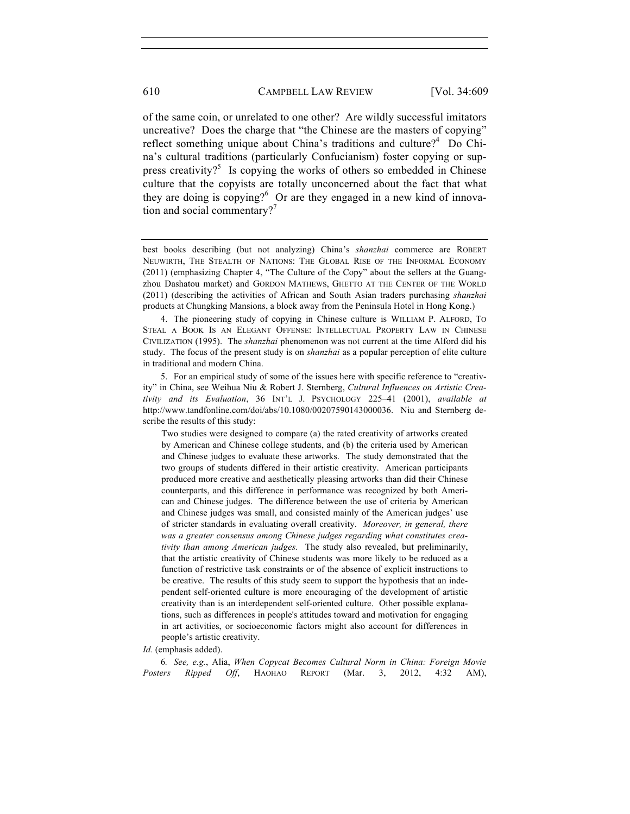of the same coin, or unrelated to one other? Are wildly successful imitators uncreative? Does the charge that "the Chinese are the masters of copying" reflect something unique about China's traditions and culture?<sup>4</sup> Do China's cultural traditions (particularly Confucianism) foster copying or suppress creativity?<sup>5</sup> Is copying the works of others so embedded in Chinese culture that the copyists are totally unconcerned about the fact that what they are doing is copying? $6$  Or are they engaged in a new kind of innovation and social commentary?<sup>7</sup>

 4. The pioneering study of copying in Chinese culture is WILLIAM P. ALFORD, TO STEAL A BOOK IS AN ELEGANT OFFENSE: INTELLECTUAL PROPERTY LAW IN CHINESE CIVILIZATION (1995). The *shanzhai* phenomenon was not current at the time Alford did his study. The focus of the present study is on *shanzhai* as a popular perception of elite culture in traditional and modern China.

 5. For an empirical study of some of the issues here with specific reference to "creativity" in China, see Weihua Niu & Robert J. Sternberg, *Cultural Influences on Artistic Creativity and its Evaluation*, 36 INT'L J. PSYCHOLOGY 225–41 (2001), *available at* http://www.tandfonline.com/doi/abs/10.1080/00207590143000036. Niu and Sternberg describe the results of this study:

Two studies were designed to compare (a) the rated creativity of artworks created by American and Chinese college students, and (b) the criteria used by American and Chinese judges to evaluate these artworks. The study demonstrated that the two groups of students differed in their artistic creativity. American participants produced more creative and aesthetically pleasing artworks than did their Chinese counterparts, and this difference in performance was recognized by both American and Chinese judges. The difference between the use of criteria by American and Chinese judges was small, and consisted mainly of the American judges' use of stricter standards in evaluating overall creativity. *Moreover, in general, there was a greater consensus among Chinese judges regarding what constitutes creativity than among American judges.* The study also revealed, but preliminarily, that the artistic creativity of Chinese students was more likely to be reduced as a function of restrictive task constraints or of the absence of explicit instructions to be creative. The results of this study seem to support the hypothesis that an independent self-oriented culture is more encouraging of the development of artistic creativity than is an interdependent self-oriented culture. Other possible explanations, such as differences in people's attitudes toward and motivation for engaging in art activities, or socioeconomic factors might also account for differences in people's artistic creativity.

#### *Id.* (emphasis added).

6*. See, e.g.*, Alia, *When Copycat Becomes Cultural Norm in China: Foreign Movie Posters Ripped Off*, HAOHAO REPORT (Mar. 3, 2012, 4:32 AM),

best books describing (but not analyzing) China's *shanzhai* commerce are ROBERT NEUWIRTH, THE STEALTH OF NATIONS: THE GLOBAL RISE OF THE INFORMAL ECONOMY (2011) (emphasizing Chapter 4, "The Culture of the Copy" about the sellers at the Guangzhou Dashatou market) and GORDON MATHEWS, GHETTO AT THE CENTER OF THE WORLD (2011) (describing the activities of African and South Asian traders purchasing *shanzhai* products at Chungking Mansions, a block away from the Peninsula Hotel in Hong Kong.)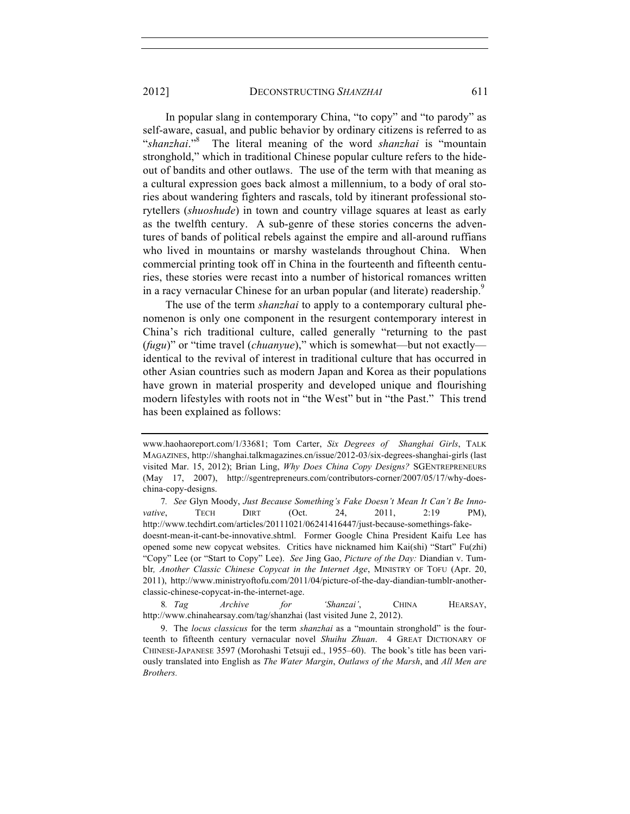#### 2012] DECONSTRUCTING *SHANZHAI* 611

In popular slang in contemporary China, "to copy" and "to parody" as self-aware, casual, and public behavior by ordinary citizens is referred to as "*shanzhai*."<sup>8</sup> The literal meaning of the word *shanzhai* is "mountain stronghold," which in traditional Chinese popular culture refers to the hideout of bandits and other outlaws. The use of the term with that meaning as a cultural expression goes back almost a millennium, to a body of oral stories about wandering fighters and rascals, told by itinerant professional storytellers (*shuoshude*) in town and country village squares at least as early as the twelfth century. A sub-genre of these stories concerns the adventures of bands of political rebels against the empire and all-around ruffians who lived in mountains or marshy wastelands throughout China. When commercial printing took off in China in the fourteenth and fifteenth centuries, these stories were recast into a number of historical romances written in a racy vernacular Chinese for an urban popular (and literate) readership.<sup>9</sup>

The use of the term *shanzhai* to apply to a contemporary cultural phenomenon is only one component in the resurgent contemporary interest in China's rich traditional culture, called generally "returning to the past (*fugu*)" or "time travel (*chuanyue*)," which is somewhat—but not exactly identical to the revival of interest in traditional culture that has occurred in other Asian countries such as modern Japan and Korea as their populations have grown in material prosperity and developed unique and flourishing modern lifestyles with roots not in "the West" but in "the Past." This trend has been explained as follows:

7*. See* Glyn Moody, *Just Because Something's Fake Doesn't Mean It Can't Be Innovative*, TECH DIRT (Oct. 24, 2011, 2:19 PM), http://www.techdirt.com/articles/20111021/06241416447/just-because-somethings-fakedoesnt-mean-it-cant-be-innovative.shtml. Former Google China President Kaifu Lee has opened some new copycat websites. Critics have nicknamed him Kai(shi) "Start" Fu(zhi) "Copy" Lee (or "Start to Copy" Lee). *See* Jing Gao, *Picture of the Day:* Diandian v. Tumblr*, Another Classic Chinese Copycat in the Internet Age*, MINISTRY OF TOFU (Apr. 20, 2011), http://www.ministryoftofu.com/2011/04/picture-of-the-day-diandian-tumblr-anotherclassic-chinese-copycat-in-the-internet-age.

8*. Tag Archive for 'Shanzai'*, CHINA HEARSAY, http://www.chinahearsay.com/tag/shanzhai (last visited June 2, 2012).

www.haohaoreport.com/1/33681; Tom Carter, *Six Degrees of Shanghai Girls*, TALK MAGAZINES, http://shanghai.talkmagazines.cn/issue/2012-03/six-degrees-shanghai-girls (last visited Mar. 15, 2012); Brian Ling, *Why Does China Copy Designs?* SGENTREPRENEURS (May 17, 2007), http://sgentrepreneurs.com/contributors-corner/2007/05/17/why-doeschina-copy-designs.

 <sup>9.</sup> The *locus classicus* for the term *shanzhai* as a "mountain stronghold" is the fourteenth to fifteenth century vernacular novel *Shuihu Zhuan*. 4 GREAT DICTIONARY OF CHINESE-JAPANESE 3597 (Morohashi Tetsuji ed., 1955–60). The book's title has been variously translated into English as *The Water Margin*, *Outlaws of the Marsh*, and *All Men are Brothers.*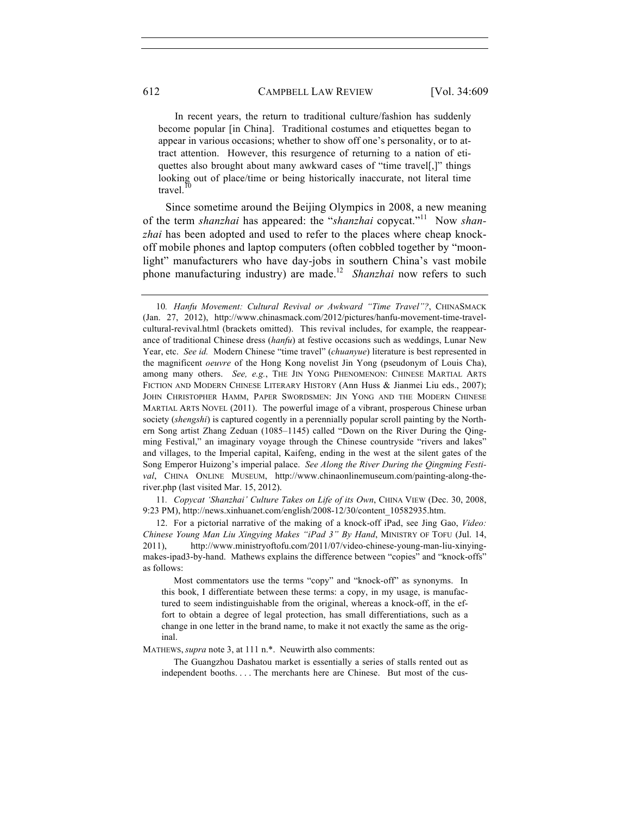In recent years, the return to traditional culture/fashion has suddenly become popular [in China]. Traditional costumes and etiquettes began to appear in various occasions; whether to show off one's personality, or to attract attention. However, this resurgence of returning to a nation of etiquettes also brought about many awkward cases of "time travel[,]" things looking out of place/time or being historically inaccurate, not literal time travel.

Since sometime around the Beijing Olympics in 2008, a new meaning of the term *shanzhai* has appeared: the "*shanzhai* copycat."11 Now *shanzhai* has been adopted and used to refer to the places where cheap knockoff mobile phones and laptop computers (often cobbled together by "moonlight" manufacturers who have day-jobs in southern China's vast mobile phone manufacturing industry) are made.<sup>12</sup> *Shanzhai* now refers to such

11*. Copycat 'Shanzhai' Culture Takes on Life of its Own*, CHINA VIEW (Dec. 30, 2008, 9:23 PM), http://news.xinhuanet.com/english/2008-12/30/content\_10582935.htm.

12. For a pictorial narrative of the making of a knock-off iPad, see Jing Gao, *Video: Chinese Young Man Liu Xingying Makes "iPad 3" By Hand*, MINISTRY OF TOFU (Jul. 14, 2011), http://www.ministryoftofu.com/2011/07/video-chinese-young-man-liu-xinyingmakes-ipad3-by-hand.Mathews explains the difference between "copies" and "knock-offs" as follows:

 Most commentators use the terms "copy" and "knock-off" as synonyms. In this book, I differentiate between these terms: a copy, in my usage, is manufactured to seem indistinguishable from the original, whereas a knock-off, in the effort to obtain a degree of legal protection, has small differentiations, such as a change in one letter in the brand name, to make it not exactly the same as the original.

MATHEWS, *supra* note 3, at 111 n.\*. Neuwirth also comments:

 The Guangzhou Dashatou market is essentially a series of stalls rented out as independent booths. . . . The merchants here are Chinese. But most of the cus-

<sup>10</sup>*. Hanfu Movement: Cultural Revival or Awkward "Time Travel"?*, CHINASMACK (Jan. 27, 2012), http://www.chinasmack.com/2012/pictures/hanfu-movement-time-travelcultural-revival.html (brackets omitted). This revival includes, for example, the reappearance of traditional Chinese dress (*hanfu*) at festive occasions such as weddings, Lunar New Year, etc. *See id.* Modern Chinese "time travel" (*chuanyue*) literature is best represented in the magnificent *oeuvre* of the Hong Kong novelist Jin Yong (pseudonym of Louis Cha), among many others. *See, e.g.*, THE JIN YONG PHENOMENON: CHINESE MARTIAL ARTS FICTION AND MODERN CHINESE LITERARY HISTORY (Ann Huss & Jianmei Liu eds., 2007); JOHN CHRISTOPHER HAMM, PAPER SWORDSMEN: JIN YONG AND THE MODERN CHINESE MARTIAL ARTS NOVEL (2011). The powerful image of a vibrant, prosperous Chinese urban society (*shengshi*) is captured cogently in a perennially popular scroll painting by the Northern Song artist Zhang Zeduan (1085–1145) called "Down on the River During the Qingming Festival," an imaginary voyage through the Chinese countryside "rivers and lakes" and villages, to the Imperial capital, Kaifeng, ending in the west at the silent gates of the Song Emperor Huizong's imperial palace. *See Along the River During the Qingming Festival*, CHINA ONLINE MUSEUM, http://www.chinaonlinemuseum.com/painting-along-theriver.php (last visited Mar. 15, 2012).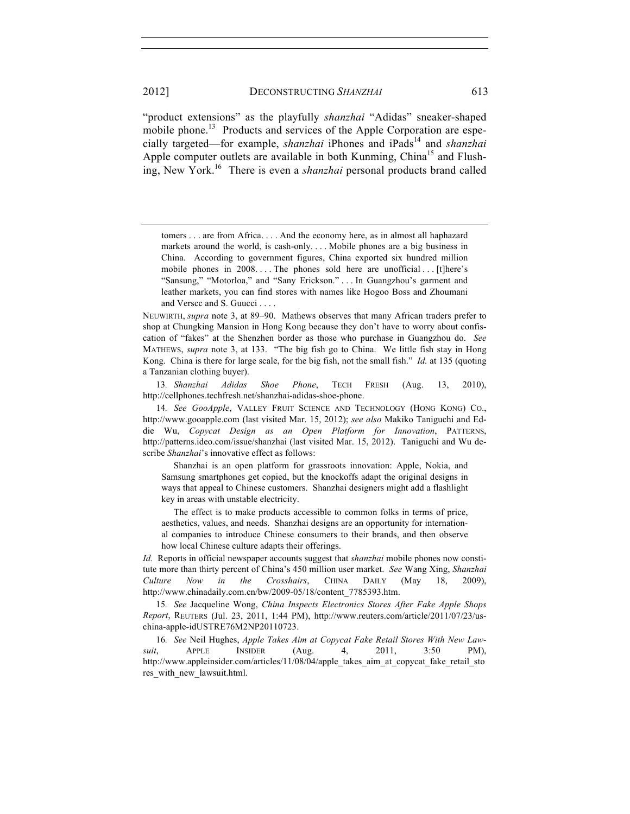"product extensions" as the playfully *shanzhai* "Adidas" sneaker-shaped mobile phone.<sup>13</sup> Products and services of the Apple Corporation are especially targeted—for example, *shanzhai* iPhones and iPads<sup>14</sup> and *shanzhai* Apple computer outlets are available in both Kunming, China<sup>15</sup> and Flushing, New York.16 There is even a *shanzhai* personal products brand called

NEUWIRTH, *supra* note 3, at 89–90. Mathews observes that many African traders prefer to shop at Chungking Mansion in Hong Kong because they don't have to worry about confiscation of "fakes" at the Shenzhen border as those who purchase in Guangzhou do. *See* MATHEWS, *supra* note 3, at 133. "The big fish go to China. We little fish stay in Hong Kong. China is there for large scale, for the big fish, not the small fish." *Id.* at 135 (quoting a Tanzanian clothing buyer).

13*. Shanzhai Adidas Shoe Phone*, TECH FRESH (Aug. 13, 2010), http://cellphones.techfresh.net/shanzhai-adidas-shoe-phone.

14*. See GooApple*, VALLEY FRUIT SCIENCE AND TECHNOLOGY (HONG KONG) CO., http://www.gooapple.com (last visited Mar. 15, 2012); *see also* Makiko Taniguchi and Eddie Wu, *Copycat Design as an Open Platform for Innovation*, PATTERNS, http://patterns.ideo.com/issue/shanzhai (last visited Mar. 15, 2012). Taniguchi and Wu describe *Shanzhai*'s innovative effect as follows:

 Shanzhai is an open platform for grassroots innovation: Apple, Nokia, and Samsung smartphones get copied, but the knockoffs adapt the original designs in ways that appeal to Chinese customers. Shanzhai designers might add a flashlight key in areas with unstable electricity.

 The effect is to make products accessible to common folks in terms of price, aesthetics, values, and needs. Shanzhai designs are an opportunity for international companies to introduce Chinese consumers to their brands, and then observe how local Chinese culture adapts their offerings.

*Id.* Reports in official newspaper accounts suggest that *shanzhai* mobile phones now constitute more than thirty percent of China's 450 million user market. *See* Wang Xing, *Shanzhai Culture Now in the Crosshairs*, CHINA DAILY (May 18, 2009), http://www.chinadaily.com.cn/bw/2009-05/18/content\_7785393.htm.

15*. See* Jacqueline Wong, *China Inspects Electronics Stores After Fake Apple Shops Report*, REUTERS (Jul. 23, 2011, 1:44 PM), http://www.reuters.com/article/2011/07/23/uschina-apple-idUSTRE76M2NP20110723.

16*. See* Neil Hughes, *Apple Takes Aim at Copycat Fake Retail Stores With New Lawsuit*, APPLE INSIDER (Aug. 4, 2011, 3:50 PM), http://www.appleinsider.com/articles/11/08/04/apple takes aim at copycat fake retail sto res\_with\_new\_lawsuit.html.

tomers . . . are from Africa. . . . And the economy here, as in almost all haphazard markets around the world, is cash-only. . . . Mobile phones are a big business in China. According to government figures, China exported six hundred million mobile phones in 2008... The phones sold here are unofficial ... [t]here's "Sansung," "Motorloa," and "Sany Erickson." . . . In Guangzhou's garment and leather markets, you can find stores with names like Hogoo Boss and Zhoumani and Verscc and S. Guucci . . . .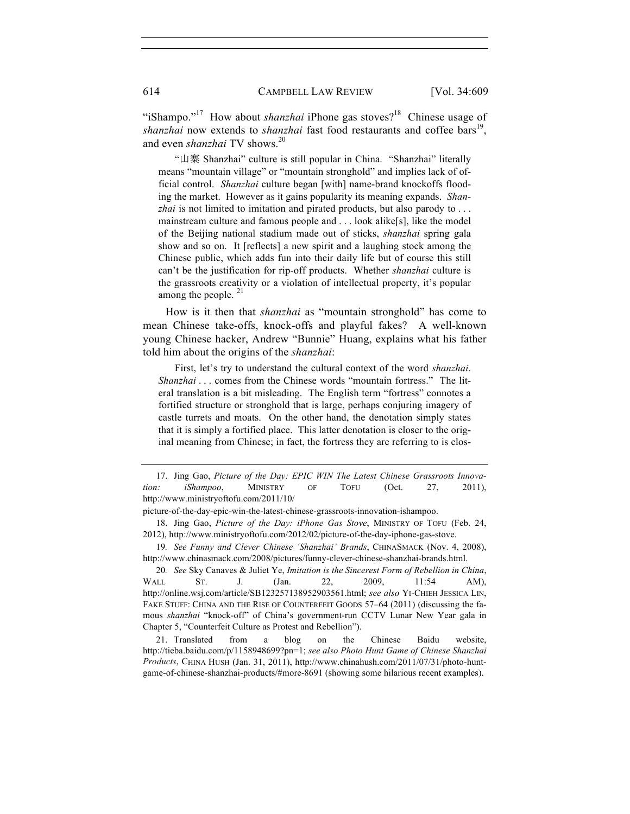"iShampo."<sup>17</sup> How about *shanzhai* iPhone gas stoves?<sup>18</sup> Chinese usage of *shanzhai* now extends to *shanzhai* fast food restaurants and coffee bars<sup>19</sup>, and even *shanzhai* TV shows.<sup>20</sup>

 "山寨 Shanzhai" culture is still popular in China. "Shanzhai" literally means "mountain village" or "mountain stronghold" and implies lack of official control. *Shanzhai* culture began [with] name-brand knockoffs flooding the market. However as it gains popularity its meaning expands. *Shanzhai* is not limited to imitation and pirated products, but also parody to . . . mainstream culture and famous people and . . . look alike[s], like the model of the Beijing national stadium made out of sticks, *shanzhai* spring gala show and so on. It [reflects] a new spirit and a laughing stock among the Chinese public, which adds fun into their daily life but of course this still can't be the justification for rip-off products. Whether *shanzhai* culture is the grassroots creativity or a violation of intellectual property, it's popular among the people.  $21$ 

How is it then that *shanzhai* as "mountain stronghold" has come to mean Chinese take-offs, knock-offs and playful fakes? A well-known young Chinese hacker, Andrew "Bunnie" Huang, explains what his father told him about the origins of the *shanzhai*:

 First, let's try to understand the cultural context of the word *shanzhai*. *Shanzhai* . . . comes from the Chinese words "mountain fortress." The literal translation is a bit misleading. The English term "fortress" connotes a fortified structure or stronghold that is large, perhaps conjuring imagery of castle turrets and moats. On the other hand, the denotation simply states that it is simply a fortified place. This latter denotation is closer to the original meaning from Chinese; in fact, the fortress they are referring to is clos-

19*. See Funny and Clever Chinese 'Shanzhai' Brands*, CHINASMACK (Nov. 4, 2008), http://www.chinasmack.com/2008/pictures/funny-clever-chinese-shanzhai-brands.html.

20*. See* Sky Canaves & Juliet Ye, *Imitation is the Sincerest Form of Rebellion in China*, WALL ST. J. (Jan. 22, 2009, 11:54 AM), http://online.wsj.com/article/SB123257138952903561.html; *see also* YI-CHIEH JESSICA LIN, FAKE STUFF: CHINA AND THE RISE OF COUNTERFEIT GOODS 57–64 (2011) (discussing the famous *shanzhai* "knock-off" of China's government-run CCTV Lunar New Year gala in Chapter 5, "Counterfeit Culture as Protest and Rebellion").

21. Translated from a blog on the Chinese Baidu website, http://tieba.baidu.com/p/1158948699?pn=1; *see also Photo Hunt Game of Chinese Shanzhai Products*, CHINA HUSH (Jan. 31, 2011), http://www.chinahush.com/2011/07/31/photo-huntgame-of-chinese-shanzhai-products/#more-8691 (showing some hilarious recent examples).

<sup>17.</sup> Jing Gao, *Picture of the Day: EPIC WIN The Latest Chinese Grassroots Innovation: iShampoo*, MINISTRY OF TOFU (Oct. 27, 2011), http://www.ministryoftofu.com/2011/10/

picture-of-the-day-epic-win-the-latest-chinese-grassroots-innovation-ishampoo.

<sup>18.</sup> Jing Gao, *Picture of the Day: iPhone Gas Stove*, MINISTRY OF TOFU (Feb. 24, 2012), http://www.ministryoftofu.com/2012/02/picture-of-the-day-iphone-gas-stove.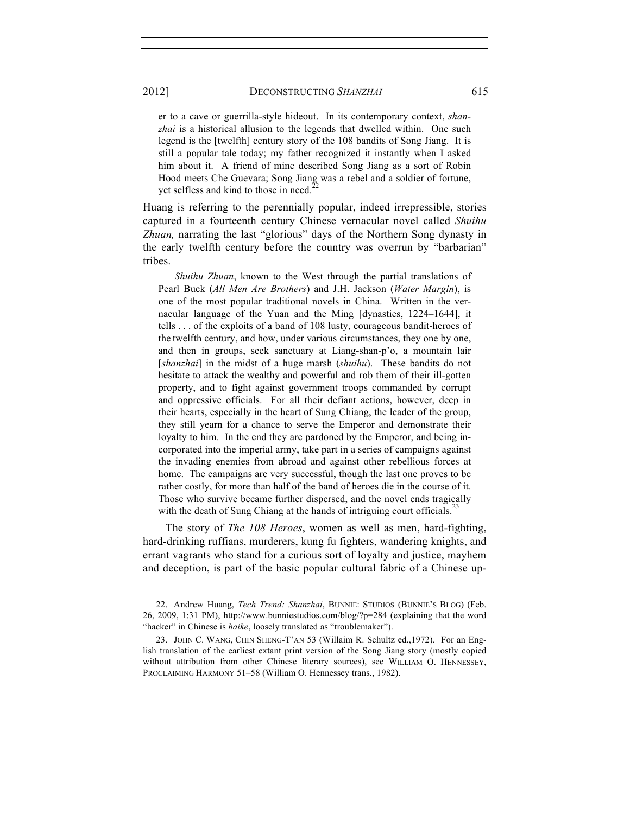er to a cave or guerrilla-style hideout. In its contemporary context, *shanzhai* is a historical allusion to the legends that dwelled within. One such legend is the [twelfth] century story of the 108 bandits of Song Jiang. It is still a popular tale today; my father recognized it instantly when I asked him about it. A friend of mine described Song Jiang as a sort of Robin Hood meets Che Guevara; Song Jiang was a rebel and a soldier of fortune, yet selfless and kind to those in need.<sup>2</sup>

Huang is referring to the perennially popular, indeed irrepressible, stories captured in a fourteenth century Chinese vernacular novel called *Shuihu Zhuan,* narrating the last "glorious" days of the Northern Song dynasty in the early twelfth century before the country was overrun by "barbarian" tribes.

 *Shuihu Zhuan*, known to the West through the partial translations of Pearl Buck (*All Men Are Brothers*) and J.H. Jackson (*Water Margin*), is one of the most popular traditional novels in China. Written in the vernacular language of the Yuan and the Ming [dynasties, 1224–1644], it tells . . . of the exploits of a band of 108 lusty, courageous bandit-heroes of the twelfth century, and how, under various circumstances, they one by one, and then in groups, seek sanctuary at Liang-shan-p'o, a mountain lair [*shanzhai*] in the midst of a huge marsh (*shuihu*). These bandits do not hesitate to attack the wealthy and powerful and rob them of their ill-gotten property, and to fight against government troops commanded by corrupt and oppressive officials. For all their defiant actions, however, deep in their hearts, especially in the heart of Sung Chiang, the leader of the group, they still yearn for a chance to serve the Emperor and demonstrate their loyalty to him. In the end they are pardoned by the Emperor, and being incorporated into the imperial army, take part in a series of campaigns against the invading enemies from abroad and against other rebellious forces at home. The campaigns are very successful, though the last one proves to be rather costly, for more than half of the band of heroes die in the course of it. Those who survive became further dispersed, and the novel ends tragically with the death of Sung Chiang at the hands of intriguing court officials.<sup>23</sup>

The story of *The 108 Heroes*, women as well as men, hard-fighting, hard-drinking ruffians, murderers, kung fu fighters, wandering knights, and errant vagrants who stand for a curious sort of loyalty and justice, mayhem and deception, is part of the basic popular cultural fabric of a Chinese up-

<sup>22.</sup> Andrew Huang, *Tech Trend: Shanzhai*, BUNNIE: STUDIOS (BUNNIE'S BLOG) (Feb. 26, 2009, 1:31 PM), http://www.bunniestudios.com/blog/?p=284 (explaining that the word "hacker" in Chinese is *haike*, loosely translated as "troublemaker").

<sup>23.</sup> JOHN C. WANG, CHIN SHENG-T'AN 53 (Willaim R. Schultz ed.,1972). For an English translation of the earliest extant print version of the Song Jiang story (mostly copied without attribution from other Chinese literary sources), see WILLIAM O. HENNESSEY, PROCLAIMING HARMONY 51–58 (William O. Hennessey trans., 1982).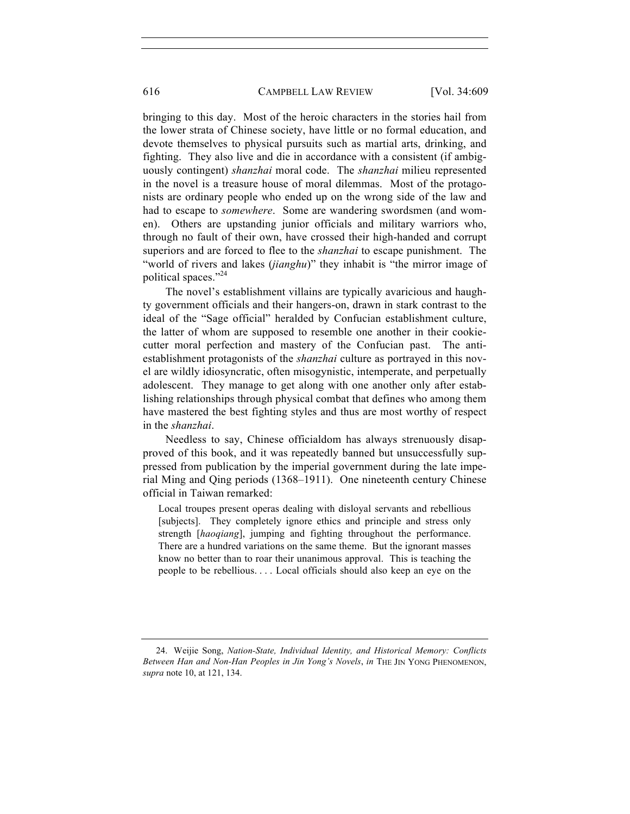### 616 CAMPBELL LAW REVIEW [Vol. 34:609

bringing to this day. Most of the heroic characters in the stories hail from the lower strata of Chinese society, have little or no formal education, and devote themselves to physical pursuits such as martial arts, drinking, and fighting. They also live and die in accordance with a consistent (if ambiguously contingent) *shanzhai* moral code. The *shanzhai* milieu represented in the novel is a treasure house of moral dilemmas. Most of the protagonists are ordinary people who ended up on the wrong side of the law and had to escape to *somewhere*. Some are wandering swordsmen (and women). Others are upstanding junior officials and military warriors who, through no fault of their own, have crossed their high-handed and corrupt superiors and are forced to flee to the *shanzhai* to escape punishment. The "world of rivers and lakes (*jianghu*)" they inhabit is "the mirror image of political spaces."<sup>24</sup>

The novel's establishment villains are typically avaricious and haughty government officials and their hangers-on, drawn in stark contrast to the ideal of the "Sage official" heralded by Confucian establishment culture, the latter of whom are supposed to resemble one another in their cookiecutter moral perfection and mastery of the Confucian past. The antiestablishment protagonists of the *shanzhai* culture as portrayed in this novel are wildly idiosyncratic, often misogynistic, intemperate, and perpetually adolescent. They manage to get along with one another only after establishing relationships through physical combat that defines who among them have mastered the best fighting styles and thus are most worthy of respect in the *shanzhai*.

Needless to say, Chinese officialdom has always strenuously disapproved of this book, and it was repeatedly banned but unsuccessfully suppressed from publication by the imperial government during the late imperial Ming and Qing periods (1368–1911). One nineteenth century Chinese official in Taiwan remarked:

Local troupes present operas dealing with disloyal servants and rebellious [subjects]. They completely ignore ethics and principle and stress only strength [*haoqiang*], jumping and fighting throughout the performance. There are a hundred variations on the same theme. But the ignorant masses know no better than to roar their unanimous approval. This is teaching the people to be rebellious. . . . Local officials should also keep an eye on the

<sup>24.</sup> Weijie Song, *Nation-State, Individual Identity, and Historical Memory: Conflicts Between Han and Non-Han Peoples in Jin Yong's Novels*, *in* THE JIN YONG PHENOMENON, *supra* note 10, at 121, 134.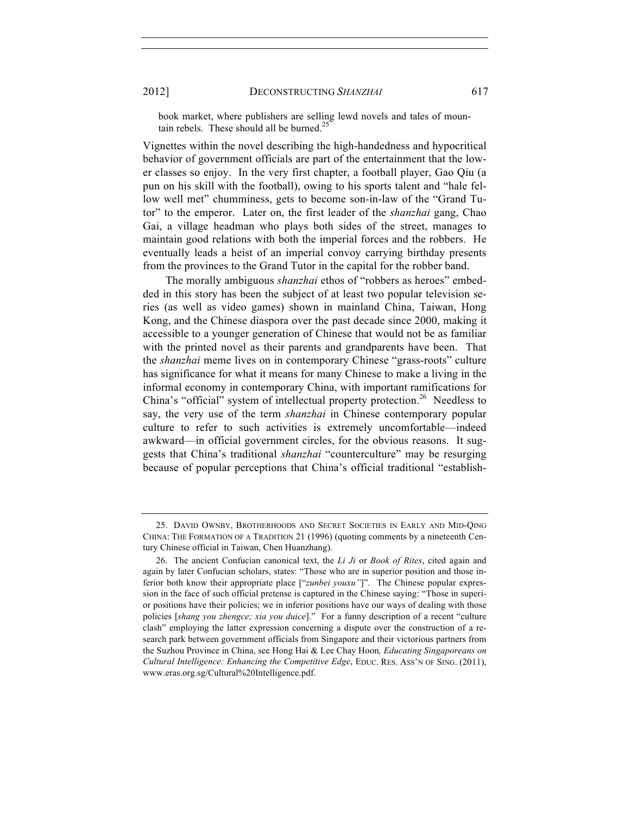book market, where publishers are selling lewd novels and tales of mountain rebels. These should all be burned.<sup>25</sup>

Vignettes within the novel describing the high-handedness and hypocritical behavior of government officials are part of the entertainment that the lower classes so enjoy. In the very first chapter, a football player, Gao Qiu (a pun on his skill with the football), owing to his sports talent and "hale fellow well met" chumminess, gets to become son-in-law of the "Grand Tutor" to the emperor. Later on, the first leader of the *shanzhai* gang, Chao Gai, a village headman who plays both sides of the street, manages to maintain good relations with both the imperial forces and the robbers. He eventually leads a heist of an imperial convoy carrying birthday presents from the provinces to the Grand Tutor in the capital for the robber band.

The morally ambiguous *shanzhai* ethos of "robbers as heroes" embedded in this story has been the subject of at least two popular television series (as well as video games) shown in mainland China, Taiwan, Hong Kong, and the Chinese diaspora over the past decade since 2000, making it accessible to a younger generation of Chinese that would not be as familiar with the printed novel as their parents and grandparents have been. That the *shanzhai* meme lives on in contemporary Chinese "grass-roots" culture has significance for what it means for many Chinese to make a living in the informal economy in contemporary China, with important ramifications for China's "official" system of intellectual property protection.<sup>26</sup> Needless to say, the very use of the term *shanzhai* in Chinese contemporary popular culture to refer to such activities is extremely uncomfortable—indeed awkward—in official government circles, for the obvious reasons. It suggests that China's traditional *shanzhai* "counterculture" may be resurging because of popular perceptions that China's official traditional "establish-

<sup>25.</sup> DAVID OWNBY, BROTHERHOODS AND SECRET SOCIETIES IN EARLY AND MID-QING CHINA: THE FORMATION OF A TRADITION 21 (1996) (quoting comments by a nineteenth Century Chinese official in Taiwan, Chen Huanzhang).

<sup>26.</sup> The ancient Confucian canonical text, the *Li Ji* or *Book of Rites*, cited again and again by later Confucian scholars, states: "Those who are in superior position and those inferior both know their appropriate place ["*zunbei youxu"*]". The Chinese popular expression in the face of such official pretense is captured in the Chinese saying: "Those in superior positions have their policies; we in inferior positions have our ways of dealing with those policies [*shang you zhengce; xia you duice*]." For a funny description of a recent "culture clash" employing the latter expression concerning a dispute over the construction of a research park between government officials from Singapore and their victorious partners from the Suzhou Province in China, see Hong Hai & Lee Chay Hoon*, Educating Singaporeans on Cultural Intelligence: Enhancing the Competitive Edge*, EDUC. RES. ASS'N OF SING. (2011), www.eras.org.sg/Cultural%20Intelligence.pdf.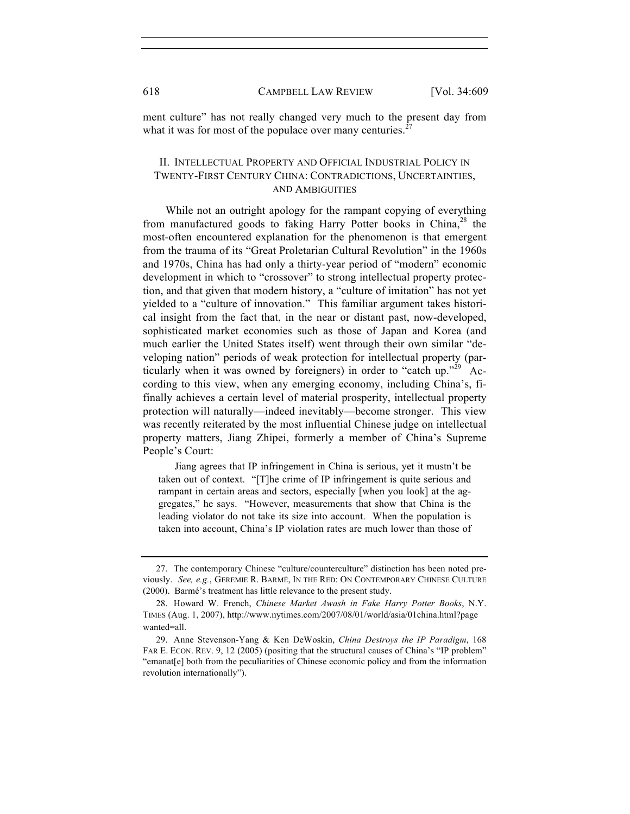ment culture" has not really changed very much to the present day from what it was for most of the populace over many centuries.<sup>2</sup>

# II. INTELLECTUAL PROPERTY AND OFFICIAL INDUSTRIAL POLICY IN TWENTY-FIRST CENTURY CHINA: CONTRADICTIONS, UNCERTAINTIES, AND AMBIGUITIES

While not an outright apology for the rampant copying of everything from manufactured goods to faking Harry Potter books in China,<sup>28</sup> the most-often encountered explanation for the phenomenon is that emergent from the trauma of its "Great Proletarian Cultural Revolution" in the 1960s and 1970s, China has had only a thirty-year period of "modern" economic development in which to "crossover" to strong intellectual property protection, and that given that modern history, a "culture of imitation" has not yet yielded to a "culture of innovation." This familiar argument takes historical insight from the fact that, in the near or distant past, now-developed, sophisticated market economies such as those of Japan and Korea (and much earlier the United States itself) went through their own similar "developing nation" periods of weak protection for intellectual property (particularly when it was owned by foreigners) in order to "catch up."<sup>29</sup> According to this view, when any emerging economy, including China's, fifinally achieves a certain level of material prosperity, intellectual property protection will naturally—indeed inevitably—become stronger. This view was recently reiterated by the most influential Chinese judge on intellectual property matters, Jiang Zhipei, formerly a member of China's Supreme People's Court:

 Jiang agrees that IP infringement in China is serious, yet it mustn't be taken out of context. "[T]he crime of IP infringement is quite serious and rampant in certain areas and sectors, especially [when you look] at the aggregates," he says. "However, measurements that show that China is the leading violator do not take its size into account. When the population is taken into account, China's IP violation rates are much lower than those of

<sup>27.</sup> The contemporary Chinese "culture/counterculture" distinction has been noted previously. *See, e.g.*, GEREMIE R. BARMÉ, IN THE RED: ON CONTEMPORARY CHINESE CULTURE (2000). Barmé's treatment has little relevance to the present study.

<sup>28.</sup> Howard W. French, *Chinese Market Awash in Fake Harry Potter Books*, N.Y. TIMES (Aug. 1, 2007), http://www.nytimes.com/2007/08/01/world/asia/01china.html?page wanted=all.

<sup>29.</sup> Anne Stevenson-Yang & Ken DeWoskin, *China Destroys the IP Paradigm*, 168 FAR E. ECON. REV. 9, 12 (2005) (positing that the structural causes of China's "IP problem" "emanat[e] both from the peculiarities of Chinese economic policy and from the information revolution internationally").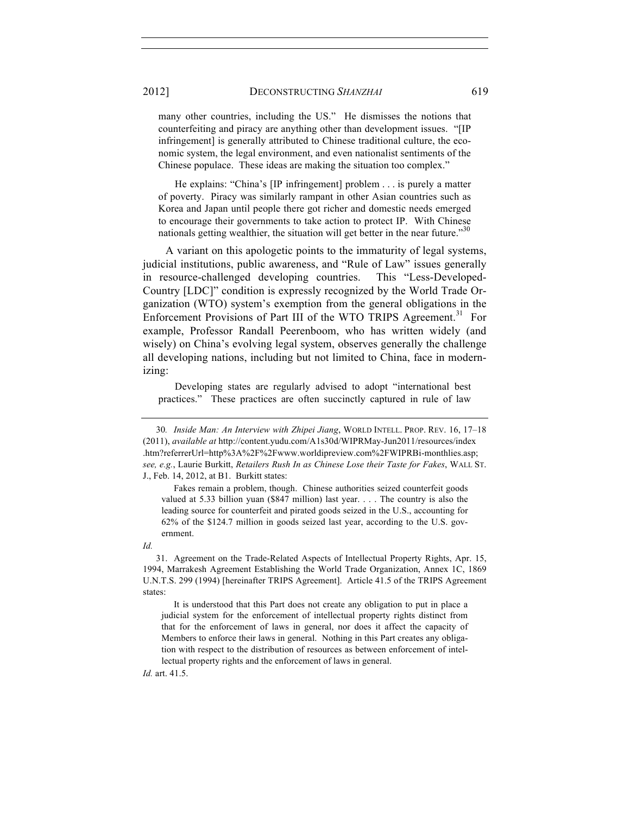many other countries, including the US." He dismisses the notions that counterfeiting and piracy are anything other than development issues. "[IP infringement] is generally attributed to Chinese traditional culture, the economic system, the legal environment, and even nationalist sentiments of the Chinese populace. These ideas are making the situation too complex."

 He explains: "China's [IP infringement] problem . . . is purely a matter of poverty. Piracy was similarly rampant in other Asian countries such as Korea and Japan until people there got richer and domestic needs emerged to encourage their governments to take action to protect IP. With Chinese nationals getting wealthier, the situation will get better in the near future."<sup>30</sup>

A variant on this apologetic points to the immaturity of legal systems, judicial institutions, public awareness, and "Rule of Law" issues generally in resource-challenged developing countries. This "Less-Developed-Country [LDC]" condition is expressly recognized by the World Trade Organization (WTO) system's exemption from the general obligations in the Enforcement Provisions of Part III of the WTO TRIPS Agreement.<sup>31</sup> For example, Professor Randall Peerenboom, who has written widely (and wisely) on China's evolving legal system, observes generally the challenge all developing nations, including but not limited to China, face in modernizing:

 Developing states are regularly advised to adopt "international best practices." These practices are often succinctly captured in rule of law

 Fakes remain a problem, though. Chinese authorities seized counterfeit goods valued at 5.33 billion yuan (\$847 million) last year. . . . The country is also the leading source for counterfeit and pirated goods seized in the U.S., accounting for 62% of the \$124.7 million in goods seized last year, according to the U.S. government.

 It is understood that this Part does not create any obligation to put in place a judicial system for the enforcement of intellectual property rights distinct from that for the enforcement of laws in general, nor does it affect the capacity of Members to enforce their laws in general. Nothing in this Part creates any obligation with respect to the distribution of resources as between enforcement of intellectual property rights and the enforcement of laws in general.

*Id.* art. 41.5.

<sup>30</sup>*. Inside Man: An Interview with Zhipei Jiang*, WORLD INTELL. PROP. REV. 16, 17–18 (2011), *available at* http://content.yudu.com/A1s30d/WIPRMay-Jun2011/resources/index .htm?referrerUrl=http%3A%2F%2Fwww.worldipreview.com%2FWIPRBi-monthlies.asp; *see, e.g.*, Laurie Burkitt, *Retailers Rush In as Chinese Lose their Taste for Fakes*, WALL ST. J., Feb. 14, 2012, at B1. Burkitt states:

*Id.*

<sup>31.</sup> Agreement on the Trade-Related Aspects of Intellectual Property Rights, Apr. 15, 1994, Marrakesh Agreement Establishing the World Trade Organization, Annex 1C, 1869 U.N.T.S. 299 (1994) [hereinafter TRIPS Agreement]. Article 41.5 of the TRIPS Agreement states: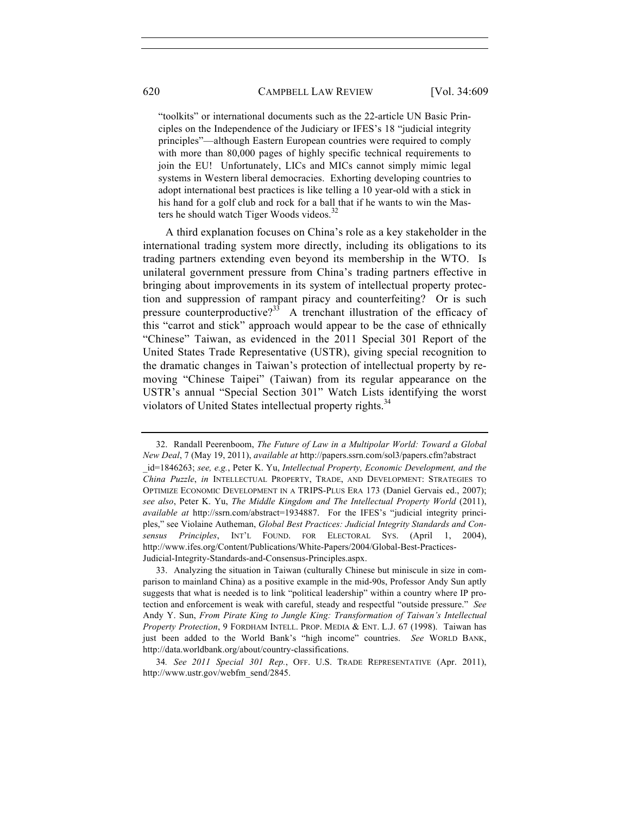"toolkits" or international documents such as the 22-article UN Basic Principles on the Independence of the Judiciary or IFES's 18 "judicial integrity principles"—although Eastern European countries were required to comply with more than 80,000 pages of highly specific technical requirements to join the EU! Unfortunately, LICs and MICs cannot simply mimic legal systems in Western liberal democracies. Exhorting developing countries to adopt international best practices is like telling a 10 year-old with a stick in his hand for a golf club and rock for a ball that if he wants to win the Masters he should watch Tiger Woods videos. $32$ 

A third explanation focuses on China's role as a key stakeholder in the international trading system more directly, including its obligations to its trading partners extending even beyond its membership in the WTO. Is unilateral government pressure from China's trading partners effective in bringing about improvements in its system of intellectual property protection and suppression of rampant piracy and counterfeiting? Or is such pressure counterproductive?<sup>33</sup> A trenchant illustration of the efficacy of this "carrot and stick" approach would appear to be the case of ethnically "Chinese" Taiwan, as evidenced in the 2011 Special 301 Report of the United States Trade Representative (USTR), giving special recognition to the dramatic changes in Taiwan's protection of intellectual property by removing "Chinese Taipei" (Taiwan) from its regular appearance on the USTR's annual "Special Section 301" Watch Lists identifying the worst violators of United States intellectual property rights.<sup>34</sup>

<sup>32.</sup> Randall Peerenboom, *The Future of Law in a Multipolar World: Toward a Global New Deal*, 7 (May 19, 2011), *available at* http://papers.ssrn.com/sol3/papers.cfm?abstract \_id=1846263; *see, e.g.*, Peter K. Yu, *Intellectual Property, Economic Development, and the China Puzzle*, *in* INTELLECTUAL PROPERTY, TRADE, AND DEVELOPMENT: STRATEGIES TO OPTIMIZE ECONOMIC DEVELOPMENT IN A TRIPS-PLUS ERA 173 (Daniel Gervais ed., 2007); *see also*, Peter K. Yu, *The Middle Kingdom and The Intellectual Property World* (2011), *available at* http://ssrn.com/abstract=1934887. For the IFES's "judicial integrity principles," see Violaine Autheman, *Global Best Practices: Judicial Integrity Standards and Consensus Principles*, INT'L FOUND. FOR ELECTORAL SYS. (April 1, 2004), http://www.ifes.org/Content/Publications/White-Papers/2004/Global-Best-Practices-Judicial-Integrity-Standards-and-Consensus-Principles.aspx.

<sup>33.</sup> Analyzing the situation in Taiwan (culturally Chinese but miniscule in size in comparison to mainland China) as a positive example in the mid-90s, Professor Andy Sun aptly suggests that what is needed is to link "political leadership" within a country where IP protection and enforcement is weak with careful, steady and respectful "outside pressure." *See* Andy Y. Sun, *From Pirate King to Jungle King: Transformation of Taiwan's Intellectual Property Protection*, 9 FORDHAM INTELL. PROP. MEDIA & ENT. L.J. 67 (1998). Taiwan has just been added to the World Bank's "high income" countries. *See* WORLD BANK, http://data.worldbank.org/about/country-classifications.

<sup>34</sup>*. See 2011 Special 301 Rep.*, OFF. U.S. TRADE REPRESENTATIVE (Apr. 2011), http://www.ustr.gov/webfm\_send/2845.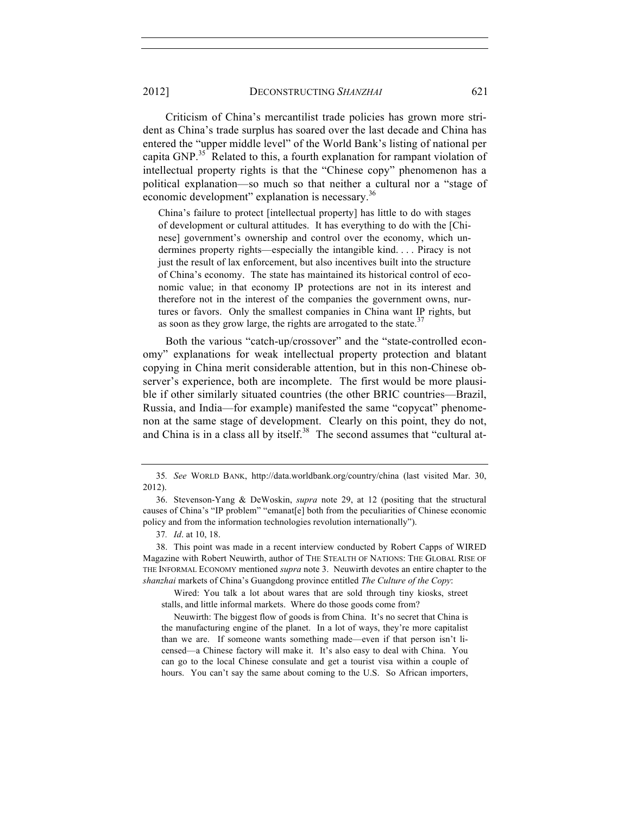2012] DECONSTRUCTING *SHANZHAI* 621

Criticism of China's mercantilist trade policies has grown more strident as China's trade surplus has soared over the last decade and China has entered the "upper middle level" of the World Bank's listing of national per capita GNP.<sup>35</sup> Related to this, a fourth explanation for rampant violation of intellectual property rights is that the "Chinese copy" phenomenon has a political explanation—so much so that neither a cultural nor a "stage of economic development" explanation is necessary.<sup>36</sup>

China's failure to protect [intellectual property] has little to do with stages of development or cultural attitudes. It has everything to do with the [Chinese] government's ownership and control over the economy, which undermines property rights—especially the intangible kind. . . . Piracy is not just the result of lax enforcement, but also incentives built into the structure of China's economy. The state has maintained its historical control of economic value; in that economy IP protections are not in its interest and therefore not in the interest of the companies the government owns, nurtures or favors. Only the smallest companies in China want IP rights, but as soon as they grow large, the rights are arrogated to the state.<sup>37</sup>

Both the various "catch-up/crossover" and the "state-controlled economy" explanations for weak intellectual property protection and blatant copying in China merit considerable attention, but in this non-Chinese observer's experience, both are incomplete. The first would be more plausible if other similarly situated countries (the other BRIC countries—Brazil, Russia, and India—for example) manifested the same "copycat" phenomenon at the same stage of development. Clearly on this point, they do not, and China is in a class all by itself.<sup>38</sup> The second assumes that "cultural at-

<sup>35</sup>*. See* WORLD BANK, http://data.worldbank.org/country/china (last visited Mar. 30, 2012).

<sup>36.</sup> Stevenson-Yang & DeWoskin, *supra* note 29, at 12 (positing that the structural causes of China's "IP problem" "emanat[e] both from the peculiarities of Chinese economic policy and from the information technologies revolution internationally").

<sup>37</sup>*. Id*. at 10, 18.

<sup>38.</sup> This point was made in a recent interview conducted by Robert Capps of WIRED Magazine with Robert Neuwirth, author of THE STEALTH OF NATIONS: THE GLOBAL RISE OF THE INFORMAL ECONOMY mentioned *supra* note 3. Neuwirth devotes an entire chapter to the *shanzhai* markets of China's Guangdong province entitled *The Culture of the Copy*:

Wired: You talk a lot about wares that are sold through tiny kiosks, street stalls, and little informal markets. Where do those goods come from?

Neuwirth: The biggest flow of goods is from China. It's no secret that China is the manufacturing engine of the planet. In a lot of ways, they're more capitalist than we are. If someone wants something made—even if that person isn't licensed—a Chinese factory will make it. It's also easy to deal with China. You can go to the local Chinese consulate and get a tourist visa within a couple of hours. You can't say the same about coming to the U.S. So African importers,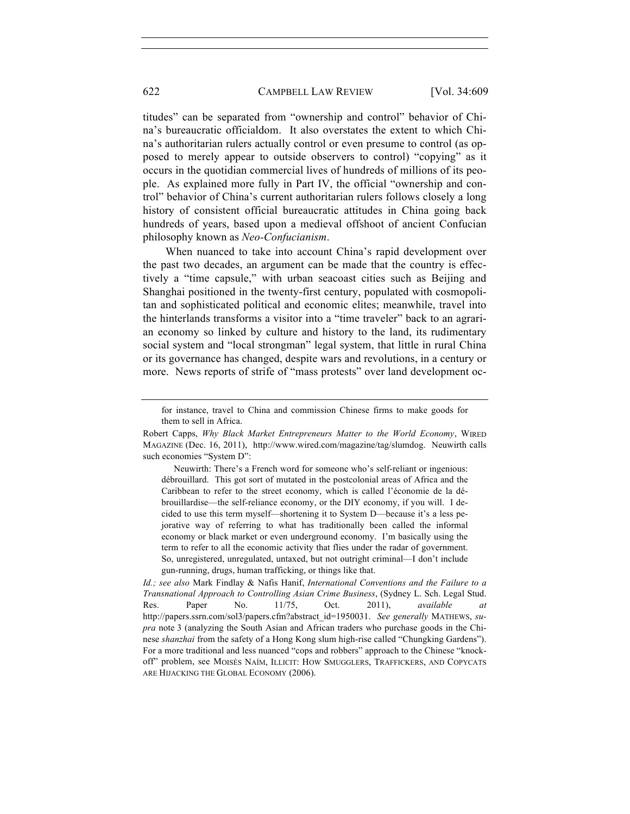titudes" can be separated from "ownership and control" behavior of China's bureaucratic officialdom. It also overstates the extent to which China's authoritarian rulers actually control or even presume to control (as opposed to merely appear to outside observers to control) "copying" as it occurs in the quotidian commercial lives of hundreds of millions of its people. As explained more fully in Part IV, the official "ownership and control" behavior of China's current authoritarian rulers follows closely a long history of consistent official bureaucratic attitudes in China going back hundreds of years, based upon a medieval offshoot of ancient Confucian philosophy known as *Neo-Confucianism*.

When nuanced to take into account China's rapid development over the past two decades, an argument can be made that the country is effectively a "time capsule," with urban seacoast cities such as Beijing and Shanghai positioned in the twenty-first century, populated with cosmopolitan and sophisticated political and economic elites; meanwhile, travel into the hinterlands transforms a visitor into a "time traveler" back to an agrarian economy so linked by culture and history to the land, its rudimentary social system and "local strongman" legal system, that little in rural China or its governance has changed, despite wars and revolutions, in a century or more. News reports of strife of "mass protests" over land development oc-

 Neuwirth: There's a French word for someone who's self-reliant or ingenious: débrouillard. This got sort of mutated in the postcolonial areas of Africa and the Caribbean to refer to the street economy, which is called l'économie de la débrouillardise—the self-reliance economy, or the DIY economy, if you will. I decided to use this term myself—shortening it to System D—because it's a less pejorative way of referring to what has traditionally been called the informal economy or black market or even underground economy. I'm basically using the term to refer to all the economic activity that flies under the radar of government. So, unregistered, unregulated, untaxed, but not outright criminal—I don't include gun-running, drugs, human trafficking, or things like that.

*Id.; see also* Mark Findlay & Nafis Hanif, *International Conventions and the Failure to a Transnational Approach to Controlling Asian Crime Business*, (Sydney L. Sch. Legal Stud. Res. Paper No. 11/75, Oct. 2011), *available at* http://papers.ssrn.com/sol3/papers.cfm?abstract\_id=1950031. *See generally* MATHEWS, *supra* note 3 (analyzing the South Asian and African traders who purchase goods in the Chinese *shanzhai* from the safety of a Hong Kong slum high-rise called "Chungking Gardens"). For a more traditional and less nuanced "cops and robbers" approach to the Chinese "knockoff" problem, see MOISÉS NAÍM, ILLICIT: HOW SMUGGLERS, TRAFFICKERS, AND COPYCATS ARE HIJACKING THE GLOBAL ECONOMY (2006).

for instance, travel to China and commission Chinese firms to make goods for them to sell in Africa.

Robert Capps, *Why Black Market Entrepreneurs Matter to the World Economy*, WIRED MAGAZINE (Dec. 16, 2011), http://www.wired.com/magazine/tag/slumdog. Neuwirth calls such economies "System D":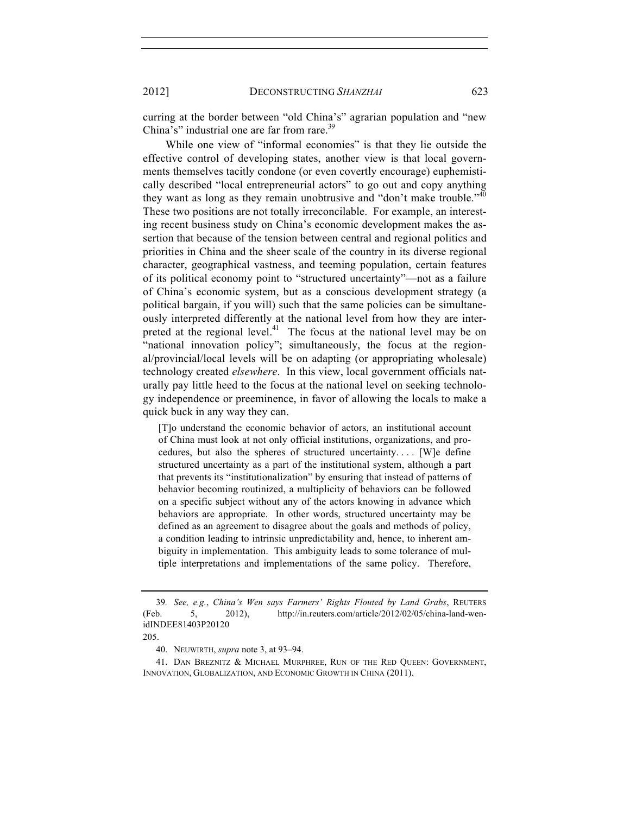curring at the border between "old China's" agrarian population and "new China's" industrial one are far from rare.<sup>39</sup>

While one view of "informal economies" is that they lie outside the effective control of developing states, another view is that local governments themselves tacitly condone (or even covertly encourage) euphemistically described "local entrepreneurial actors" to go out and copy anything they want as long as they remain unobtrusive and "don't make trouble."  $40^{\circ}$ These two positions are not totally irreconcilable. For example, an interesting recent business study on China's economic development makes the assertion that because of the tension between central and regional politics and priorities in China and the sheer scale of the country in its diverse regional character, geographical vastness, and teeming population, certain features of its political economy point to "structured uncertainty"—not as a failure of China's economic system, but as a conscious development strategy (a political bargain, if you will) such that the same policies can be simultaneously interpreted differently at the national level from how they are interpreted at the regional level.<sup>41</sup> The focus at the national level may be on "national innovation policy"; simultaneously, the focus at the regional/provincial/local levels will be on adapting (or appropriating wholesale) technology created *elsewhere*. In this view, local government officials naturally pay little heed to the focus at the national level on seeking technology independence or preeminence, in favor of allowing the locals to make a quick buck in any way they can.

[T]o understand the economic behavior of actors, an institutional account of China must look at not only official institutions, organizations, and procedures, but also the spheres of structured uncertainty. . . . [W]e define structured uncertainty as a part of the institutional system, although a part that prevents its "institutionalization" by ensuring that instead of patterns of behavior becoming routinized, a multiplicity of behaviors can be followed on a specific subject without any of the actors knowing in advance which behaviors are appropriate. In other words, structured uncertainty may be defined as an agreement to disagree about the goals and methods of policy, a condition leading to intrinsic unpredictability and, hence, to inherent ambiguity in implementation. This ambiguity leads to some tolerance of multiple interpretations and implementations of the same policy. Therefore,

205.

<sup>39</sup>*. See, e.g.*, *China's Wen says Farmers' Rights Flouted by Land Grabs*, REUTERS (Feb. 5, 2012), http://in.reuters.com/article/2012/02/05/china-land-wenidINDEE81403P20120

<sup>40.</sup> NEUWIRTH, *supra* note 3, at 93–94.

<sup>41.</sup> DAN BREZNITZ & MICHAEL MURPHREE, RUN OF THE RED QUEEN: GOVERNMENT, INNOVATION, GLOBALIZATION, AND ECONOMIC GROWTH IN CHINA (2011).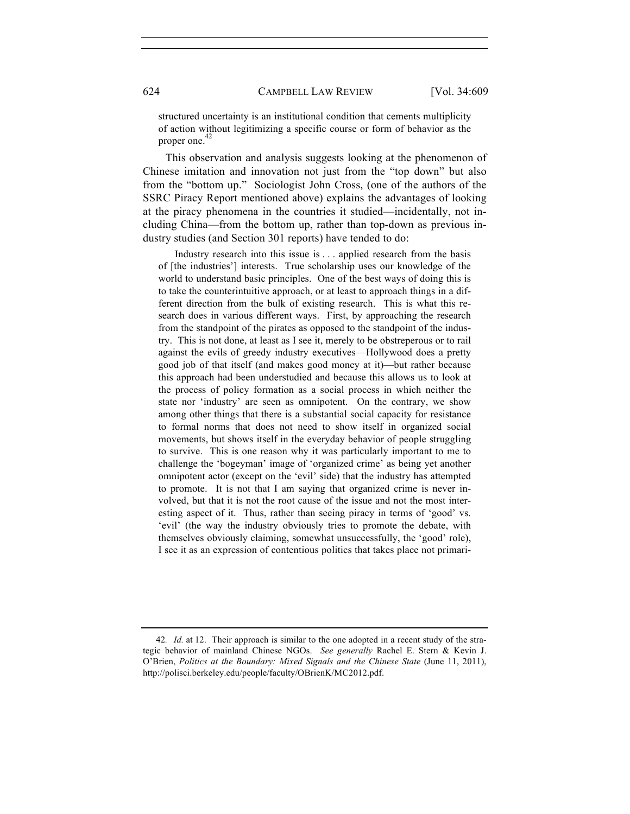structured uncertainty is an institutional condition that cements multiplicity of action without legitimizing a specific course or form of behavior as the proper one. 42

This observation and analysis suggests looking at the phenomenon of Chinese imitation and innovation not just from the "top down" but also from the "bottom up." Sociologist John Cross, (one of the authors of the SSRC Piracy Report mentioned above) explains the advantages of looking at the piracy phenomena in the countries it studied—incidentally, not including China—from the bottom up, rather than top-down as previous industry studies (and Section 301 reports) have tended to do:

 Industry research into this issue is . . . applied research from the basis of [the industries'] interests. True scholarship uses our knowledge of the world to understand basic principles. One of the best ways of doing this is to take the counterintuitive approach, or at least to approach things in a different direction from the bulk of existing research. This is what this research does in various different ways. First, by approaching the research from the standpoint of the pirates as opposed to the standpoint of the industry. This is not done, at least as I see it, merely to be obstreperous or to rail against the evils of greedy industry executives—Hollywood does a pretty good job of that itself (and makes good money at it)—but rather because this approach had been understudied and because this allows us to look at the process of policy formation as a social process in which neither the state nor 'industry' are seen as omnipotent. On the contrary, we show among other things that there is a substantial social capacity for resistance to formal norms that does not need to show itself in organized social movements, but shows itself in the everyday behavior of people struggling to survive. This is one reason why it was particularly important to me to challenge the 'bogeyman' image of 'organized crime' as being yet another omnipotent actor (except on the 'evil' side) that the industry has attempted to promote. It is not that I am saying that organized crime is never involved, but that it is not the root cause of the issue and not the most interesting aspect of it. Thus, rather than seeing piracy in terms of 'good' vs. 'evil' (the way the industry obviously tries to promote the debate, with themselves obviously claiming, somewhat unsuccessfully, the 'good' role), I see it as an expression of contentious politics that takes place not primari-

<sup>42</sup>*. Id.* at 12. Their approach is similar to the one adopted in a recent study of the strategic behavior of mainland Chinese NGOs. *See generally* Rachel E. Stern & Kevin J. O'Brien, *Politics at the Boundary: Mixed Signals and the Chinese State* (June 11, 2011), http://polisci.berkeley.edu/people/faculty/OBrienK/MC2012.pdf.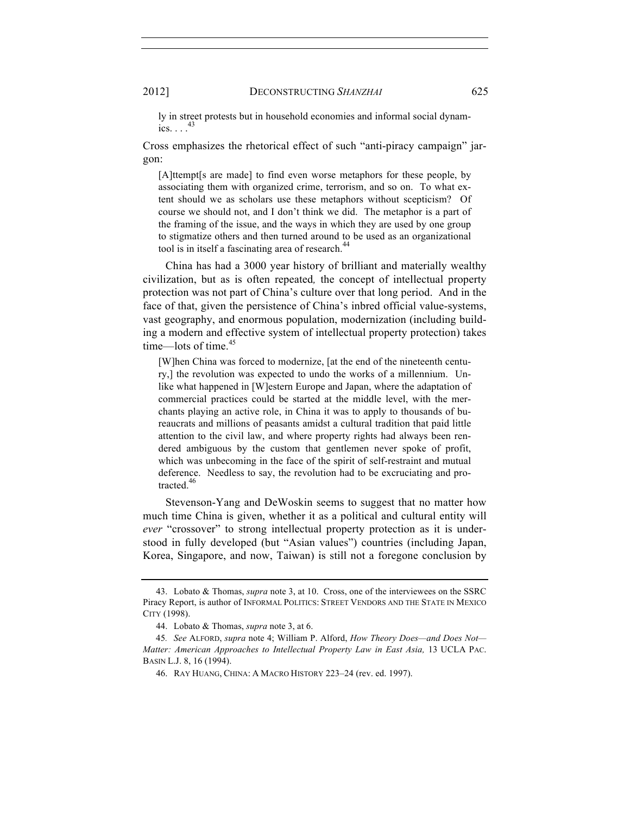ly in street protests but in household economies and informal social dynamics.  $\ldots$ <sup>43</sup>

Cross emphasizes the rhetorical effect of such "anti-piracy campaign" jargon:

[A]ttempt[s are made] to find even worse metaphors for these people, by associating them with organized crime, terrorism, and so on. To what extent should we as scholars use these metaphors without scepticism? Of course we should not, and I don't think we did. The metaphor is a part of the framing of the issue, and the ways in which they are used by one group to stigmatize others and then turned around to be used as an organizational tool is in itself a fascinating area of research.<sup>4</sup>

China has had a 3000 year history of brilliant and materially wealthy civilization, but as is often repeated*,* the concept of intellectual property protection was not part of China's culture over that long period. And in the face of that, given the persistence of China's inbred official value-systems, vast geography, and enormous population, modernization (including building a modern and effective system of intellectual property protection) takes time—lots of time.<sup>45</sup>

[W]hen China was forced to modernize, [at the end of the nineteenth century,] the revolution was expected to undo the works of a millennium. Unlike what happened in [W]estern Europe and Japan, where the adaptation of commercial practices could be started at the middle level, with the merchants playing an active role, in China it was to apply to thousands of bureaucrats and millions of peasants amidst a cultural tradition that paid little attention to the civil law, and where property rights had always been rendered ambiguous by the custom that gentlemen never spoke of profit, which was unbecoming in the face of the spirit of self-restraint and mutual deference. Needless to say, the revolution had to be excruciating and protracted.<sup>46</sup>

Stevenson-Yang and DeWoskin seems to suggest that no matter how much time China is given, whether it as a political and cultural entity will *ever* "crossover" to strong intellectual property protection as it is understood in fully developed (but "Asian values") countries (including Japan, Korea, Singapore, and now, Taiwan) is still not a foregone conclusion by

<sup>43.</sup> Lobato & Thomas, *supra* note 3, at 10. Cross, one of the interviewees on the SSRC Piracy Report, is author of INFORMAL POLITICS: STREET VENDORS AND THE STATE IN MEXICO CITY (1998).

<sup>44.</sup> Lobato & Thomas, *supra* note 3, at 6.

<sup>45</sup>*. See* ALFORD, *supra* note 4; William P. Alford, *How Theory Does—and Does Not— Matter: American Approaches to Intellectual Property Law in East Asia,* 13 UCLA PAC. BASIN L.J. 8, 16 (1994).

<sup>46.</sup> RAY HUANG, CHINA: A MACRO HISTORY 223–24 (rev. ed. 1997).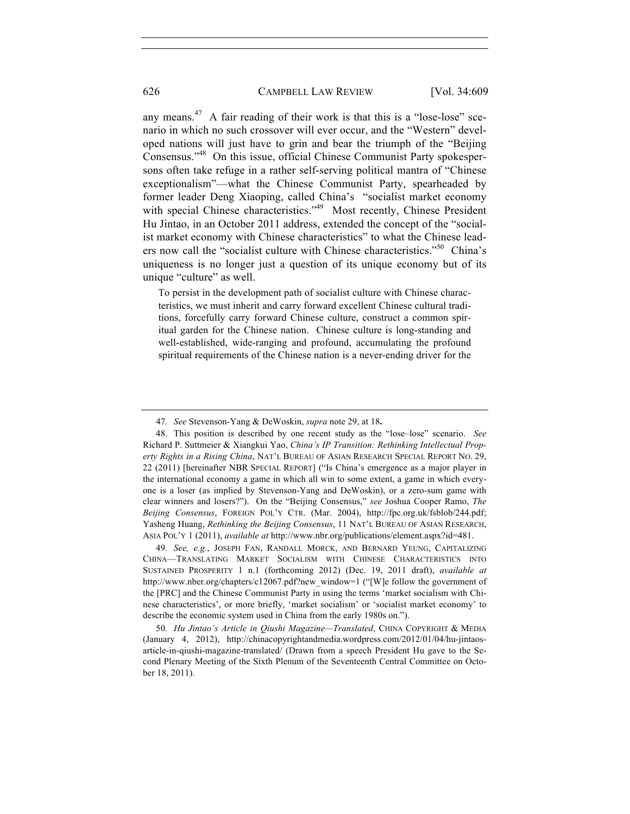any means. $47$  A fair reading of their work is that this is a "lose-lose" scenario in which no such crossover will ever occur, and the "Western" developed nations will just have to grin and bear the triumph of the "Beijing Consensus."48 On this issue, official Chinese Communist Party spokespersons often take refuge in a rather self-serving political mantra of "Chinese exceptionalism"—what the Chinese Communist Party, spearheaded by former leader Deng Xiaoping, called China's "socialist market economy with special Chinese characteristics."<sup>49</sup> Most recently, Chinese President Hu Jintao, in an October 2011 address, extended the concept of the "socialist market economy with Chinese characteristics" to what the Chinese leaders now call the "socialist culture with Chinese characteristics."<sup>50</sup> China's uniqueness is no longer just a question of its unique economy but of its unique "culture" as well.

To persist in the development path of socialist culture with Chinese characteristics, we must inherit and carry forward excellent Chinese cultural traditions, forcefully carry forward Chinese culture, construct a common spiritual garden for the Chinese nation. Chinese culture is long-standing and well-established, wide-ranging and profound, accumulating the profound spiritual requirements of the Chinese nation is a never-ending driver for the

<sup>47</sup>*. See* Stevenson-Yang & DeWoskin, *supra* note 29, at 18**.** 

<sup>48.</sup> This position is described by one recent study as the "lose–lose" scenario. *See* Richard P. Suttmeier & Xiangkui Yao, *China's IP Transition: Rethinking Intellectual Property Rights in a Rising China*, NAT'L BUREAU OF ASIAN RESEARCH SPECIAL REPORT NO. 29, 22 (2011) [hereinafter NBR SPECIAL REPORT] ("Is China's emergence as a major player in the international economy a game in which all win to some extent, a game in which everyone is a loser (as implied by Stevenson-Yang and DeWoskin), or a zero-sum game with clear winners and losers?"). On the "Beijing Consensus," *see* Joshua Cooper Ramo, *The Beijing Consensus*, FOREIGN POL'Y CTR. (Mar. 2004), http://fpc.org.uk/fsblob/244.pdf; Yasheng Huang, *Rethinking the Beijing Consensus*, 11 NAT'L BUREAU OF ASIAN RESEARCH, ASIA POL'Y 1 (2011), *available at* http://www.nbr.org/publications/element.aspx?id=481.

<sup>49</sup>*. See, e.g.*, JOSEPH FAN, RANDALL MORCK, AND BERNARD YEUNG, CAPITALIZING CHINA—TRANSLATING MARKET SOCIALISM WITH CHINESE CHARACTERISTICS INTO SUSTAINED PROSPERITY 1 n.1 (forthcoming 2012) (Dec. 19, 2011 draft), *available at* http://www.nber.org/chapters/c12067.pdf?new\_window=1 ("[W]e follow the government of the [PRC] and the Chinese Communist Party in using the terms 'market socialism with Chinese characteristics', or more briefly, 'market socialism' or 'socialist market economy' to describe the economic system used in China from the early 1980s on.").

<sup>50</sup>*. Hu Jintao's Article in Qiushi Magazine—Translated*, CHINA COPYRIGHT & MEDIA (January 4, 2012), http://chinacopyrightandmedia.wordpress.com/2012/01/04/hu-jintaosarticle-in-qiushi-magazine-translated/ (Drawn from a speech President Hu gave to the Second Plenary Meeting of the Sixth Plenum of the Seventeenth Central Committee on October 18, 2011).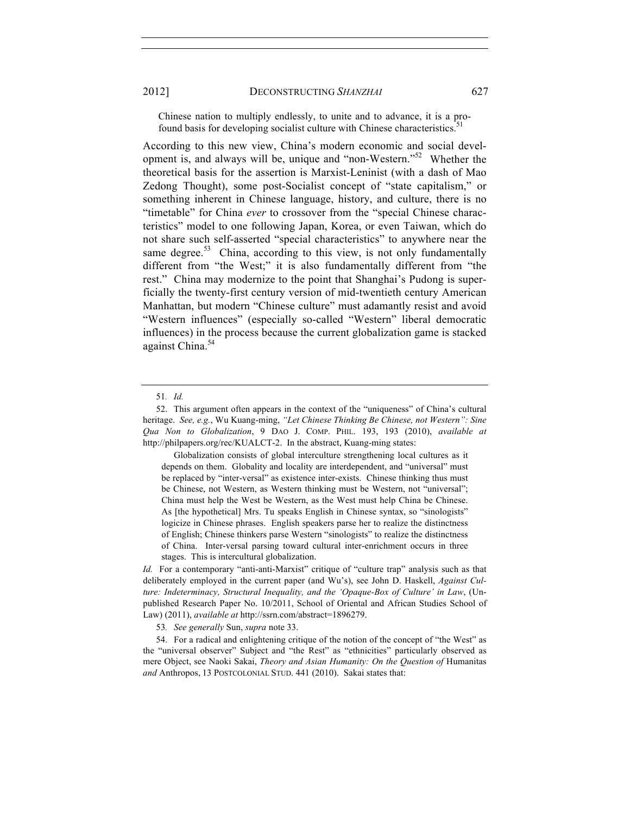Chinese nation to multiply endlessly, to unite and to advance, it is a profound basis for developing socialist culture with Chinese characteristics.<sup>5</sup>

According to this new view, China's modern economic and social development is, and always will be, unique and "non-Western."<sup>52</sup> Whether the theoretical basis for the assertion is Marxist-Leninist (with a dash of Mao Zedong Thought), some post-Socialist concept of "state capitalism," or something inherent in Chinese language, history, and culture, there is no "timetable" for China *ever* to crossover from the "special Chinese characteristics" model to one following Japan, Korea, or even Taiwan, which do not share such self-asserted "special characteristics" to anywhere near the same degree.<sup>53</sup> China, according to this view, is not only fundamentally different from "the West;" it is also fundamentally different from "the rest." China may modernize to the point that Shanghai's Pudong is superficially the twenty-first century version of mid-twentieth century American Manhattan, but modern "Chinese culture" must adamantly resist and avoid "Western influences" (especially so-called "Western" liberal democratic influences) in the process because the current globalization game is stacked against China.<sup>54</sup>

 Globalization consists of global interculture strengthening local cultures as it depends on them. Globality and locality are interdependent, and "universal" must be replaced by "inter-versal" as existence inter-exists. Chinese thinking thus must be Chinese, not Western, as Western thinking must be Western, not "universal"; China must help the West be Western, as the West must help China be Chinese. As [the hypothetical] Mrs. Tu speaks English in Chinese syntax, so "sinologists" logicize in Chinese phrases. English speakers parse her to realize the distinctness of English; Chinese thinkers parse Western "sinologists" to realize the distinctness of China. Inter-versal parsing toward cultural inter-enrichment occurs in three stages. This is intercultural globalization.

*Id.* For a contemporary "anti-anti-Marxist" critique of "culture trap" analysis such as that deliberately employed in the current paper (and Wu's), see John D. Haskell, *Against Culture: Indeterminacy, Structural Inequality, and the 'Opaque-Box of Culture' in Law*, (Unpublished Research Paper No. 10/2011, School of Oriental and African Studies School of Law) (2011), *available at* http://ssrn.com/abstract=1896279.

53*. See generally* Sun, *supra* note 33.

54. For a radical and enlightening critique of the notion of the concept of "the West" as the "universal observer" Subject and "the Rest" as "ethnicities" particularly observed as mere Object, see Naoki Sakai, *Theory and Asian Humanity: On the Question of* Humanitas *and* Anthropos, 13 POSTCOLONIAL STUD. 441 (2010). Sakai states that:

<sup>51</sup>*. Id.*

<sup>52.</sup> This argument often appears in the context of the "uniqueness" of China's cultural heritage. *See, e.g.*, Wu Kuang-ming, *"Let Chinese Thinking Be Chinese, not Western": Sine Qua Non to Globalization*, 9 DAO J. COMP. PHIL. 193, 193 (2010), *available at* http://philpapers.org/rec/KUALCT-2. In the abstract, Kuang-ming states: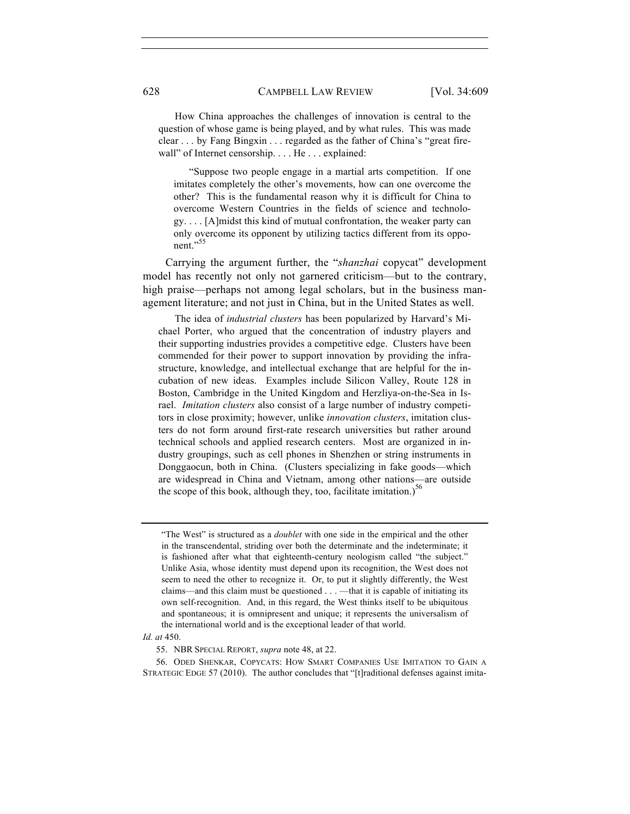How China approaches the challenges of innovation is central to the question of whose game is being played, and by what rules. This was made clear . . . by Fang Bingxin . . . regarded as the father of China's "great firewall" of Internet censorship. . . . He . . . explained:

 "Suppose two people engage in a martial arts competition. If one imitates completely the other's movements, how can one overcome the other? This is the fundamental reason why it is difficult for China to overcome Western Countries in the fields of science and technology. . . . [A]midst this kind of mutual confrontation, the weaker party can only overcome its opponent by utilizing tactics different from its opponent."<sup>55</sup>

Carrying the argument further, the "*shanzhai* copycat" development model has recently not only not garnered criticism—but to the contrary, high praise—perhaps not among legal scholars, but in the business management literature; and not just in China, but in the United States as well.

 The idea of *industrial clusters* has been popularized by Harvard's Michael Porter, who argued that the concentration of industry players and their supporting industries provides a competitive edge. Clusters have been commended for their power to support innovation by providing the infrastructure, knowledge, and intellectual exchange that are helpful for the incubation of new ideas. Examples include Silicon Valley, Route 128 in Boston, Cambridge in the United Kingdom and Herzliya-on-the-Sea in Israel. *Imitation clusters* also consist of a large number of industry competitors in close proximity; however, unlike *innovation clusters*, imitation clusters do not form around first-rate research universities but rather around technical schools and applied research centers. Most are organized in industry groupings, such as cell phones in Shenzhen or string instruments in Donggaocun, both in China. (Clusters specializing in fake goods—which are widespread in China and Vietnam, among other nations—are outside the scope of this book, although they, too, facilitate imitation.)<sup>56</sup>

#### *Id. at* 450.

<sup>&</sup>quot;The West" is structured as a *doublet* with one side in the empirical and the other in the transcendental, striding over both the determinate and the indeterminate; it is fashioned after what that eighteenth-century neologism called "the subject." Unlike Asia, whose identity must depend upon its recognition, the West does not seem to need the other to recognize it. Or, to put it slightly differently, the West claims—and this claim must be questioned . . . —that it is capable of initiating its own self-recognition. And, in this regard, the West thinks itself to be ubiquitous and spontaneous; it is omnipresent and unique; it represents the universalism of the international world and is the exceptional leader of that world.

<sup>55.</sup> NBR SPECIAL REPORT, *supra* note 48, at 22.

<sup>56.</sup> ODED SHENKAR, COPYCATS: HOW SMART COMPANIES USE IMITATION TO GAIN A STRATEGIC EDGE 57 (2010). The author concludes that "[t]raditional defenses against imita-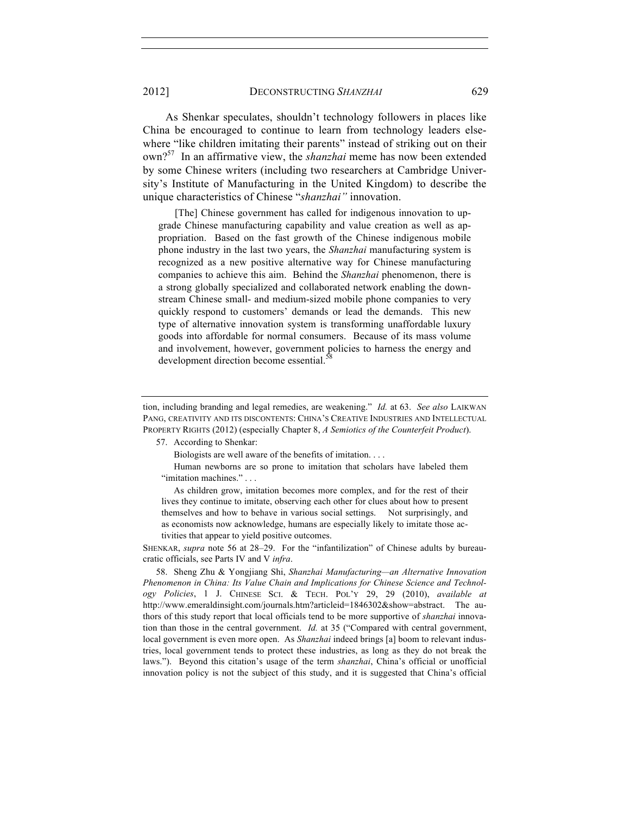2012] DECONSTRUCTING *SHANZHAI* 629

As Shenkar speculates, shouldn't technology followers in places like China be encouraged to continue to learn from technology leaders elsewhere "like children imitating their parents" instead of striking out on their own?57 In an affirmative view, the *shanzhai* meme has now been extended by some Chinese writers (including two researchers at Cambridge University's Institute of Manufacturing in the United Kingdom) to describe the unique characteristics of Chinese "*shanzhai"* innovation.

[The] Chinese government has called for indigenous innovation to upgrade Chinese manufacturing capability and value creation as well as appropriation. Based on the fast growth of the Chinese indigenous mobile phone industry in the last two years, the *Shanzhai* manufacturing system is recognized as a new positive alternative way for Chinese manufacturing companies to achieve this aim. Behind the *Shanzhai* phenomenon, there is a strong globally specialized and collaborated network enabling the downstream Chinese small- and medium-sized mobile phone companies to very quickly respond to customers' demands or lead the demands. This new type of alternative innovation system is transforming unaffordable luxury goods into affordable for normal consumers. Because of its mass volume and involvement, however, government policies to harness the energy and development direction become essential.<sup>38</sup>

tion, including branding and legal remedies, are weakening." *Id.* at 63. *See also* LAIKWAN PANG, CREATIVITY AND ITS DISCONTENTS: CHINA'S CREATIVE INDUSTRIES AND INTELLECTUAL PROPERTY RIGHTS (2012) (especially Chapter 8, *A Semiotics of the Counterfeit Product*).

57. According to Shenkar:

Biologists are well aware of the benefits of imitation. . . .

 Human newborns are so prone to imitation that scholars have labeled them "imitation machines." . . .

 As children grow, imitation becomes more complex, and for the rest of their lives they continue to imitate, observing each other for clues about how to present themselves and how to behave in various social settings. Not surprisingly, and as economists now acknowledge, humans are especially likely to imitate those activities that appear to yield positive outcomes.

SHENKAR, *supra* note 56 at 28–29. For the "infantilization" of Chinese adults by bureaucratic officials, see Parts IV and V *infra*.

58. Sheng Zhu & Yongjiang Shi, *Shanzhai Manufacturing—an Alternative Innovation Phenomenon in China: Its Value Chain and Implications for Chinese Science and Technology Policies*, 1 J. CHINESE SCI. & TECH. POL'Y 29, 29 (2010), *available at* http://www.emeraldinsight.com/journals.htm?articleid=1846302&show=abstract. The authors of this study report that local officials tend to be more supportive of *shanzhai* innovation than those in the central government. *Id.* at 35 ("Compared with central government, local government is even more open. As *Shanzhai* indeed brings [a] boom to relevant industries, local government tends to protect these industries, as long as they do not break the laws."). Beyond this citation's usage of the term *shanzhai*, China's official or unofficial innovation policy is not the subject of this study, and it is suggested that China's official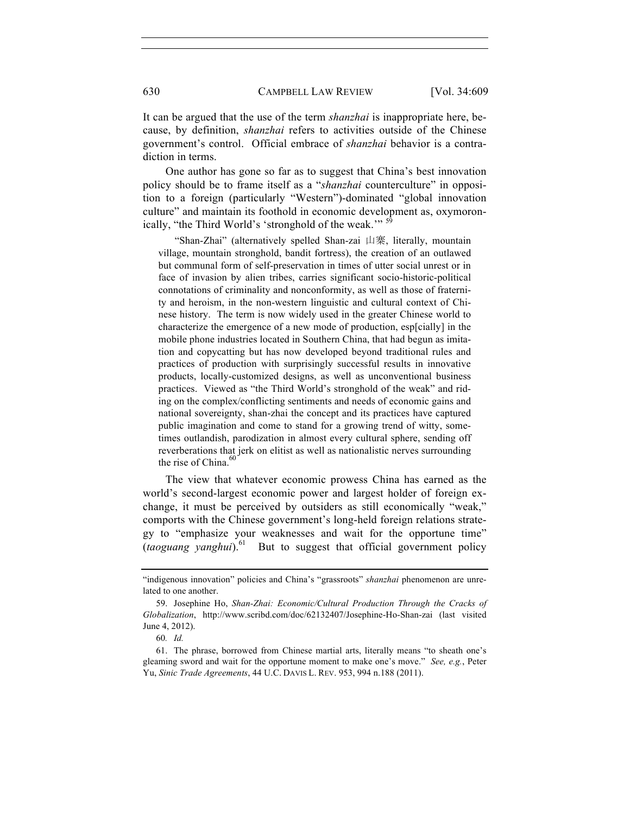It can be argued that the use of the term *shanzhai* is inappropriate here, because, by definition, *shanzhai* refers to activities outside of the Chinese government's control. Official embrace of *shanzhai* behavior is a contradiction in terms.

One author has gone so far as to suggest that China's best innovation policy should be to frame itself as a "*shanzhai* counterculture" in opposition to a foreign (particularly "Western")-dominated "global innovation culture" and maintain its foothold in economic development as, oxymoronically, "the Third World's 'stronghold of the weak."<sup>59</sup>

 "Shan-Zhai" (alternatively spelled Shan-zai 山寨, literally, mountain village, mountain stronghold, bandit fortress), the creation of an outlawed but communal form of self-preservation in times of utter social unrest or in face of invasion by alien tribes, carries significant socio-historic-political connotations of criminality and nonconformity, as well as those of fraternity and heroism, in the non-western linguistic and cultural context of Chinese history. The term is now widely used in the greater Chinese world to characterize the emergence of a new mode of production, esp[cially] in the mobile phone industries located in Southern China, that had begun as imitation and copycatting but has now developed beyond traditional rules and practices of production with surprisingly successful results in innovative products, locally-customized designs, as well as unconventional business practices. Viewed as "the Third World's stronghold of the weak" and riding on the complex/conflicting sentiments and needs of economic gains and national sovereignty, shan-zhai the concept and its practices have captured public imagination and come to stand for a growing trend of witty, sometimes outlandish, parodization in almost every cultural sphere, sending off reverberations that jerk on elitist as well as nationalistic nerves surrounding the rise of China. 60

The view that whatever economic prowess China has earned as the world's second-largest economic power and largest holder of foreign exchange, it must be perceived by outsiders as still economically "weak," comports with the Chinese government's long-held foreign relations strategy to "emphasize your weaknesses and wait for the opportune time"  $(taoguang vanghui)$ <sup>61</sup> But to suggest that official government policy

<sup>&</sup>quot;indigenous innovation" policies and China's "grassroots" shanzhai phenomenon are unrelated to one another.

<sup>59.</sup> Josephine Ho, *Shan-Zhai: Economic/Cultural Production Through the Cracks of Globalization*, http://www.scribd.com/doc/62132407/Josephine-Ho-Shan-zai (last visited June 4, 2012).

<sup>60</sup>*. Id.*

<sup>61.</sup> The phrase, borrowed from Chinese martial arts, literally means "to sheath one's gleaming sword and wait for the opportune moment to make one's move." *See, e.g.*, Peter Yu, *Sinic Trade Agreements*, 44 U.C. DAVIS L. REV. 953, 994 n.188 (2011).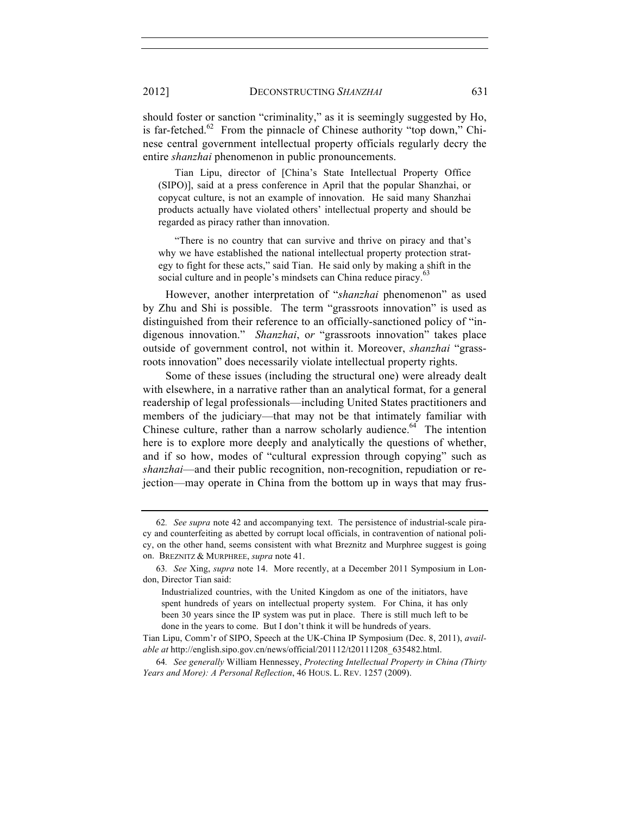2012] DECONSTRUCTING *SHANZHAI* 631

should foster or sanction "criminality," as it is seemingly suggested by Ho, is far-fetched.<sup>62</sup> From the pinnacle of Chinese authority "top down," Chinese central government intellectual property officials regularly decry the entire *shanzhai* phenomenon in public pronouncements.

 Tian Lipu, director of [China's State Intellectual Property Office (SIPO)], said at a press conference in April that the popular Shanzhai, or copycat culture, is not an example of innovation. He said many Shanzhai products actually have violated others' intellectual property and should be regarded as piracy rather than innovation.

 "There is no country that can survive and thrive on piracy and that's why we have established the national intellectual property protection strategy to fight for these acts," said Tian. He said only by making a shift in the social culture and in people's mindsets can China reduce piracy.<sup>6</sup>

However, another interpretation of "*shanzhai* phenomenon" as used by Zhu and Shi is possible. The term "grassroots innovation" is used as distinguished from their reference to an officially-sanctioned policy of "indigenous innovation." *Shanzhai*, o*r* "grassroots innovation" takes place outside of government control, not within it. Moreover, *shanzhai* "grassroots innovation" does necessarily violate intellectual property rights.

Some of these issues (including the structural one) were already dealt with elsewhere, in a narrative rather than an analytical format, for a general readership of legal professionals—including United States practitioners and members of the judiciary—that may not be that intimately familiar with Chinese culture, rather than a narrow scholarly audience. $64$  The intention here is to explore more deeply and analytically the questions of whether, and if so how, modes of "cultural expression through copying" such as *shanzhai*—and their public recognition, non-recognition, repudiation or rejection—may operate in China from the bottom up in ways that may frus-

<sup>62</sup>*. See supra* note 42 and accompanying text. The persistence of industrial-scale piracy and counterfeiting as abetted by corrupt local officials, in contravention of national policy, on the other hand, seems consistent with what Breznitz and Murphree suggest is going on. BREZNITZ & MURPHREE, *supra* note 41.

<sup>63</sup>*. See* Xing, *supra* note 14. More recently, at a December 2011 Symposium in London, Director Tian said:

Industrialized countries, with the United Kingdom as one of the initiators, have spent hundreds of years on intellectual property system. For China, it has only been 30 years since the IP system was put in place. There is still much left to be done in the years to come. But I don't think it will be hundreds of years.

Tian Lipu, Comm'r of SIPO, Speech at the UK-China IP Symposium (Dec. 8, 2011), *available at* http://english.sipo.gov.cn/news/official/201112/t20111208\_635482.html.

<sup>64</sup>*. See generally* William Hennessey, *Protecting Intellectual Property in China (Thirty Years and More): A Personal Reflection*, 46 HOUS. L. REV. 1257 (2009).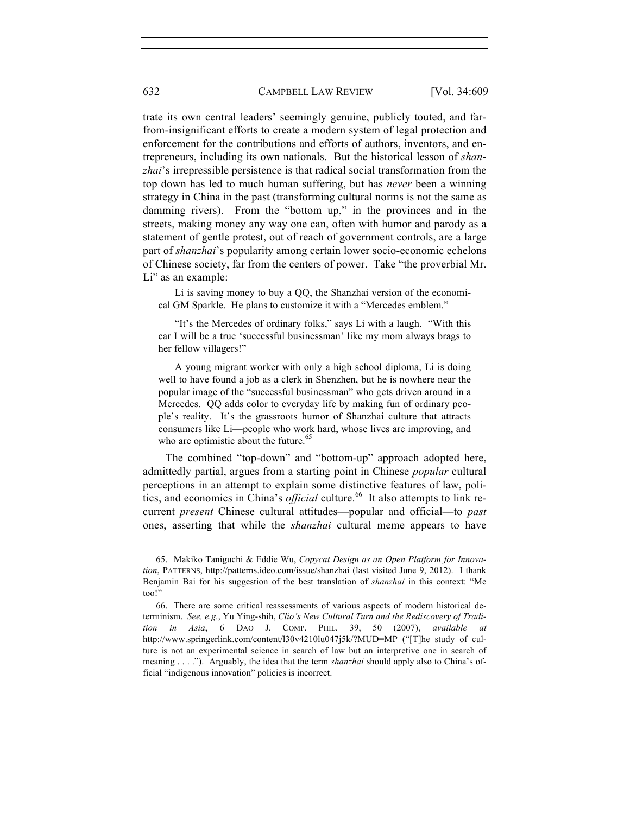trate its own central leaders' seemingly genuine, publicly touted, and farfrom-insignificant efforts to create a modern system of legal protection and enforcement for the contributions and efforts of authors, inventors, and entrepreneurs, including its own nationals. But the historical lesson of *shanzhai*'s irrepressible persistence is that radical social transformation from the top down has led to much human suffering, but has *never* been a winning strategy in China in the past (transforming cultural norms is not the same as damming rivers). From the "bottom up," in the provinces and in the streets, making money any way one can, often with humor and parody as a statement of gentle protest, out of reach of government controls, are a large part of *shanzhai*'s popularity among certain lower socio-economic echelons of Chinese society, far from the centers of power. Take "the proverbial Mr. Li" as an example:

 Li is saving money to buy a QQ, the Shanzhai version of the economical GM Sparkle. He plans to customize it with a "Mercedes emblem."

 "It's the Mercedes of ordinary folks," says Li with a laugh. "With this car I will be a true 'successful businessman' like my mom always brags to her fellow villagers!"

 A young migrant worker with only a high school diploma, Li is doing well to have found a job as a clerk in Shenzhen, but he is nowhere near the popular image of the "successful businessman" who gets driven around in a Mercedes. QQ adds color to everyday life by making fun of ordinary people's reality. It's the grassroots humor of Shanzhai culture that attracts consumers like Li—people who work hard, whose lives are improving, and who are optimistic about the future.<sup>65</sup>

The combined "top-down" and "bottom-up" approach adopted here, admittedly partial, argues from a starting point in Chinese *popular* cultural perceptions in an attempt to explain some distinctive features of law, politics, and economics in China's *official* culture.<sup>66</sup> It also attempts to link recurrent *present* Chinese cultural attitudes—popular and official—to *past* ones, asserting that while the *shanzhai* cultural meme appears to have

<sup>65.</sup> Makiko Taniguchi & Eddie Wu, *Copycat Design as an Open Platform for Innovation*, PATTERNS, http://patterns.ideo.com/issue/shanzhai (last visited June 9, 2012). I thank Benjamin Bai for his suggestion of the best translation of *shanzhai* in this context: "Me too!"

<sup>66.</sup> There are some critical reassessments of various aspects of modern historical determinism. *See, e.g.*, Yu Ying-shih, *Clio's New Cultural Turn and the Rediscovery of Tradition in Asia*, 6 DAO J. COMP. PHIL. 39, 50 (2007), *available at* http://www.springerlink.com/content/l30v4210lu047j5k/?MUD=MP ("[T]he study of culture is not an experimental science in search of law but an interpretive one in search of meaning . . . ."). Arguably, the idea that the term *shanzhai* should apply also to China's official "indigenous innovation" policies is incorrect.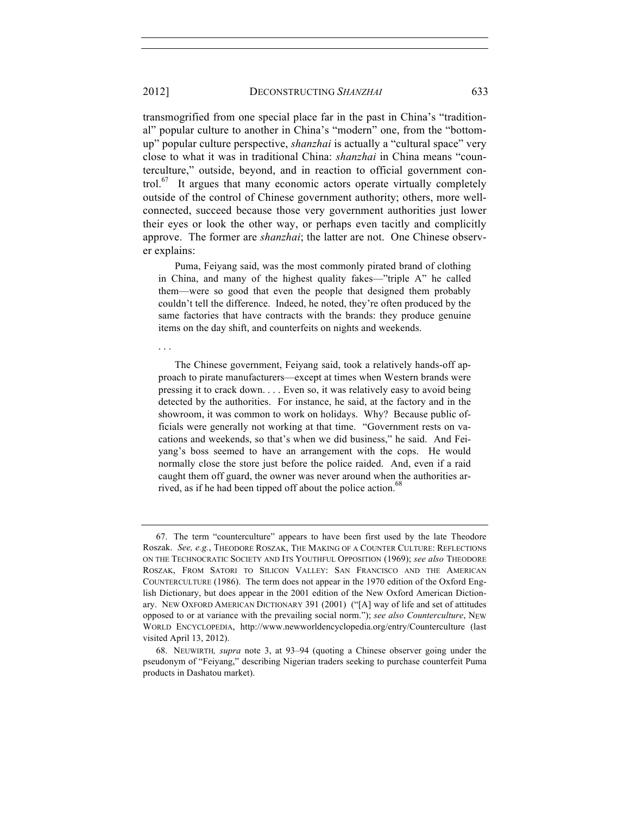. . .

transmogrified from one special place far in the past in China's "traditional" popular culture to another in China's "modern" one, from the "bottomup" popular culture perspective, *shanzhai* is actually a "cultural space" very close to what it was in traditional China: *shanzhai* in China means "counterculture," outside, beyond, and in reaction to official government control.<sup>67</sup> It argues that many economic actors operate virtually completely outside of the control of Chinese government authority; others, more wellconnected, succeed because those very government authorities just lower their eyes or look the other way, or perhaps even tacitly and complicitly approve. The former are *shanzhai*; the latter are not. One Chinese observer explains:

 Puma, Feiyang said, was the most commonly pirated brand of clothing in China, and many of the highest quality fakes—"triple A" he called them—were so good that even the people that designed them probably couldn't tell the difference. Indeed, he noted, they're often produced by the same factories that have contracts with the brands: they produce genuine items on the day shift, and counterfeits on nights and weekends.

 The Chinese government, Feiyang said, took a relatively hands-off approach to pirate manufacturers—except at times when Western brands were pressing it to crack down. . . . Even so, it was relatively easy to avoid being detected by the authorities. For instance, he said, at the factory and in the showroom, it was common to work on holidays. Why? Because public officials were generally not working at that time. "Government rests on vacations and weekends, so that's when we did business," he said. And Feiyang's boss seemed to have an arrangement with the cops. He would normally close the store just before the police raided. And, even if a raid caught them off guard, the owner was never around when the authorities arrived, as if he had been tipped off about the police action.<sup>68</sup>

<sup>67.</sup> The term "counterculture" appears to have been first used by the late Theodore Roszak. *See, e.g.*, THEODORE ROSZAK, THE MAKING OF A COUNTER CULTURE: REFLECTIONS ON THE TECHNOCRATIC SOCIETY AND ITS YOUTHFUL OPPOSITION (1969); *see also* THEODORE ROSZAK, FROM SATORI TO SILICON VALLEY: SAN FRANCISCO AND THE AMERICAN COUNTERCULTURE (1986). The term does not appear in the 1970 edition of the Oxford English Dictionary, but does appear in the 2001 edition of the New Oxford American Dictionary. NEW OXFORD AMERICAN DICTIONARY 391 (2001) ("[A] way of life and set of attitudes opposed to or at variance with the prevailing social norm."); *see also Counterculture*, NEW WORLD ENCYCLOPEDIA, http://www.newworldencyclopedia.org/entry/Counterculture (last visited April 13, 2012).

<sup>68.</sup> NEUWIRTH*, supra* note 3, at 93–94 (quoting a Chinese observer going under the pseudonym of "Feiyang," describing Nigerian traders seeking to purchase counterfeit Puma products in Dashatou market).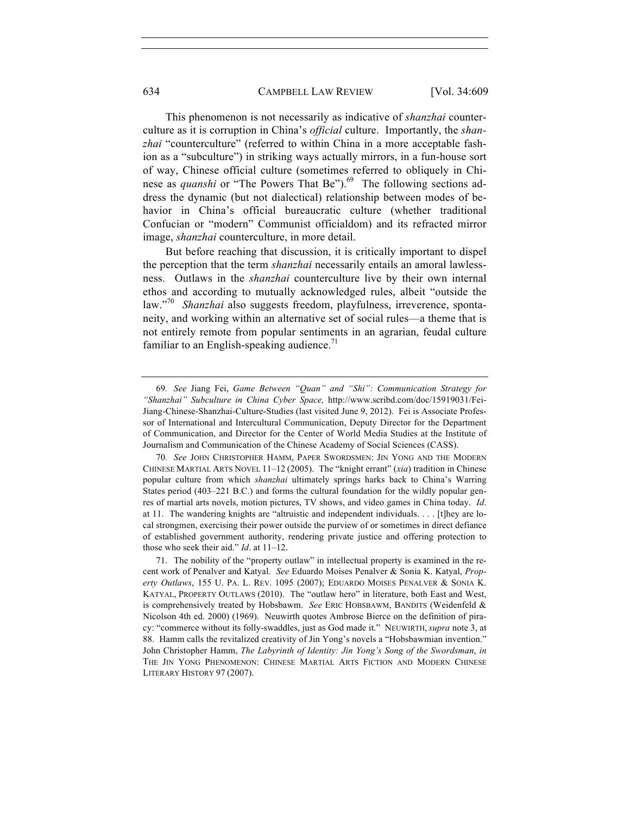#### 634 CAMPBELL LAW REVIEW [Vol. 34:609

This phenomenon is not necessarily as indicative of *shanzhai* counterculture as it is corruption in China's *official* culture. Importantly, the *shanzhai* "counterculture" (referred to within China in a more acceptable fashion as a "subculture") in striking ways actually mirrors, in a fun-house sort of way, Chinese official culture (sometimes referred to obliquely in Chinese as *quanshi* or "The Powers That Be").<sup>69</sup> The following sections address the dynamic (but not dialectical) relationship between modes of behavior in China's official bureaucratic culture (whether traditional Confucian or "modern" Communist officialdom) and its refracted mirror image, *shanzhai* counterculture, in more detail.

But before reaching that discussion, it is critically important to dispel the perception that the term *shanzhai* necessarily entails an amoral lawlessness. Outlaws in the *shanzhai* counterculture live by their own internal ethos and according to mutually acknowledged rules, albeit "outside the law."70 *Shanzhai* also suggests freedom, playfulness, irreverence, spontaneity, and working within an alternative set of social rules—a theme that is not entirely remote from popular sentiments in an agrarian, feudal culture familiar to an English-speaking audience.<sup>71</sup>

<sup>69</sup>*. See* Jiang Fei, *Game Between "Quan" and "Shi": Communication Strategy for "Shanzhai" Subculture in China Cyber Space,* http://www.scribd.com/doc/15919031/Fei-Jiang-Chinese-Shanzhai-Culture-Studies (last visited June 9, 2012). Fei is Associate Professor of International and Intercultural Communication, Deputy Director for the Department of Communication, and Director for the Center of World Media Studies at the Institute of Journalism and Communication of the Chinese Academy of Social Sciences (CASS).

<sup>70</sup>*. See* JOHN CHRISTOPHER HAMM, PAPER SWORDSMEN: JIN YONG AND THE MODERN CHINESE MARTIAL ARTS NOVEL 11–12 (2005). The "knight errant" (*xia*) tradition in Chinese popular culture from which *shanzhai* ultimately springs harks back to China's Warring States period (403–221 B.C.) and forms the cultural foundation for the wildly popular genres of martial arts novels, motion pictures, TV shows, and video games in China today. *Id*. at 11. The wandering knights are "altruistic and independent individuals. . . . [t]hey are local strongmen, exercising their power outside the purview of or sometimes in direct defiance of established government authority, rendering private justice and offering protection to those who seek their aid." *Id*. at 11–12.

<sup>71.</sup> The nobility of the "property outlaw" in intellectual property is examined in the recent work of Penalver and Katyal. *See* Eduardo Moises Penalver & Sonia K. Katyal, *Property Outlaws*, 155 U. PA. L. REV. 1095 (2007); EDUARDO MOISES PENALVER & SONIA K. KATYAL, PROPERTY OUTLAWS (2010). The "outlaw hero" in literature, both East and West, is comprehensively treated by Hobsbawm. *See* ERIC HOBSBAWM, BANDITS (Weidenfeld & Nicolson 4th ed. 2000) (1969). Neuwirth quotes Ambrose Bierce on the definition of piracy: "commerce without its folly-swaddles, just as God made it." NEUWIRTH, *supra* note 3, at 88. Hamm calls the revitalized creativity of Jin Yong's novels a "Hobsbawmian invention." John Christopher Hamm, *The Labyrinth of Identity: Jin Yong's Song of the Swordsman*, *in* THE JIN YONG PHENOMENON: CHINESE MARTIAL ARTS FICTION AND MODERN CHINESE LITERARY HISTORY 97 (2007).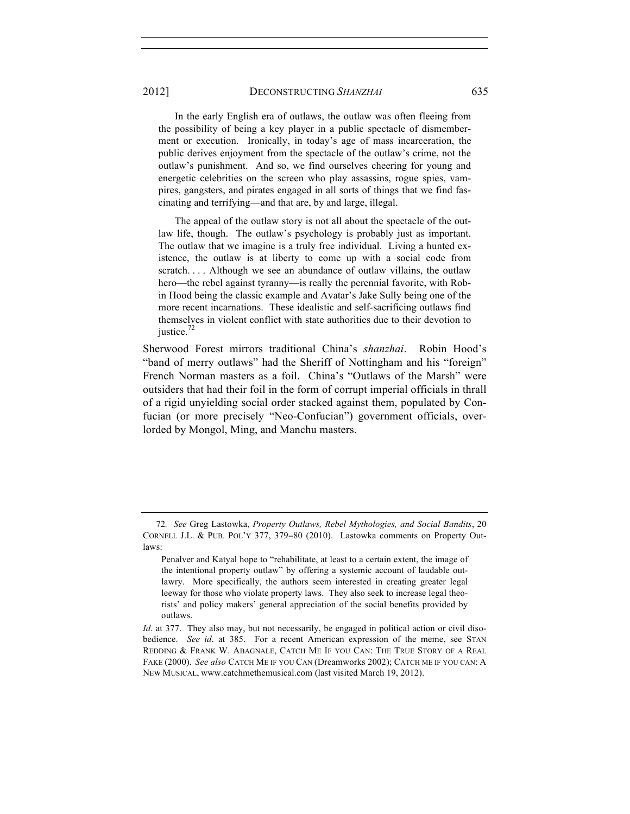2012] DECONSTRUCTING *SHANZHAI* 635

 In the early English era of outlaws, the outlaw was often fleeing from the possibility of being a key player in a public spectacle of dismemberment or execution. Ironically, in today's age of mass incarceration, the public derives enjoyment from the spectacle of the outlaw's crime, not the outlaw's punishment. And so, we find ourselves cheering for young and energetic celebrities on the screen who play assassins, rogue spies, vampires, gangsters, and pirates engaged in all sorts of things that we find fascinating and terrifying—and that are, by and large, illegal.

 The appeal of the outlaw story is not all about the spectacle of the outlaw life, though. The outlaw's psychology is probably just as important. The outlaw that we imagine is a truly free individual. Living a hunted existence, the outlaw is at liberty to come up with a social code from scratch. . . . Although we see an abundance of outlaw villains, the outlaw hero—the rebel against tyranny—is really the perennial favorite, with Robin Hood being the classic example and Avatar's Jake Sully being one of the more recent incarnations. These idealistic and self-sacrificing outlaws find themselves in violent conflict with state authorities due to their devotion to justice.<sup>72</sup>

Sherwood Forest mirrors traditional China's *shanzhai*. Robin Hood's "band of merry outlaws" had the Sheriff of Nottingham and his "foreign" French Norman masters as a foil. China's "Outlaws of the Marsh" were outsiders that had their foil in the form of corrupt imperial officials in thrall of a rigid unyielding social order stacked against them, populated by Confucian (or more precisely "Neo-Confucian") government officials, overlorded by Mongol, Ming, and Manchu masters.

<sup>72</sup>*. See* Greg Lastowka, *Property Outlaws, Rebel Mythologies, and Social Bandits*, 20 CORNELL J.L. & PUB. POL'Y 377, 379−80 (2010). Lastowka comments on Property Outlaws:

Penalver and Katyal hope to "rehabilitate, at least to a certain extent, the image of the intentional property outlaw" by offering a systemic account of laudable outlawry. More specifically, the authors seem interested in creating greater legal leeway for those who violate property laws. They also seek to increase legal theorists' and policy makers' general appreciation of the social benefits provided by outlaws.

*Id.* at 377. They also may, but not necessarily, be engaged in political action or civil disobedience. *See id*. at 385. For a recent American expression of the meme, see STAN REDDING & FRANK W. ABAGNALE, CATCH ME IF YOU CAN: THE TRUE STORY OF A REAL FAKE (2000). *See also* CATCH ME IF YOU CAN (Dreamworks 2002); CATCH ME IF YOU CAN: A NEW MUSICAL, www.catchmethemusical.com (last visited March 19, 2012).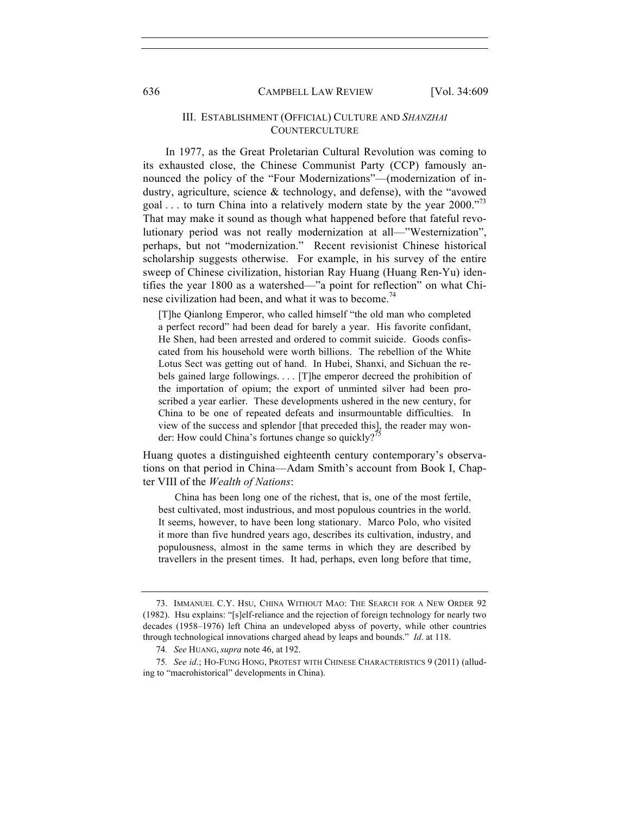## III. ESTABLISHMENT (OFFICIAL) CULTURE AND *SHANZHAI* **COUNTERCULTURE**

In 1977, as the Great Proletarian Cultural Revolution was coming to its exhausted close, the Chinese Communist Party (CCP) famously announced the policy of the "Four Modernizations"—(modernization of industry, agriculture, science & technology, and defense), with the "avowed goal ... to turn China into a relatively modern state by the year  $2000.^{37}$ That may make it sound as though what happened before that fateful revolutionary period was not really modernization at all—"Westernization", perhaps, but not "modernization." Recent revisionist Chinese historical scholarship suggests otherwise. For example, in his survey of the entire sweep of Chinese civilization, historian Ray Huang (Huang Ren-Yu) identifies the year 1800 as a watershed—"a point for reflection" on what Chinese civilization had been, and what it was to become.<sup>74</sup>

[T]he Qianlong Emperor, who called himself "the old man who completed a perfect record" had been dead for barely a year. His favorite confidant, He Shen, had been arrested and ordered to commit suicide. Goods confiscated from his household were worth billions. The rebellion of the White Lotus Sect was getting out of hand. In Hubei, Shanxi, and Sichuan the rebels gained large followings. . . . [T]he emperor decreed the prohibition of the importation of opium; the export of unminted silver had been proscribed a year earlier. These developments ushered in the new century, for China to be one of repeated defeats and insurmountable difficulties. In view of the success and splendor [that preceded this], the reader may wonder: How could China's fortunes change so quickly?<sup>7</sup>

Huang quotes a distinguished eighteenth century contemporary's observations on that period in China—Adam Smith's account from Book I, Chapter VIII of the *Wealth of Nations*:

 China has been long one of the richest, that is, one of the most fertile, best cultivated, most industrious, and most populous countries in the world. It seems, however, to have been long stationary. Marco Polo, who visited it more than five hundred years ago, describes its cultivation, industry, and populousness, almost in the same terms in which they are described by travellers in the present times. It had, perhaps, even long before that time,

<sup>73.</sup> IMMANUEL C.Y. HSU, CHINA WITHOUT MAO: THE SEARCH FOR A NEW ORDER 92 (1982). Hsu explains: "[s]elf-reliance and the rejection of foreign technology for nearly two decades (1958–1976) left China an undeveloped abyss of poverty, while other countries through technological innovations charged ahead by leaps and bounds." *Id*. at 118.

<sup>74</sup>*. See* HUANG, *supra* note 46, at 192.

<sup>75</sup>*. See id*.; HO-FUNG HONG, PROTEST WITH CHINESE CHARACTERISTICS 9 (2011) (alluding to "macrohistorical" developments in China).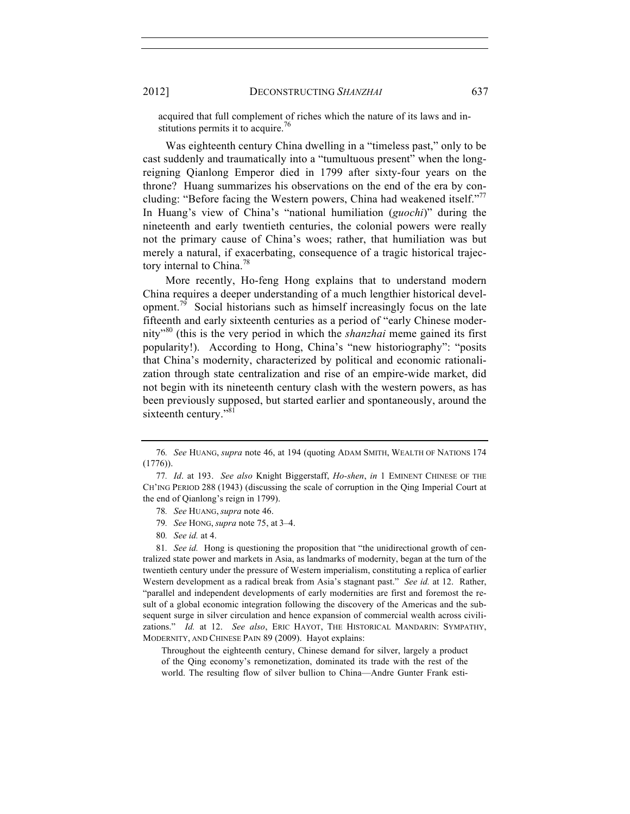acquired that full complement of riches which the nature of its laws and institutions permits it to acquire.<sup>76</sup>

Was eighteenth century China dwelling in a "timeless past," only to be cast suddenly and traumatically into a "tumultuous present" when the longreigning Qianlong Emperor died in 1799 after sixty-four years on the throne? Huang summarizes his observations on the end of the era by concluding: "Before facing the Western powers, China had weakened itself."<sup>77</sup> In Huang's view of China's "national humiliation (*guochi*)" during the nineteenth and early twentieth centuries, the colonial powers were really not the primary cause of China's woes; rather, that humiliation was but merely a natural, if exacerbating, consequence of a tragic historical trajectory internal to China.<sup>78</sup>

More recently, Ho-feng Hong explains that to understand modern China requires a deeper understanding of a much lengthier historical development.<sup>79</sup> Social historians such as himself increasingly focus on the late fifteenth and early sixteenth centuries as a period of "early Chinese modernity"<sup>80</sup> (this is the very period in which the *shanzhai* meme gained its first popularity!). According to Hong, China's "new historiography": "posits that China's modernity, characterized by political and economic rationalization through state centralization and rise of an empire-wide market, did not begin with its nineteenth century clash with the western powers, as has been previously supposed, but started earlier and spontaneously, around the sixteenth century."<sup>81</sup>

81*. See id.* Hong is questioning the proposition that "the unidirectional growth of centralized state power and markets in Asia, as landmarks of modernity, began at the turn of the twentieth century under the pressure of Western imperialism, constituting a replica of earlier Western development as a radical break from Asia's stagnant past." *See id.* at 12. Rather, "parallel and independent developments of early modernities are first and foremost the result of a global economic integration following the discovery of the Americas and the subsequent surge in silver circulation and hence expansion of commercial wealth across civilizations." *Id.* at 12. *See also*, ERIC HAYOT, THE HISTORICAL MANDARIN: SYMPATHY, MODERNITY, AND CHINESE PAIN 89 (2009). Hayot explains:

Throughout the eighteenth century, Chinese demand for silver, largely a product of the Qing economy's remonetization, dominated its trade with the rest of the world. The resulting flow of silver bullion to China—Andre Gunter Frank esti-

<sup>76</sup>*. See* HUANG, *supra* note 46, at 194 (quoting ADAM SMITH, WEALTH OF NATIONS 174 (1776)).

<sup>77</sup>*. Id*. at 193. *See also* Knight Biggerstaff, *Ho-shen*, *in* 1 EMINENT CHINESE OF THE CH'ING PERIOD 288 (1943) (discussing the scale of corruption in the Qing Imperial Court at the end of Qianlong's reign in 1799).

<sup>78</sup>*. See* HUANG, *supra* note 46.

<sup>79</sup>*. See* HONG, *supra* note 75, at 3–4.

<sup>80</sup>*. See id.* at 4.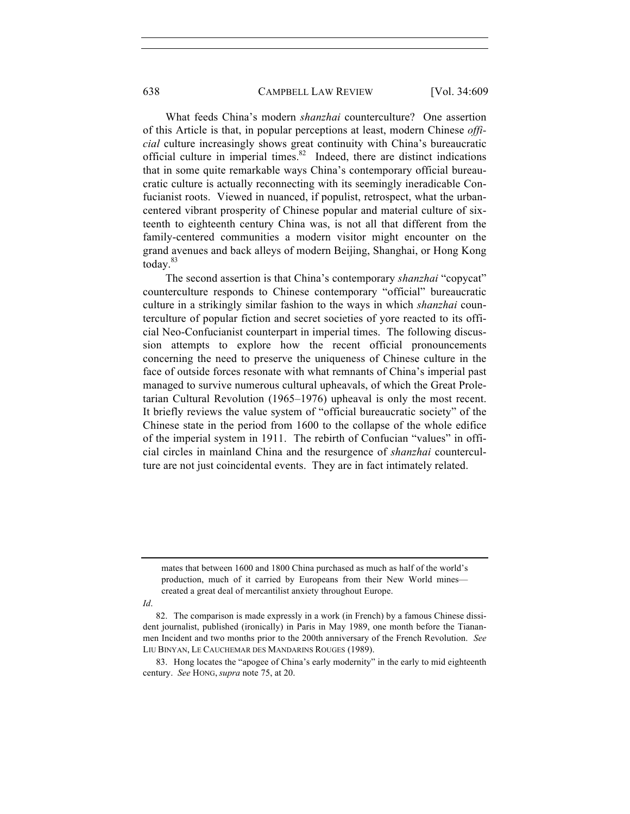638 CAMPBELL LAW REVIEW [Vol. 34:609]

What feeds China's modern *shanzhai* counterculture? One assertion of this Article is that, in popular perceptions at least, modern Chinese *official* culture increasingly shows great continuity with China's bureaucratic official culture in imperial times. $82$  Indeed, there are distinct indications that in some quite remarkable ways China's contemporary official bureaucratic culture is actually reconnecting with its seemingly ineradicable Confucianist roots. Viewed in nuanced, if populist, retrospect, what the urbancentered vibrant prosperity of Chinese popular and material culture of sixteenth to eighteenth century China was, is not all that different from the family-centered communities a modern visitor might encounter on the grand avenues and back alleys of modern Beijing, Shanghai, or Hong Kong today. $83$ 

The second assertion is that China's contemporary *shanzhai* "copycat" counterculture responds to Chinese contemporary "official" bureaucratic culture in a strikingly similar fashion to the ways in which *shanzhai* counterculture of popular fiction and secret societies of yore reacted to its official Neo-Confucianist counterpart in imperial times. The following discussion attempts to explore how the recent official pronouncements concerning the need to preserve the uniqueness of Chinese culture in the face of outside forces resonate with what remnants of China's imperial past managed to survive numerous cultural upheavals, of which the Great Proletarian Cultural Revolution (1965–1976) upheaval is only the most recent. It briefly reviews the value system of "official bureaucratic society" of the Chinese state in the period from 1600 to the collapse of the whole edifice of the imperial system in 1911. The rebirth of Confucian "values" in official circles in mainland China and the resurgence of *shanzhai* counterculture are not just coincidental events. They are in fact intimately related.

*Id*.

mates that between 1600 and 1800 China purchased as much as half of the world's production, much of it carried by Europeans from their New World mines created a great deal of mercantilist anxiety throughout Europe.

<sup>82.</sup> The comparison is made expressly in a work (in French) by a famous Chinese dissident journalist, published (ironically) in Paris in May 1989, one month before the Tiananmen Incident and two months prior to the 200th anniversary of the French Revolution. *See* LIU BINYAN, LE CAUCHEMAR DES MANDARINS ROUGES (1989).

<sup>83.</sup> Hong locates the "apogee of China's early modernity" in the early to mid eighteenth century. *See* HONG, *supra* note 75, at 20.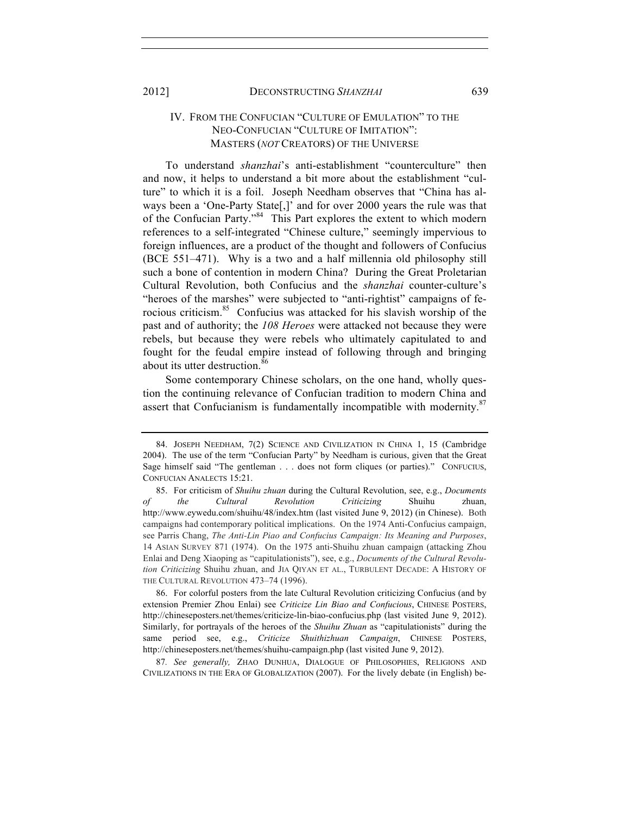# IV. FROM THE CONFUCIAN "CULTURE OF EMULATION" TO THE NEO-CONFUCIAN "CULTURE OF IMITATION": MASTERS (*NOT* CREATORS) OF THE UNIVERSE

To understand *shanzhai*'s anti-establishment "counterculture" then and now, it helps to understand a bit more about the establishment "culture" to which it is a foil. Joseph Needham observes that "China has always been a 'One-Party State[,]' and for over 2000 years the rule was that of the Confucian Party."<sup>84</sup> This Part explores the extent to which modern references to a self-integrated "Chinese culture," seemingly impervious to foreign influences, are a product of the thought and followers of Confucius (BCE 551–471). Why is a two and a half millennia old philosophy still such a bone of contention in modern China? During the Great Proletarian Cultural Revolution, both Confucius and the *shanzhai* counter-culture's "heroes of the marshes" were subjected to "anti-rightist" campaigns of ferocious criticism.<sup>85</sup> Confucius was attacked for his slavish worship of the past and of authority; the *108 Heroes* were attacked not because they were rebels, but because they were rebels who ultimately capitulated to and fought for the feudal empire instead of following through and bringing about its utter destruction.<sup>86</sup>

Some contemporary Chinese scholars, on the one hand, wholly question the continuing relevance of Confucian tradition to modern China and assert that Confucianism is fundamentally incompatible with modernity.<sup>87</sup>

86. For colorful posters from the late Cultural Revolution criticizing Confucius (and by extension Premier Zhou Enlai) see *Criticize Lin Biao and Confucious*, CHINESE POSTERS, http://chineseposters.net/themes/criticize-lin-biao-confucius.php (last visited June 9, 2012). Similarly, for portrayals of the heroes of the *Shuihu Zhuan* as "capitulationists" during the same period see, e.g., *Criticize Shuithizhuan Campaign*, CHINESE POSTERS, http://chineseposters.net/themes/shuihu-campaign.php (last visited June 9, 2012).

87*. See generally,* ZHAO DUNHUA, DIALOGUE OF PHILOSOPHIES, RELIGIONS AND CIVILIZATIONS IN THE ERA OF GLOBALIZATION (2007). For the lively debate (in English) be-

<sup>84.</sup> JOSEPH NEEDHAM, 7(2) SCIENCE AND CIVILIZATION IN CHINA 1, 15 (Cambridge 2004). The use of the term "Confucian Party" by Needham is curious, given that the Great Sage himself said "The gentleman . . . does not form cliques (or parties)." CONFUCIUS, CONFUCIAN ANALECTS 15:21.

<sup>85.</sup> For criticism of *Shuihu zhuan* during the Cultural Revolution, see, e.g., *Documents of the Cultural Revolution Criticizing* Shuihu zhuan, http://www.eywedu.com/shuihu/48/index.htm (last visited June 9, 2012) (in Chinese). Both campaigns had contemporary political implications. On the 1974 Anti-Confucius campaign, see Parris Chang, *The Anti-Lin Piao and Confucius Campaign: Its Meaning and Purposes*, 14 ASIAN SURVEY 871 (1974). On the 1975 anti-Shuihu zhuan campaign (attacking Zhou Enlai and Deng Xiaoping as "capitulationists"), see, e.g., *Documents of the Cultural Revolution Criticizing* Shuihu zhuan, and JIA QIYAN ET AL., TURBULENT DECADE: A HISTORY OF THE CULTURAL REVOLUTION 473–74 (1996).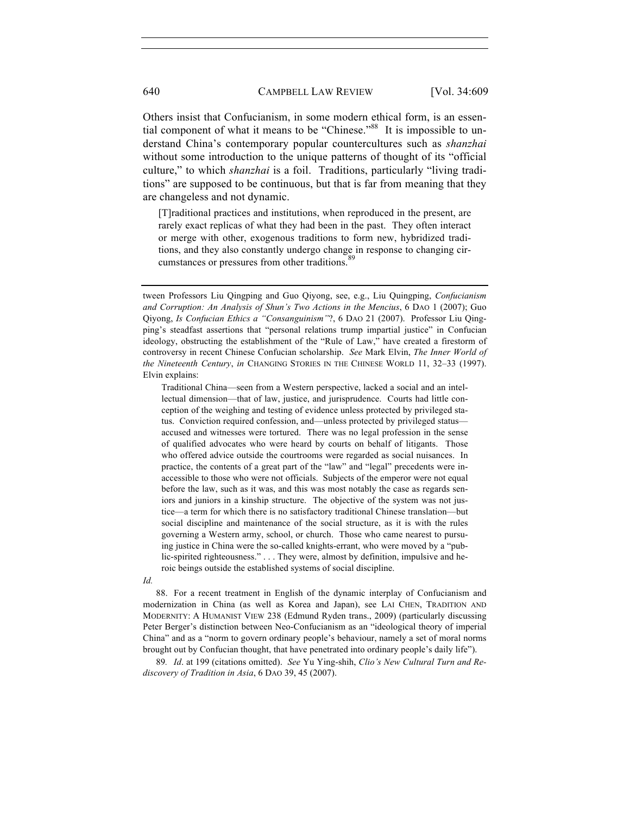Others insist that Confucianism, in some modern ethical form, is an essential component of what it means to be "Chinese."<sup>88</sup> It is impossible to understand China's contemporary popular countercultures such as *shanzhai* without some introduction to the unique patterns of thought of its "official culture," to which *shanzhai* is a foil. Traditions, particularly "living traditions" are supposed to be continuous, but that is far from meaning that they are changeless and not dynamic.

[T]raditional practices and institutions, when reproduced in the present, are rarely exact replicas of what they had been in the past. They often interact or merge with other, exogenous traditions to form new, hybridized traditions, and they also constantly undergo change in response to changing circumstances or pressures from other traditions.<sup>89</sup>

Traditional China—seen from a Western perspective, lacked a social and an intellectual dimension—that of law, justice, and jurisprudence. Courts had little conception of the weighing and testing of evidence unless protected by privileged status. Conviction required confession, and—unless protected by privileged status accused and witnesses were tortured. There was no legal profession in the sense of qualified advocates who were heard by courts on behalf of litigants. Those who offered advice outside the courtrooms were regarded as social nuisances. In practice, the contents of a great part of the "law" and "legal" precedents were inaccessible to those who were not officials. Subjects of the emperor were not equal before the law, such as it was, and this was most notably the case as regards seniors and juniors in a kinship structure. The objective of the system was not justice—a term for which there is no satisfactory traditional Chinese translation—but social discipline and maintenance of the social structure, as it is with the rules governing a Western army, school, or church. Those who came nearest to pursuing justice in China were the so-called knights-errant, who were moved by a "public-spirited righteousness." . . . They were, almost by definition, impulsive and heroic beings outside the established systems of social discipline.

*Id.*

88. For a recent treatment in English of the dynamic interplay of Confucianism and modernization in China (as well as Korea and Japan), see LAI CHEN, TRADITION AND MODERNITY: A HUMANIST VIEW 238 (Edmund Ryden trans., 2009) (particularly discussing Peter Berger's distinction between Neo-Confucianism as an "ideological theory of imperial China" and as a "norm to govern ordinary people's behaviour, namely a set of moral norms brought out by Confucian thought, that have penetrated into ordinary people's daily life").

89*. Id*. at 199 (citations omitted). *See* Yu Ying-shih, *Clio's New Cultural Turn and Rediscovery of Tradition in Asia*, 6 DAO 39, 45 (2007).

tween Professors Liu Qingping and Guo Qiyong, see, e.g., Liu Quingping, *Confucianism and Corruption: An Analysis of Shun's Two Actions in the Mencius*, 6 DAO 1 (2007); Guo Qiyong, *Is Confucian Ethics a "Consanguinism"*?, 6 DAO 21 (2007). Professor Liu Qingping's steadfast assertions that "personal relations trump impartial justice" in Confucian ideology, obstructing the establishment of the "Rule of Law," have created a firestorm of controversy in recent Chinese Confucian scholarship. *See* Mark Elvin, *The Inner World of the Nineteenth Century*, *in* CHANGING STORIES IN THE CHINESE WORLD 11, 32–33 (1997). Elvin explains: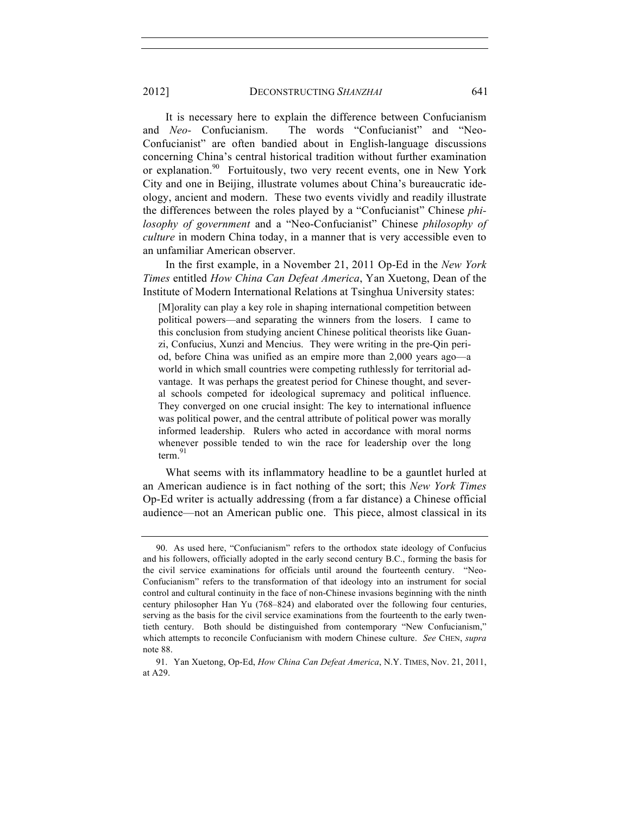2012] DECONSTRUCTING *SHANZHAI* 641

It is necessary here to explain the difference between Confucianism and *Neo-* Confucianism. The words "Confucianist" and "Neo-Confucianist" are often bandied about in English-language discussions concerning China's central historical tradition without further examination or explanation.<sup>90</sup> Fortuitously, two very recent events, one in New York City and one in Beijing, illustrate volumes about China's bureaucratic ideology, ancient and modern. These two events vividly and readily illustrate the differences between the roles played by a "Confucianist" Chinese *philosophy of government* and a "Neo-Confucianist" Chinese *philosophy of culture* in modern China today, in a manner that is very accessible even to an unfamiliar American observer.

In the first example, in a November 21, 2011 Op-Ed in the *New York Times* entitled *How China Can Defeat America*, Yan Xuetong, Dean of the Institute of Modern International Relations at Tsinghua University states:

[M]orality can play a key role in shaping international competition between political powers—and separating the winners from the losers. I came to this conclusion from studying ancient Chinese political theorists like Guanzi, Confucius, Xunzi and Mencius. They were writing in the pre-Qin period, before China was unified as an empire more than 2,000 years ago—a world in which small countries were competing ruthlessly for territorial advantage. It was perhaps the greatest period for Chinese thought, and several schools competed for ideological supremacy and political influence. They converged on one crucial insight: The key to international influence was political power, and the central attribute of political power was morally informed leadership. Rulers who acted in accordance with moral norms whenever possible tended to win the race for leadership over the long  $term<sup>91</sup>$ 

What seems with its inflammatory headline to be a gauntlet hurled at an American audience is in fact nothing of the sort; this *New York Times* Op-Ed writer is actually addressing (from a far distance) a Chinese official audience—not an American public one. This piece, almost classical in its

<sup>90.</sup> As used here, "Confucianism" refers to the orthodox state ideology of Confucius and his followers, officially adopted in the early second century B.C., forming the basis for the civil service examinations for officials until around the fourteenth century. "Neo-Confucianism" refers to the transformation of that ideology into an instrument for social control and cultural continuity in the face of non-Chinese invasions beginning with the ninth century philosopher Han Yu (768–824) and elaborated over the following four centuries, serving as the basis for the civil service examinations from the fourteenth to the early twentieth century. Both should be distinguished from contemporary "New Confucianism," which attempts to reconcile Confucianism with modern Chinese culture. *See* CHEN, *supra* note 88.

<sup>91.</sup> Yan Xuetong, Op-Ed, *How China Can Defeat America*, N.Y. TIMES, Nov. 21, 2011, at A29.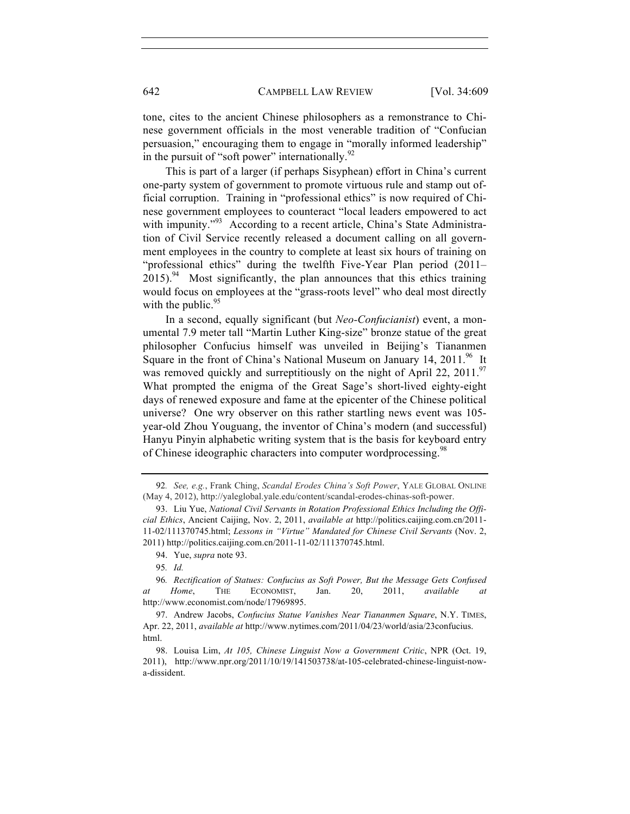tone, cites to the ancient Chinese philosophers as a remonstrance to Chinese government officials in the most venerable tradition of "Confucian persuasion," encouraging them to engage in "morally informed leadership" in the pursuit of "soft power" internationally. $92$ 

This is part of a larger (if perhaps Sisyphean) effort in China's current one-party system of government to promote virtuous rule and stamp out official corruption. Training in "professional ethics" is now required of Chinese government employees to counteract "local leaders empowered to act with impunity."<sup>93</sup> According to a recent article, China's State Administration of Civil Service recently released a document calling on all government employees in the country to complete at least six hours of training on "professional ethics" during the twelfth Five-Year Plan period (2011–  $2015$ ).<sup>94</sup> Most significantly, the plan announces that this ethics training would focus on employees at the "grass-roots level" who deal most directly with the public.  $95$ 

In a second, equally significant (but *Neo-Confucianist*) event, a monumental 7.9 meter tall "Martin Luther King-size" bronze statue of the great philosopher Confucius himself was unveiled in Beijing's Tiananmen Square in the front of China's National Museum on January  $14, 2011$ .<sup>96</sup> It was removed quickly and surreptitiously on the night of April 22, 2011.<sup>97</sup> What prompted the enigma of the Great Sage's short-lived eighty-eight days of renewed exposure and fame at the epicenter of the Chinese political universe? One wry observer on this rather startling news event was 105 year-old Zhou Youguang, the inventor of China's modern (and successful) Hanyu Pinyin alphabetic writing system that is the basis for keyboard entry of Chinese ideographic characters into computer wordprocessing.<sup>98</sup>

<sup>92</sup>*. See, e.g.*, Frank Ching, *Scandal Erodes China's Soft Power*, YALE GLOBAL ONLINE (May 4, 2012), http://yaleglobal.yale.edu/content/scandal-erodes-chinas-soft-power.

<sup>93.</sup> Liu Yue, *National Civil Servants in Rotation Professional Ethics Including the Official Ethics*, Ancient Caijing, Nov. 2, 2011, *available at* http://politics.caijing.com.cn/2011- 11-02/111370745.html; *Lessons in "Virtue" Mandated for Chinese Civil Servants* (Nov. 2, 2011) http://politics.caijing.com.cn/2011-11-02/111370745.html.

<sup>94.</sup> Yue, *supra* note 93.

<sup>95</sup>*. Id.*

<sup>96</sup>*. Rectification of Statues: Confucius as Soft Power, But the Message Gets Confused at Home*, THE ECONOMIST, Jan. 20, 2011, *available at* http://www.economist.com/node/17969895.

<sup>97.</sup> Andrew Jacobs, *Confucius Statue Vanishes Near Tiananmen Square*, N.Y. TIMES, Apr. 22, 2011, *available at* http://www.nytimes.com/2011/04/23/world/asia/23confucius. html.

<sup>98.</sup> Louisa Lim, *At 105, Chinese Linguist Now a Government Critic*, NPR (Oct. 19, 2011), http://www.npr.org/2011/10/19/141503738/at-105-celebrated-chinese-linguist-nowa-dissident.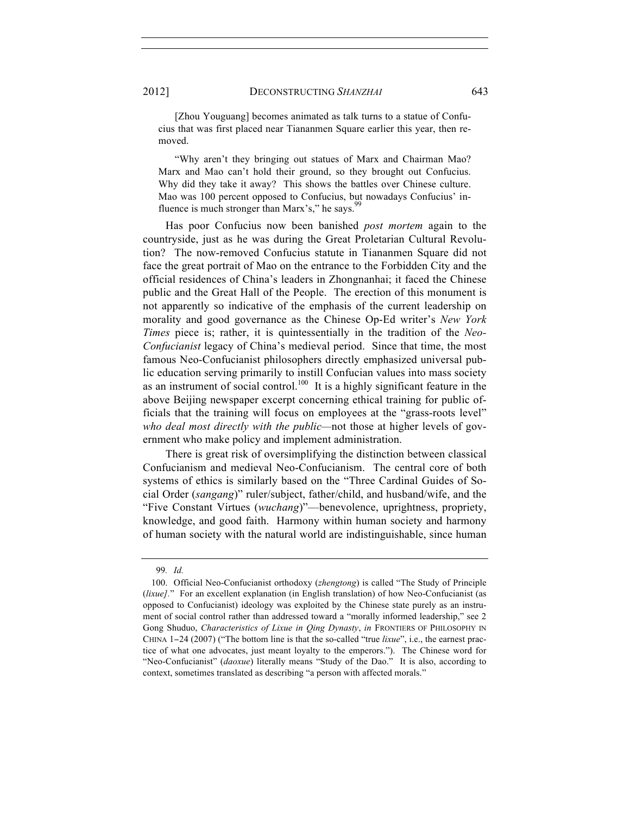[Zhou Youguang] becomes animated as talk turns to a statue of Confucius that was first placed near Tiananmen Square earlier this year, then removed.

 "Why aren't they bringing out statues of Marx and Chairman Mao? Marx and Mao can't hold their ground, so they brought out Confucius. Why did they take it away? This shows the battles over Chinese culture. Mao was 100 percent opposed to Confucius, but nowadays Confucius' influence is much stronger than Marx's," he says.<sup>99</sup>

Has poor Confucius now been banished *post mortem* again to the countryside, just as he was during the Great Proletarian Cultural Revolution? The now-removed Confucius statute in Tiananmen Square did not face the great portrait of Mao on the entrance to the Forbidden City and the official residences of China's leaders in Zhongnanhai; it faced the Chinese public and the Great Hall of the People. The erection of this monument is not apparently so indicative of the emphasis of the current leadership on morality and good governance as the Chinese Op-Ed writer's *New York Times* piece is; rather, it is quintessentially in the tradition of the *Neo-Confucianist* legacy of China's medieval period. Since that time, the most famous Neo-Confucianist philosophers directly emphasized universal public education serving primarily to instill Confucian values into mass society as an instrument of social control.<sup>100</sup> It is a highly significant feature in the above Beijing newspaper excerpt concerning ethical training for public officials that the training will focus on employees at the "grass-roots level" *who deal most directly with the public—*not those at higher levels of government who make policy and implement administration.

There is great risk of oversimplifying the distinction between classical Confucianism and medieval Neo-Confucianism. The central core of both systems of ethics is similarly based on the "Three Cardinal Guides of Social Order (*sangang*)" ruler/subject, father/child, and husband/wife, and the "Five Constant Virtues (*wuchang*)"—benevolence, uprightness, propriety, knowledge, and good faith. Harmony within human society and harmony of human society with the natural world are indistinguishable, since human

<sup>99</sup>*. Id.*

<sup>100.</sup> Official Neo-Confucianist orthodoxy (*zhengtong*) is called "The Study of Principle (*lixue].*" For an excellent explanation (in English translation) of how Neo-Confucianist (as opposed to Confucianist) ideology was exploited by the Chinese state purely as an instrument of social control rather than addressed toward a "morally informed leadership," see 2 Gong Shuduo, *Characteristics of Lixue in Qing Dynasty*, *in* FRONTIERS OF PHILOSOPHY IN CHINA 1−24 (2007) ("The bottom line is that the so-called "true *lixue*", i.e., the earnest practice of what one advocates, just meant loyalty to the emperors."). The Chinese word for "Neo-Confucianist" (*daoxue*) literally means "Study of the Dao." It is also, according to context, sometimes translated as describing "a person with affected morals."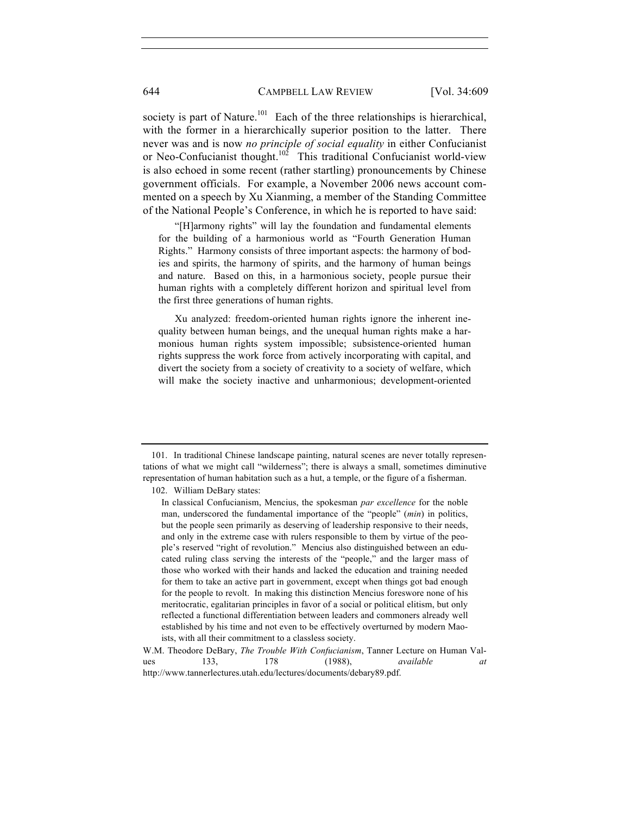society is part of Nature.<sup>101</sup> Each of the three relationships is hierarchical. with the former in a hierarchically superior position to the latter. There never was and is now *no principle of social equality* in either Confucianist or Neo-Confucianist thought.<sup>102</sup> This traditional Confucianist world-view is also echoed in some recent (rather startling) pronouncements by Chinese government officials. For example, a November 2006 news account commented on a speech by Xu Xianming, a member of the Standing Committee of the National People's Conference, in which he is reported to have said:

 "[H]armony rights" will lay the foundation and fundamental elements for the building of a harmonious world as "Fourth Generation Human Rights." Harmony consists of three important aspects: the harmony of bodies and spirits, the harmony of spirits, and the harmony of human beings and nature. Based on this, in a harmonious society, people pursue their human rights with a completely different horizon and spiritual level from the first three generations of human rights.

 Xu analyzed: freedom-oriented human rights ignore the inherent inequality between human beings, and the unequal human rights make a harmonious human rights system impossible; subsistence-oriented human rights suppress the work force from actively incorporating with capital, and divert the society from a society of creativity to a society of welfare, which will make the society inactive and unharmonious; development-oriented

102. William DeBary states:

<sup>101.</sup> In traditional Chinese landscape painting, natural scenes are never totally representations of what we might call "wilderness"; there is always a small, sometimes diminutive representation of human habitation such as a hut, a temple, or the figure of a fisherman.

In classical Confucianism, Mencius, the spokesman *par excellence* for the noble man, underscored the fundamental importance of the "people" (*min*) in politics, but the people seen primarily as deserving of leadership responsive to their needs, and only in the extreme case with rulers responsible to them by virtue of the people's reserved "right of revolution." Mencius also distinguished between an educated ruling class serving the interests of the "people," and the larger mass of those who worked with their hands and lacked the education and training needed for them to take an active part in government, except when things got bad enough for the people to revolt. In making this distinction Mencius foreswore none of his meritocratic, egalitarian principles in favor of a social or political elitism, but only reflected a functional differentiation between leaders and commoners already well established by his time and not even to be effectively overturned by modern Maoists, with all their commitment to a classless society.

W.M. Theodore DeBary, *The Trouble With Confucianism*, Tanner Lecture on Human Values 133, 178 (1988), *available at* http://www.tannerlectures.utah.edu/lectures/documents/debary89.pdf.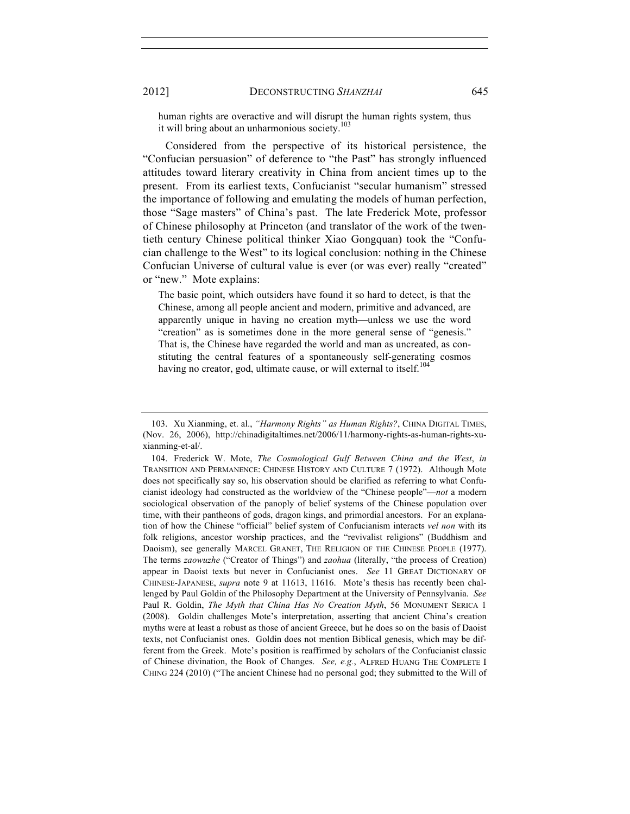human rights are overactive and will disrupt the human rights system, thus it will bring about an unharmonious society.<sup>103</sup>

Considered from the perspective of its historical persistence, the "Confucian persuasion" of deference to "the Past" has strongly influenced attitudes toward literary creativity in China from ancient times up to the present. From its earliest texts, Confucianist "secular humanism" stressed the importance of following and emulating the models of human perfection, those "Sage masters" of China's past. The late Frederick Mote, professor of Chinese philosophy at Princeton (and translator of the work of the twentieth century Chinese political thinker Xiao Gongquan) took the "Confucian challenge to the West" to its logical conclusion: nothing in the Chinese Confucian Universe of cultural value is ever (or was ever) really "created" or "new." Mote explains:

The basic point, which outsiders have found it so hard to detect, is that the Chinese, among all people ancient and modern, primitive and advanced, are apparently unique in having no creation myth—unless we use the word "creation" as is sometimes done in the more general sense of "genesis." That is, the Chinese have regarded the world and man as uncreated, as constituting the central features of a spontaneously self-generating cosmos having no creator, god, ultimate cause, or will external to itself.<sup>104</sup>

<sup>103.</sup> Xu Xianming, et. al., *"Harmony Rights" as Human Rights?*, CHINA DIGITAL TIMES, (Nov. 26, 2006), http://chinadigitaltimes.net/2006/11/harmony-rights-as-human-rights-xuxianming-et-al/.

<sup>104.</sup> Frederick W. Mote, *The Cosmological Gulf Between China and the West*, *in* TRANSITION AND PERMANENCE: CHINESE HISTORY AND CULTURE 7 (1972). Although Mote does not specifically say so, his observation should be clarified as referring to what Confucianist ideology had constructed as the worldview of the "Chinese people"—*not* a modern sociological observation of the panoply of belief systems of the Chinese population over time, with their pantheons of gods, dragon kings, and primordial ancestors. For an explanation of how the Chinese "official" belief system of Confucianism interacts *vel non* with its folk religions, ancestor worship practices, and the "revivalist religions" (Buddhism and Daoism), see generally MARCEL GRANET, THE RELIGION OF THE CHINESE PEOPLE (1977). The terms *zaowuzhe* ("Creator of Things") and *zaohua* (literally, "the process of Creation) appear in Daoist texts but never in Confucianist ones. *See* 11 GREAT DICTIONARY OF CHINESE-JAPANESE, *supra* note 9 at 11613, 11616. Mote's thesis has recently been challenged by Paul Goldin of the Philosophy Department at the University of Pennsylvania. *See* Paul R. Goldin, *The Myth that China Has No Creation Myth*, 56 MONUMENT SERICA 1 (2008). Goldin challenges Mote's interpretation, asserting that ancient China's creation myths were at least a robust as those of ancient Greece, but he does so on the basis of Daoist texts, not Confucianist ones. Goldin does not mention Biblical genesis, which may be different from the Greek. Mote's position is reaffirmed by scholars of the Confucianist classic of Chinese divination, the Book of Changes. *See, e.g.*, ALFRED HUANG THE COMPLETE I CHING 224 (2010) ("The ancient Chinese had no personal god; they submitted to the Will of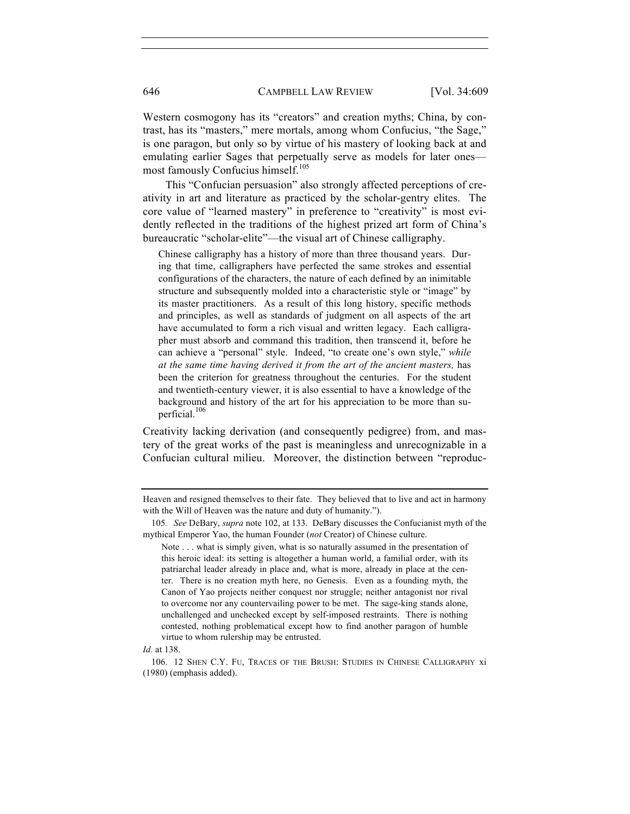Western cosmogony has its "creators" and creation myths; China, by contrast, has its "masters," mere mortals, among whom Confucius, "the Sage," is one paragon, but only so by virtue of his mastery of looking back at and emulating earlier Sages that perpetually serve as models for later ones most famously Confucius himself.<sup>105</sup>

This "Confucian persuasion" also strongly affected perceptions of creativity in art and literature as practiced by the scholar-gentry elites. The core value of "learned mastery" in preference to "creativity" is most evidently reflected in the traditions of the highest prized art form of China's bureaucratic "scholar-elite"—the visual art of Chinese calligraphy.

Chinese calligraphy has a history of more than three thousand years. During that time, calligraphers have perfected the same strokes and essential configurations of the characters, the nature of each defined by an inimitable structure and subsequently molded into a characteristic style or "image" by its master practitioners. As a result of this long history, specific methods and principles, as well as standards of judgment on all aspects of the art have accumulated to form a rich visual and written legacy. Each calligrapher must absorb and command this tradition, then transcend it, before he can achieve a "personal" style. Indeed, "to create one's own style," *while at the same time having derived it from the art of the ancient masters,* has been the criterion for greatness throughout the centuries. For the student and twentieth-century viewer, it is also essential to have a knowledge of the background and history of the art for his appreciation to be more than superficial.<sup>106</sup>

Creativity lacking derivation (and consequently pedigree) from, and mastery of the great works of the past is meaningless and unrecognizable in a Confucian cultural milieu. Moreover, the distinction between "reproduc-

Heaven and resigned themselves to their fate. They believed that to live and act in harmony with the Will of Heaven was the nature and duty of humanity.").

<sup>105</sup>*. See* DeBary, *supra* note 102, at 133. DeBary discusses the Confucianist myth of the mythical Emperor Yao, the human Founder (*not* Creator) of Chinese culture.

Note . . . what is simply given, what is so naturally assumed in the presentation of this heroic ideal: its setting is altogether a human world, a familial order, with its patriarchal leader already in place and, what is more, already in place at the center. There is no creation myth here, no Genesis. Even as a founding myth, the Canon of Yao projects neither conquest nor struggle; neither antagonist nor rival to overcome nor any countervailing power to be met. The sage-king stands alone, unchallenged and unchecked except by self-imposed restraints. There is nothing contested, nothing problematical except how to find another paragon of humble virtue to whom rulership may be entrusted.

*Id.* at 138.

<sup>106. 12</sup> SHEN C.Y. FU, TRACES OF THE BRUSH: STUDIES IN CHINESE CALLIGRAPHY xi (1980) (emphasis added).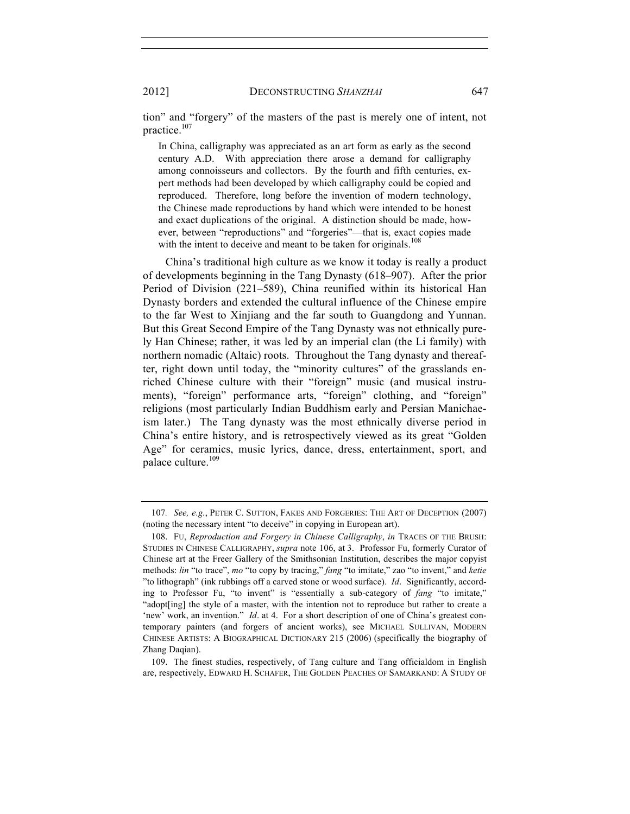2012] DECONSTRUCTING *SHANZHAI* 647

tion" and "forgery" of the masters of the past is merely one of intent, not practice.<sup>107</sup>

In China, calligraphy was appreciated as an art form as early as the second century A.D. With appreciation there arose a demand for calligraphy among connoisseurs and collectors. By the fourth and fifth centuries, expert methods had been developed by which calligraphy could be copied and reproduced. Therefore, long before the invention of modern technology, the Chinese made reproductions by hand which were intended to be honest and exact duplications of the original. A distinction should be made, however, between "reproductions" and "forgeries"—that is, exact copies made with the intent to deceive and meant to be taken for originals.<sup>108</sup>

China's traditional high culture as we know it today is really a product of developments beginning in the Tang Dynasty (618–907). After the prior Period of Division (221–589), China reunified within its historical Han Dynasty borders and extended the cultural influence of the Chinese empire to the far West to Xinjiang and the far south to Guangdong and Yunnan. But this Great Second Empire of the Tang Dynasty was not ethnically purely Han Chinese; rather, it was led by an imperial clan (the Li family) with northern nomadic (Altaic) roots. Throughout the Tang dynasty and thereafter, right down until today, the "minority cultures" of the grasslands enriched Chinese culture with their "foreign" music (and musical instruments), "foreign" performance arts, "foreign" clothing, and "foreign" religions (most particularly Indian Buddhism early and Persian Manichaeism later.) The Tang dynasty was the most ethnically diverse period in China's entire history, and is retrospectively viewed as its great "Golden Age" for ceramics, music lyrics, dance, dress, entertainment, sport, and palace culture.<sup>109</sup>

109. The finest studies, respectively, of Tang culture and Tang officialdom in English are, respectively, EDWARD H. SCHAFER, THE GOLDEN PEACHES OF SAMARKAND: A STUDY OF

<sup>107</sup>*. See, e.g.*, PETER C. SUTTON, FAKES AND FORGERIES: THE ART OF DECEPTION (2007) (noting the necessary intent "to deceive" in copying in European art).

<sup>108.</sup> FU, *Reproduction and Forgery in Chinese Calligraphy*, *in* TRACES OF THE BRUSH: STUDIES IN CHINESE CALLIGRAPHY, *supra* note 106, at 3. Professor Fu, formerly Curator of Chinese art at the Freer Gallery of the Smithsonian Institution, describes the major copyist methods: *lin* "to trace", *mo* "to copy by tracing," *fang* "to imitate," zao "to invent," and *ketie* "to lithograph" (ink rubbings off a carved stone or wood surface). *Id*. Significantly, according to Professor Fu, "to invent" is "essentially a sub-category of *fang* "to imitate," "adopt[ing] the style of a master, with the intention not to reproduce but rather to create a 'new' work, an invention." *Id*. at 4. For a short description of one of China's greatest contemporary painters (and forgers of ancient works), see MICHAEL SULLIVAN, MODERN CHINESE ARTISTS: A BIOGRAPHICAL DICTIONARY 215 (2006) (specifically the biography of Zhang Daqian).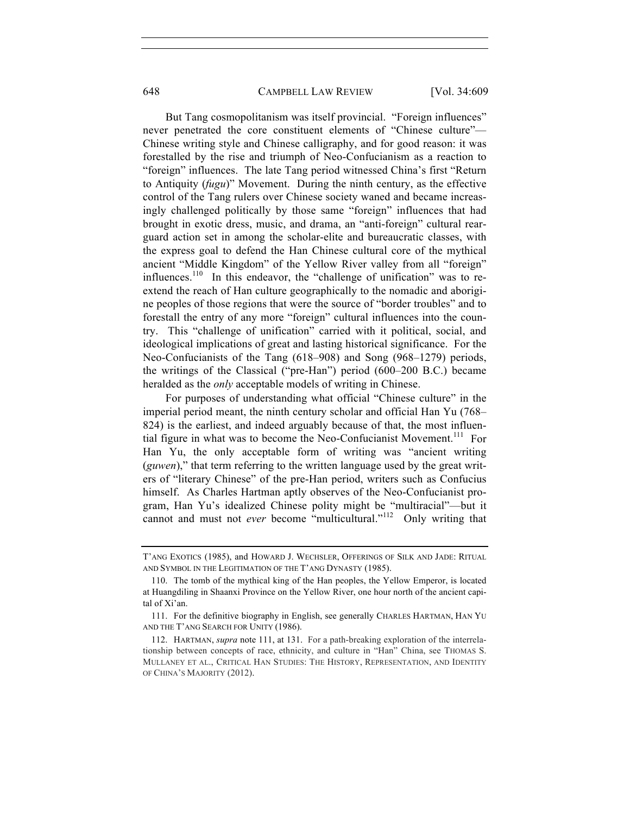648 CAMPBELL LAW REVIEW [Vol. 34:609]

But Tang cosmopolitanism was itself provincial. "Foreign influences" never penetrated the core constituent elements of "Chinese culture"— Chinese writing style and Chinese calligraphy, and for good reason: it was forestalled by the rise and triumph of Neo-Confucianism as a reaction to "foreign" influences. The late Tang period witnessed China's first "Return to Antiquity (*fugu*)" Movement. During the ninth century, as the effective control of the Tang rulers over Chinese society waned and became increasingly challenged politically by those same "foreign" influences that had brought in exotic dress, music, and drama, an "anti-foreign" cultural rearguard action set in among the scholar-elite and bureaucratic classes, with the express goal to defend the Han Chinese cultural core of the mythical ancient "Middle Kingdom" of the Yellow River valley from all "foreign" influences.<sup>110</sup> In this endeavor, the "challenge of unification" was to reextend the reach of Han culture geographically to the nomadic and aborigine peoples of those regions that were the source of "border troubles" and to forestall the entry of any more "foreign" cultural influences into the country. This "challenge of unification" carried with it political, social, and ideological implications of great and lasting historical significance. For the Neo-Confucianists of the Tang (618–908) and Song (968–1279) periods, the writings of the Classical ("pre-Han") period (600–200 B.C.) became heralded as the *only* acceptable models of writing in Chinese.

For purposes of understanding what official "Chinese culture" in the imperial period meant, the ninth century scholar and official Han Yu (768– 824) is the earliest, and indeed arguably because of that, the most influential figure in what was to become the Neo-Confucianist Movement.<sup>111</sup> For Han Yu, the only acceptable form of writing was "ancient writing (*guwen*)," that term referring to the written language used by the great writers of "literary Chinese" of the pre-Han period, writers such as Confucius himself. As Charles Hartman aptly observes of the Neo-Confucianist program, Han Yu's idealized Chinese polity might be "multiracial"—but it cannot and must not *ever* become "multicultural."<sup>112</sup> Only writing that

T'ANG EXOTICS (1985), and HOWARD J. WECHSLER, OFFERINGS OF SILK AND JADE: RITUAL AND SYMBOL IN THE LEGITIMATION OF THE T'ANG DYNASTY (1985).

<sup>110.</sup> The tomb of the mythical king of the Han peoples, the Yellow Emperor, is located at Huangdiling in Shaanxi Province on the Yellow River, one hour north of the ancient capital of Xi'an.

<sup>111.</sup> For the definitive biography in English, see generally CHARLES HARTMAN, HAN YU AND THE T'ANG SEARCH FOR UNITY (1986).

<sup>112.</sup> HARTMAN, *supra* note 111, at 131. For a path-breaking exploration of the interrelationship between concepts of race, ethnicity, and culture in "Han" China, see THOMAS S. MULLANEY ET AL., CRITICAL HAN STUDIES: THE HISTORY, REPRESENTATION, AND IDENTITY OF CHINA'S MAJORITY (2012).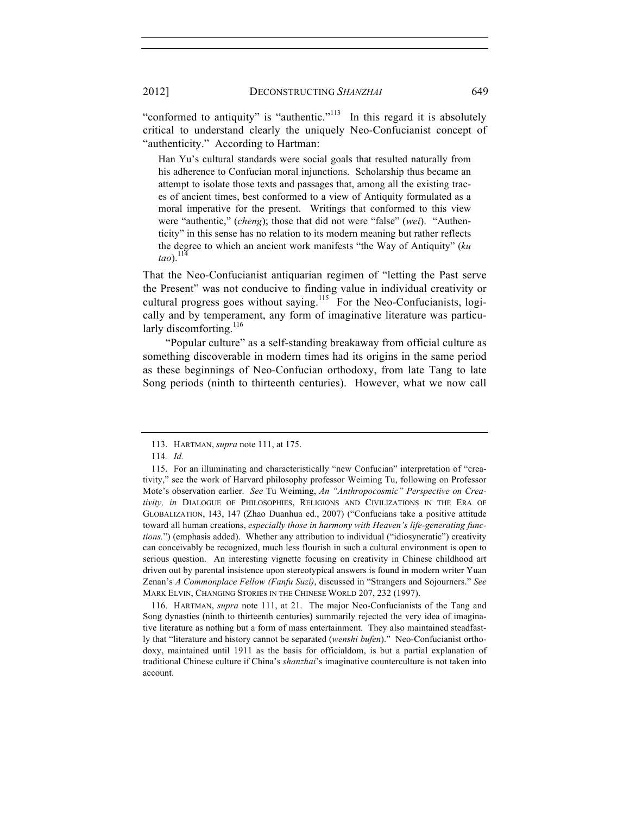"conformed to antiquity" is "authentic."<sup> $113$ </sup> In this regard it is absolutely critical to understand clearly the uniquely Neo-Confucianist concept of "authenticity." According to Hartman:

Han Yu's cultural standards were social goals that resulted naturally from his adherence to Confucian moral injunctions. Scholarship thus became an attempt to isolate those texts and passages that, among all the existing traces of ancient times, best conformed to a view of Antiquity formulated as a moral imperative for the present. Writings that conformed to this view were "authentic," (*cheng*); those that did not were "false" (*wei*). "Authenticity" in this sense has no relation to its modern meaning but rather reflects the degree to which an ancient work manifests "the Way of Antiquity" (*ku*   $tao$ ).<sup>1</sup>

That the Neo-Confucianist antiquarian regimen of "letting the Past serve the Present" was not conducive to finding value in individual creativity or cultural progress goes without saying.<sup>115</sup> For the Neo-Confucianists, logically and by temperament, any form of imaginative literature was particularly discomforting.<sup>116</sup>

"Popular culture" as a self-standing breakaway from official culture as something discoverable in modern times had its origins in the same period as these beginnings of Neo-Confucian orthodoxy, from late Tang to late Song periods (ninth to thirteenth centuries). However, what we now call

116. HARTMAN, *supra* note 111, at 21. The major Neo-Confucianists of the Tang and Song dynasties (ninth to thirteenth centuries) summarily rejected the very idea of imaginative literature as nothing but a form of mass entertainment. They also maintained steadfastly that "literature and history cannot be separated (*wenshi bufen*)." Neo-Confucianist orthodoxy, maintained until 1911 as the basis for officialdom, is but a partial explanation of traditional Chinese culture if China's *shanzhai*'s imaginative counterculture is not taken into account.

<sup>113.</sup> HARTMAN, *supra* note 111, at 175.

<sup>114</sup>*. Id.*

<sup>115.</sup> For an illuminating and characteristically "new Confucian" interpretation of "creativity," see the work of Harvard philosophy professor Weiming Tu, following on Professor Mote's observation earlier. *See* Tu Weiming, *An "Anthropocosmic" Perspective on Creativity, in* DIALOGUE OF PHILOSOPHIES, RELIGIONS AND CIVILIZATIONS IN THE ERA OF GLOBALIZATION, 143, 147 (Zhao Duanhua ed., 2007) ("Confucians take a positive attitude toward all human creations, *especially those in harmony with Heaven's life-generating functions.*") (emphasis added). Whether any attribution to individual ("idiosyncratic") creativity can conceivably be recognized, much less flourish in such a cultural environment is open to serious question. An interesting vignette focusing on creativity in Chinese childhood art driven out by parental insistence upon stereotypical answers is found in modern writer Yuan Zenan's *A Commonplace Fellow (Fanfu Suzi)*, discussed in "Strangers and Sojourners." *See*  MARK ELVIN, CHANGING STORIES IN THE CHINESE WORLD 207, 232 (1997).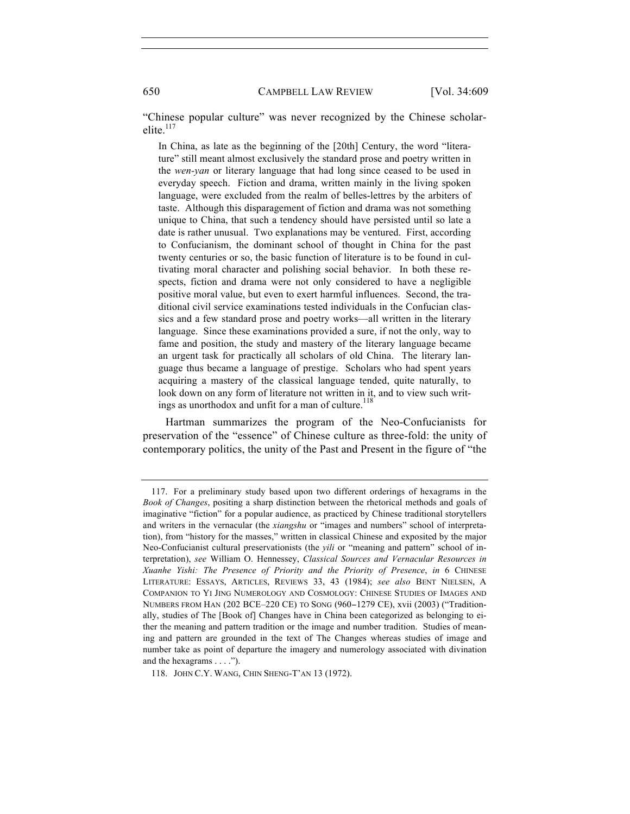"Chinese popular culture" was never recognized by the Chinese scholarelite. $117$ 

In China, as late as the beginning of the [20th] Century, the word "literature" still meant almost exclusively the standard prose and poetry written in the *wen-yan* or literary language that had long since ceased to be used in everyday speech. Fiction and drama, written mainly in the living spoken language, were excluded from the realm of belles-lettres by the arbiters of taste. Although this disparagement of fiction and drama was not something unique to China, that such a tendency should have persisted until so late a date is rather unusual. Two explanations may be ventured. First, according to Confucianism, the dominant school of thought in China for the past twenty centuries or so, the basic function of literature is to be found in cultivating moral character and polishing social behavior. In both these respects, fiction and drama were not only considered to have a negligible positive moral value, but even to exert harmful influences. Second, the traditional civil service examinations tested individuals in the Confucian classics and a few standard prose and poetry works—all written in the literary language. Since these examinations provided a sure, if not the only, way to fame and position, the study and mastery of the literary language became an urgent task for practically all scholars of old China. The literary language thus became a language of prestige. Scholars who had spent years acquiring a mastery of the classical language tended, quite naturally, to look down on any form of literature not written in it, and to view such writings as unorthodox and unfit for a man of culture.<sup>118</sup>

Hartman summarizes the program of the Neo-Confucianists for preservation of the "essence" of Chinese culture as three-fold: the unity of contemporary politics, the unity of the Past and Present in the figure of "the

<sup>117.</sup> For a preliminary study based upon two different orderings of hexagrams in the *Book of Changes*, positing a sharp distinction between the rhetorical methods and goals of imaginative "fiction" for a popular audience, as practiced by Chinese traditional storytellers and writers in the vernacular (the *xiangshu* or "images and numbers" school of interpretation), from "history for the masses," written in classical Chinese and exposited by the major Neo-Confucianist cultural preservationists (the *yili* or "meaning and pattern" school of interpretation), *see* William O. Hennessey, *Classical Sources and Vernacular Resources in Xuanhe Yishi: The Presence of Priority and the Priority of Presence*, *in* 6 CHINESE LITERATURE: ESSAYS, ARTICLES, REVIEWS 33, 43 (1984); *see also* BENT NIELSEN, A COMPANION TO YI JING NUMEROLOGY AND COSMOLOGY: CHINESE STUDIES OF IMAGES AND NUMBERS FROM HAN (202 BCE–220 CE) TO SONG (960−1279 CE), xvii (2003) ("Traditionally, studies of The [Book of] Changes have in China been categorized as belonging to either the meaning and pattern tradition or the image and number tradition. Studies of meaning and pattern are grounded in the text of The Changes whereas studies of image and number take as point of departure the imagery and numerology associated with divination and the hexagrams . . . .").

<sup>118.</sup> JOHN C.Y. WANG, CHIN SHENG-T'AN 13 (1972).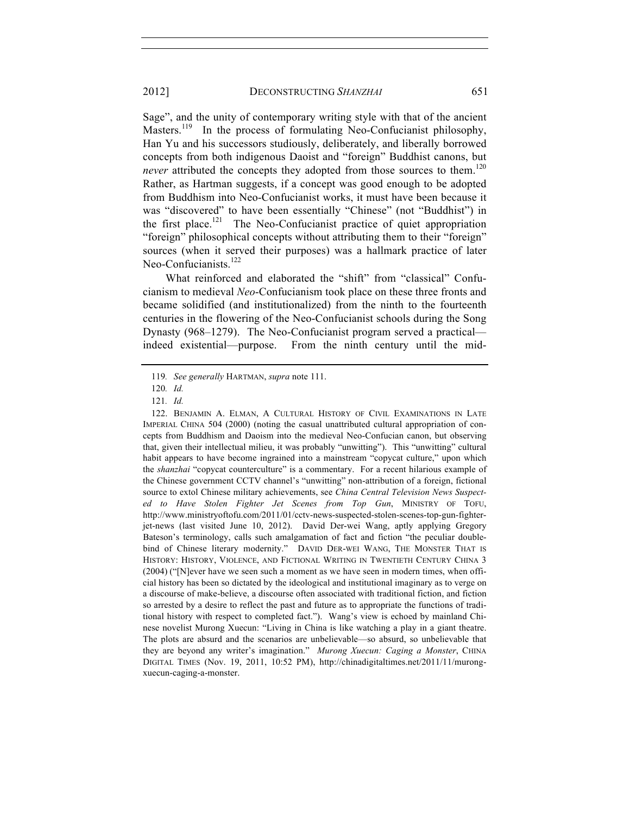Sage", and the unity of contemporary writing style with that of the ancient Masters.<sup>119</sup> In the process of formulating Neo-Confucianist philosophy, Han Yu and his successors studiously, deliberately, and liberally borrowed concepts from both indigenous Daoist and "foreign" Buddhist canons, but

*never* attributed the concepts they adopted from those sources to them.<sup>120</sup> Rather, as Hartman suggests, if a concept was good enough to be adopted from Buddhism into Neo-Confucianist works, it must have been because it was "discovered" to have been essentially "Chinese" (not "Buddhist") in the first place.<sup>121</sup> The Neo-Confucianist practice of quiet appropriation "foreign" philosophical concepts without attributing them to their "foreign" sources (when it served their purposes) was a hallmark practice of later Neo-Confucianists.<sup>122</sup>

What reinforced and elaborated the "shift" from "classical" Confucianism to medieval *Neo*-Confucianism took place on these three fronts and became solidified (and institutionalized) from the ninth to the fourteenth centuries in the flowering of the Neo-Confucianist schools during the Song Dynasty (968–1279). The Neo-Confucianist program served a practical indeed existential—purpose. From the ninth century until the mid-

<sup>119</sup>*. See generally* HARTMAN, *supra* note 111.

<sup>120</sup>*. Id.*

<sup>121</sup>*. Id.*

<sup>122.</sup> BENJAMIN A. ELMAN, A CULTURAL HISTORY OF CIVIL EXAMINATIONS IN LATE IMPERIAL CHINA 504 (2000) (noting the casual unattributed cultural appropriation of concepts from Buddhism and Daoism into the medieval Neo-Confucian canon, but observing that, given their intellectual milieu, it was probably "unwitting"). This "unwitting" cultural habit appears to have become ingrained into a mainstream "copycat culture," upon which the *shanzhai* "copycat counterculture" is a commentary. For a recent hilarious example of the Chinese government CCTV channel's "unwitting" non-attribution of a foreign, fictional source to extol Chinese military achievements, see *China Central Television News Suspected to Have Stolen Fighter Jet Scenes from Top Gun*, MINISTRY OF TOFU, http://www.ministryoftofu.com/2011/01/cctv-news-suspected-stolen-scenes-top-gun-fighterjet-news (last visited June 10, 2012). David Der-wei Wang, aptly applying Gregory Bateson's terminology, calls such amalgamation of fact and fiction "the peculiar doublebind of Chinese literary modernity." DAVID DER-WEI WANG, THE MONSTER THAT IS HISTORY: HISTORY, VIOLENCE, AND FICTIONAL WRITING IN TWENTIETH CENTURY CHINA 3 (2004) ("[N]ever have we seen such a moment as we have seen in modern times, when official history has been so dictated by the ideological and institutional imaginary as to verge on a discourse of make-believe, a discourse often associated with traditional fiction, and fiction so arrested by a desire to reflect the past and future as to appropriate the functions of traditional history with respect to completed fact."). Wang's view is echoed by mainland Chinese novelist Murong Xuecun: "Living in China is like watching a play in a giant theatre. The plots are absurd and the scenarios are unbelievable—so absurd, so unbelievable that they are beyond any writer's imagination." *Murong Xuecun: Caging a Monster*, CHINA DIGITAL TIMES (Nov. 19, 2011, 10:52 PM), http://chinadigitaltimes.net/2011/11/murongxuecun-caging-a-monster.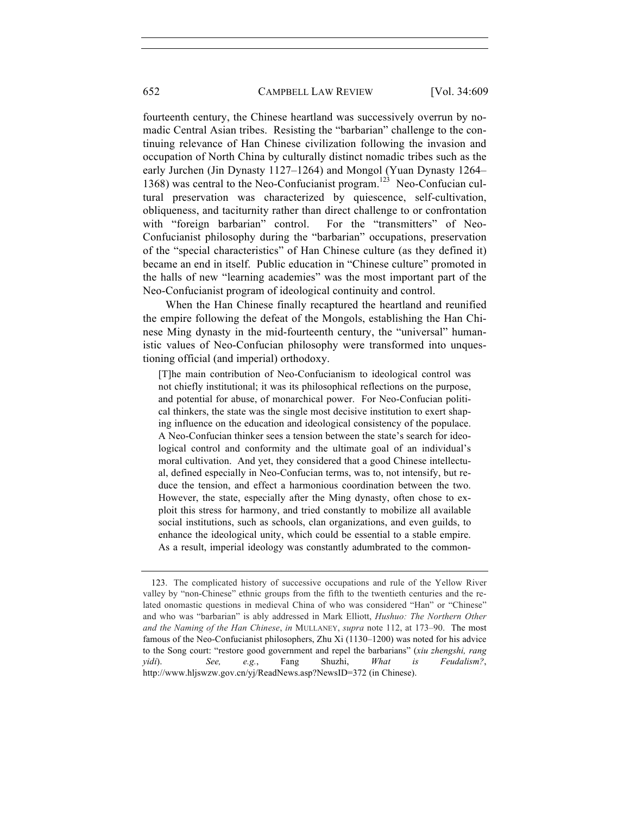### 652 CAMPBELL LAW REVIEW [Vol. 34:609

fourteenth century, the Chinese heartland was successively overrun by nomadic Central Asian tribes. Resisting the "barbarian" challenge to the continuing relevance of Han Chinese civilization following the invasion and occupation of North China by culturally distinct nomadic tribes such as the early Jurchen (Jin Dynasty 1127–1264) and Mongol (Yuan Dynasty 1264– 1368) was central to the Neo-Confucianist program.<sup>123</sup> Neo-Confucian cultural preservation was characterized by quiescence, self-cultivation, obliqueness, and taciturnity rather than direct challenge to or confrontation with "foreign barbarian" control. For the "transmitters" of Neo-Confucianist philosophy during the "barbarian" occupations, preservation of the "special characteristics" of Han Chinese culture (as they defined it) became an end in itself. Public education in "Chinese culture" promoted in the halls of new "learning academies" was the most important part of the Neo-Confucianist program of ideological continuity and control.

When the Han Chinese finally recaptured the heartland and reunified the empire following the defeat of the Mongols, establishing the Han Chinese Ming dynasty in the mid-fourteenth century, the "universal" humanistic values of Neo-Confucian philosophy were transformed into unquestioning official (and imperial) orthodoxy.

[T]he main contribution of Neo-Confucianism to ideological control was not chiefly institutional; it was its philosophical reflections on the purpose, and potential for abuse, of monarchical power. For Neo-Confucian political thinkers, the state was the single most decisive institution to exert shaping influence on the education and ideological consistency of the populace. A Neo-Confucian thinker sees a tension between the state's search for ideological control and conformity and the ultimate goal of an individual's moral cultivation. And yet, they considered that a good Chinese intellectual, defined especially in Neo-Confucian terms, was to, not intensify, but reduce the tension, and effect a harmonious coordination between the two. However, the state, especially after the Ming dynasty, often chose to exploit this stress for harmony, and tried constantly to mobilize all available social institutions, such as schools, clan organizations, and even guilds, to enhance the ideological unity, which could be essential to a stable empire. As a result, imperial ideology was constantly adumbrated to the common-

<sup>123.</sup> The complicated history of successive occupations and rule of the Yellow River valley by "non-Chinese" ethnic groups from the fifth to the twentieth centuries and the related onomastic questions in medieval China of who was considered "Han" or "Chinese" and who was "barbarian" is ably addressed in Mark Elliott, *Hushuo: The Northern Other and the Naming of the Han Chinese*, *in* MULLANEY, *supra* note 112, at 173–90. The most famous of the Neo-Confucianist philosophers, Zhu Xi (1130–1200) was noted for his advice to the Song court: "restore good government and repel the barbarians" (*xiu zhengshi, rang yidi*). *See, e.g.*, Fang Shuzhi, *What is Feudalism?*, http://www.hljswzw.gov.cn/yj/ReadNews.asp?NewsID=372 (in Chinese).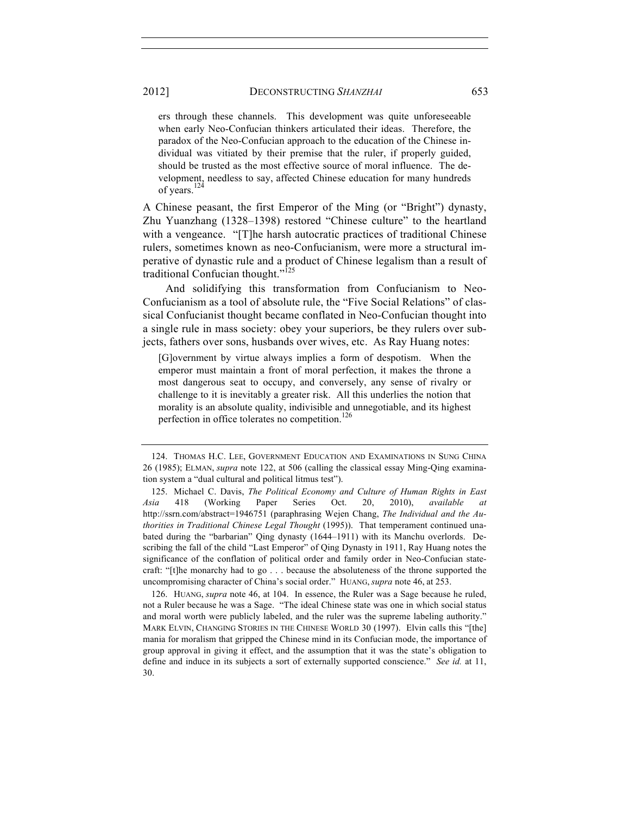ers through these channels. This development was quite unforeseeable when early Neo-Confucian thinkers articulated their ideas. Therefore, the paradox of the Neo-Confucian approach to the education of the Chinese individual was vitiated by their premise that the ruler, if properly guided, should be trusted as the most effective source of moral influence. The development, needless to say, affected Chinese education for many hundreds of years.<sup>124</sup>

A Chinese peasant, the first Emperor of the Ming (or "Bright") dynasty, Zhu Yuanzhang (1328–1398) restored "Chinese culture" to the heartland with a vengeance. "[T]he harsh autocratic practices of traditional Chinese rulers, sometimes known as neo-Confucianism, were more a structural imperative of dynastic rule and a product of Chinese legalism than a result of traditional Confucian thought."<sup>125</sup>

And solidifying this transformation from Confucianism to Neo-Confucianism as a tool of absolute rule, the "Five Social Relations" of classical Confucianist thought became conflated in Neo-Confucian thought into a single rule in mass society: obey your superiors, be they rulers over subjects, fathers over sons, husbands over wives, etc. As Ray Huang notes:

[G]overnment by virtue always implies a form of despotism. When the emperor must maintain a front of moral perfection, it makes the throne a most dangerous seat to occupy, and conversely, any sense of rivalry or challenge to it is inevitably a greater risk. All this underlies the notion that morality is an absolute quality, indivisible and unnegotiable, and its highest perfection in office tolerates no competition.

126. HUANG, *supra* note 46, at 104. In essence, the Ruler was a Sage because he ruled, not a Ruler because he was a Sage. "The ideal Chinese state was one in which social status and moral worth were publicly labeled, and the ruler was the supreme labeling authority." MARK ELVIN, CHANGING STORIES IN THE CHINESE WORLD 30 (1997). Elvin calls this "[the] mania for moralism that gripped the Chinese mind in its Confucian mode, the importance of group approval in giving it effect, and the assumption that it was the state's obligation to define and induce in its subjects a sort of externally supported conscience." *See id.* at 11, 30.

<sup>124.</sup> THOMAS H.C. LEE, GOVERNMENT EDUCATION AND EXAMINATIONS IN SUNG CHINA 26 (1985); ELMAN, *supra* note 122, at 506 (calling the classical essay Ming-Qing examination system a "dual cultural and political litmus test").

<sup>125.</sup> Michael C. Davis, *The Political Economy and Culture of Human Rights in East Asia* 418 (Working Paper Series Oct. 20, 2010), *available at* http://ssrn.com/abstract=1946751 (paraphrasing Wejen Chang, *The Individual and the Authorities in Traditional Chinese Legal Thought* (1995)). That temperament continued unabated during the "barbarian" Qing dynasty (1644–1911) with its Manchu overlords. Describing the fall of the child "Last Emperor" of Qing Dynasty in 1911, Ray Huang notes the significance of the conflation of political order and family order in Neo-Confucian statecraft: "[t]he monarchy had to go . . . because the absoluteness of the throne supported the uncompromising character of China's social order." HUANG, *supra* note 46, at 253.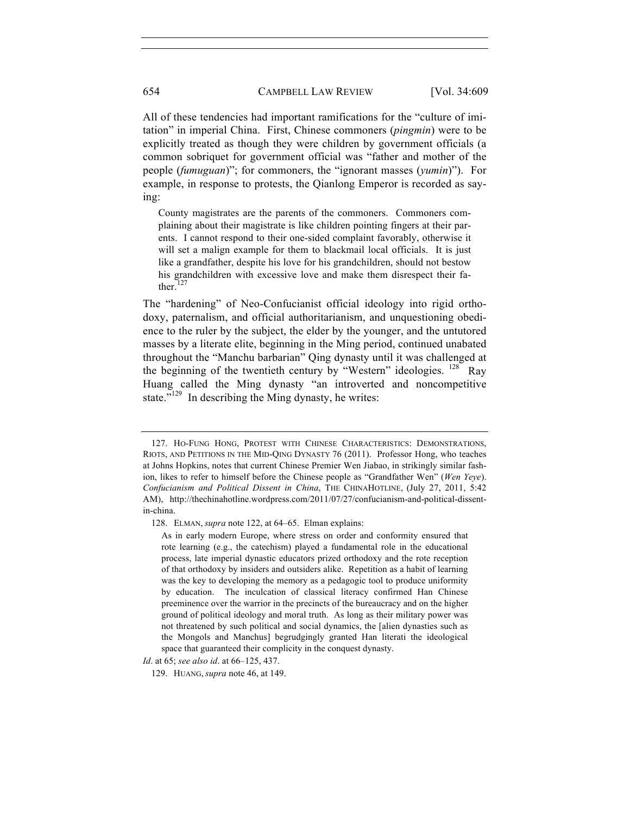All of these tendencies had important ramifications for the "culture of imitation" in imperial China. First, Chinese commoners (*pingmin*) were to be explicitly treated as though they were children by government officials (a common sobriquet for government official was "father and mother of the people (*fumuguan*)"; for commoners, the "ignorant masses (*yumin*)").For example, in response to protests, the Qianlong Emperor is recorded as saying:

County magistrates are the parents of the commoners. Commoners complaining about their magistrate is like children pointing fingers at their parents. I cannot respond to their one-sided complaint favorably, otherwise it will set a malign example for them to blackmail local officials. It is just like a grandfather, despite his love for his grandchildren, should not bestow his grandchildren with excessive love and make them disrespect their father. $^{127}$ 

The "hardening" of Neo-Confucianist official ideology into rigid orthodoxy, paternalism, and official authoritarianism, and unquestioning obedience to the ruler by the subject, the elder by the younger, and the untutored masses by a literate elite, beginning in the Ming period, continued unabated throughout the "Manchu barbarian" Qing dynasty until it was challenged at the beginning of the twentieth century by "Western" ideologies.  $^{128}$  Ray Huang called the Ming dynasty "an introverted and noncompetitive state."<sup>129</sup> In describing the Ming dynasty, he writes:

<sup>127.</sup> HO-FUNG HONG, PROTEST WITH CHINESE CHARACTERISTICS: DEMONSTRATIONS, RIOTS, AND PETITIONS IN THE MID-QING DYNASTY 76 (2011). Professor Hong, who teaches at Johns Hopkins, notes that current Chinese Premier Wen Jiabao, in strikingly similar fashion, likes to refer to himself before the Chinese people as "Grandfather Wen" (*Wen Yeye*). *Confucianism and Political Dissent in China*, THE CHINAHOTLINE, (July 27, 2011, 5:42 AM), http://thechinahotline.wordpress.com/2011/07/27/confucianism-and-political-dissentin-china.

<sup>128.</sup> ELMAN, *supra* note 122, at 64–65. Elman explains:

As in early modern Europe, where stress on order and conformity ensured that rote learning (e.g., the catechism) played a fundamental role in the educational process, late imperial dynastic educators prized orthodoxy and the rote reception of that orthodoxy by insiders and outsiders alike. Repetition as a habit of learning was the key to developing the memory as a pedagogic tool to produce uniformity by education. The inculcation of classical literacy confirmed Han Chinese preeminence over the warrior in the precincts of the bureaucracy and on the higher ground of political ideology and moral truth. As long as their military power was not threatened by such political and social dynamics, the [alien dynasties such as the Mongols and Manchus] begrudgingly granted Han literati the ideological space that guaranteed their complicity in the conquest dynasty.

*Id*. at 65; *see also id*. at 66–125, 437.

<sup>129.</sup> HUANG, *supra* note 46, at 149.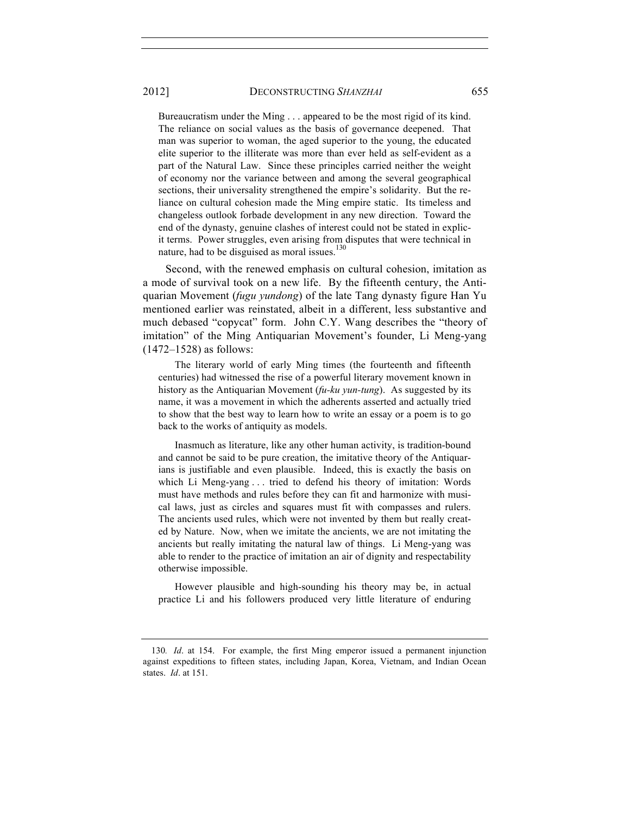Bureaucratism under the Ming . . . appeared to be the most rigid of its kind. The reliance on social values as the basis of governance deepened. That man was superior to woman, the aged superior to the young, the educated elite superior to the illiterate was more than ever held as self-evident as a part of the Natural Law. Since these principles carried neither the weight of economy nor the variance between and among the several geographical sections, their universality strengthened the empire's solidarity. But the reliance on cultural cohesion made the Ming empire static. Its timeless and changeless outlook forbade development in any new direction. Toward the end of the dynasty, genuine clashes of interest could not be stated in explicit terms. Power struggles, even arising from disputes that were technical in nature, had to be disguised as moral issues. $130$ 

Second, with the renewed emphasis on cultural cohesion, imitation as a mode of survival took on a new life. By the fifteenth century, the Antiquarian Movement (*fugu yundong*) of the late Tang dynasty figure Han Yu mentioned earlier was reinstated, albeit in a different, less substantive and much debased "copycat" form. John C.Y. Wang describes the "theory of imitation" of the Ming Antiquarian Movement's founder, Li Meng-yang (1472–1528) as follows:

 The literary world of early Ming times (the fourteenth and fifteenth centuries) had witnessed the rise of a powerful literary movement known in history as the Antiquarian Movement (*fu-ku yun-tung*). As suggested by its name, it was a movement in which the adherents asserted and actually tried to show that the best way to learn how to write an essay or a poem is to go back to the works of antiquity as models.

 Inasmuch as literature, like any other human activity, is tradition-bound and cannot be said to be pure creation, the imitative theory of the Antiquarians is justifiable and even plausible. Indeed, this is exactly the basis on which Li Meng-yang . . . tried to defend his theory of imitation: Words must have methods and rules before they can fit and harmonize with musical laws, just as circles and squares must fit with compasses and rulers. The ancients used rules, which were not invented by them but really created by Nature. Now, when we imitate the ancients, we are not imitating the ancients but really imitating the natural law of things. Li Meng-yang was able to render to the practice of imitation an air of dignity and respectability otherwise impossible.

 However plausible and high-sounding his theory may be, in actual practice Li and his followers produced very little literature of enduring

<sup>130</sup>*. Id*. at 154. For example, the first Ming emperor issued a permanent injunction against expeditions to fifteen states, including Japan, Korea, Vietnam, and Indian Ocean states. *Id*. at 151.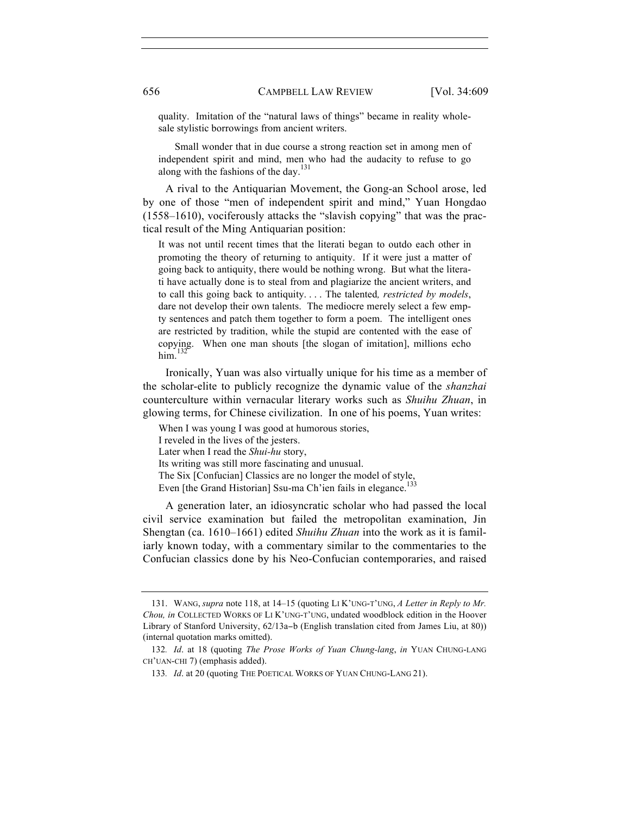quality. Imitation of the "natural laws of things" became in reality wholesale stylistic borrowings from ancient writers.

 Small wonder that in due course a strong reaction set in among men of independent spirit and mind, men who had the audacity to refuse to go along with the fashions of the day.<sup>131</sup>

A rival to the Antiquarian Movement, the Gong-an School arose, led by one of those "men of independent spirit and mind," Yuan Hongdao (1558–1610), vociferously attacks the "slavish copying" that was the practical result of the Ming Antiquarian position:

It was not until recent times that the literati began to outdo each other in promoting the theory of returning to antiquity. If it were just a matter of going back to antiquity, there would be nothing wrong. But what the literati have actually done is to steal from and plagiarize the ancient writers, and to call this going back to antiquity. . . . The talented*, restricted by models*, dare not develop their own talents. The mediocre merely select a few empty sentences and patch them together to form a poem. The intelligent ones are restricted by tradition, while the stupid are contented with the ease of copying. When one man shouts [the slogan of imitation], millions echo him. $132$ 

Ironically, Yuan was also virtually unique for his time as a member of the scholar-elite to publicly recognize the dynamic value of the *shanzhai*  counterculture within vernacular literary works such as *Shuihu Zhuan*, in glowing terms, for Chinese civilization. In one of his poems, Yuan writes:

When I was young I was good at humorous stories, I reveled in the lives of the jesters. Later when I read the *Shui-hu* story, Its writing was still more fascinating and unusual. The Six [Confucian] Classics are no longer the model of style, Even [the Grand Historian] Ssu-ma Ch'ien fails in elegance.<sup>133</sup>

A generation later, an idiosyncratic scholar who had passed the local civil service examination but failed the metropolitan examination, Jin Shengtan (ca. 1610–1661) edited *Shuihu Zhuan* into the work as it is familiarly known today, with a commentary similar to the commentaries to the Confucian classics done by his Neo-Confucian contemporaries, and raised

<sup>131.</sup> WANG, *supra* note 118, at 14–15 (quoting LI K'UNG-T'UNG, *A Letter in Reply to Mr. Chou, in* COLLECTED WORKS OF LI K'UNG-T'UNG, undated woodblock edition in the Hoover Library of Stanford University, 62/13a−b (English translation cited from James Liu, at 80)) (internal quotation marks omitted).

<sup>132</sup>*. Id*. at 18 (quoting *The Prose Works of Yuan Chung-lang*, *in* YUAN CHUNG-LANG CH'UAN-CHI 7) (emphasis added).

<sup>133</sup>*. Id*. at 20 (quoting THE POETICAL WORKS OF YUAN CHUNG-LANG 21).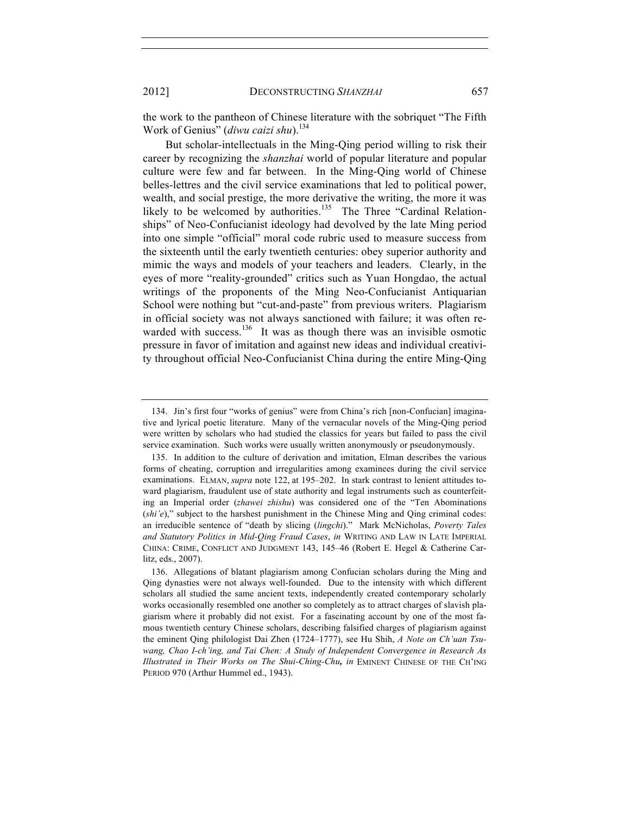the work to the pantheon of Chinese literature with the sobriquet "The Fifth Work of Genius" (diwu caizi shu).<sup>134</sup>

But scholar-intellectuals in the Ming-Qing period willing to risk their career by recognizing the *shanzhai* world of popular literature and popular culture were few and far between. In the Ming-Qing world of Chinese belles-lettres and the civil service examinations that led to political power, wealth, and social prestige, the more derivative the writing, the more it was likely to be welcomed by authorities.<sup>135</sup> The Three "Cardinal Relationships" of Neo-Confucianist ideology had devolved by the late Ming period into one simple "official" moral code rubric used to measure success from the sixteenth until the early twentieth centuries: obey superior authority and mimic the ways and models of your teachers and leaders. Clearly, in the eyes of more "reality-grounded" critics such as Yuan Hongdao, the actual writings of the proponents of the Ming Neo-Confucianist Antiquarian School were nothing but "cut-and-paste" from previous writers. Plagiarism in official society was not always sanctioned with failure; it was often rewarded with success.<sup>136</sup> It was as though there was an invisible osmotic pressure in favor of imitation and against new ideas and individual creativity throughout official Neo-Confucianist China during the entire Ming-Qing

<sup>134.</sup> Jin's first four "works of genius" were from China's rich [non-Confucian] imaginative and lyrical poetic literature. Many of the vernacular novels of the Ming-Qing period were written by scholars who had studied the classics for years but failed to pass the civil service examination. Such works were usually written anonymously or pseudonymously.

<sup>135.</sup> In addition to the culture of derivation and imitation, Elman describes the various forms of cheating, corruption and irregularities among examinees during the civil service examinations. ELMAN, *supra* note 122, at 195–202. In stark contrast to lenient attitudes toward plagiarism, fraudulent use of state authority and legal instruments such as counterfeiting an Imperial order (*zhawei zhishu*) was considered one of the "Ten Abominations (*shi'e*)," subject to the harshest punishment in the Chinese Ming and Qing criminal codes: an irreducible sentence of "death by slicing (*lingchi*)." Mark McNicholas, *Poverty Tales and Statutory Politics in Mid-Qing Fraud Cases*, *in* WRITING AND LAW IN LATE IMPERIAL CHINA: CRIME, CONFLICT AND JUDGMENT 143, 145–46 (Robert E. Hegel & Catherine Carlitz, eds., 2007).

<sup>136.</sup> Allegations of blatant plagiarism among Confucian scholars during the Ming and Qing dynasties were not always well-founded. Due to the intensity with which different scholars all studied the same ancient texts, independently created contemporary scholarly works occasionally resembled one another so completely as to attract charges of slavish plagiarism where it probably did not exist. For a fascinating account by one of the most famous twentieth century Chinese scholars, describing falsified charges of plagiarism against the eminent Qing philologist Dai Zhen (1724–1777), see Hu Shih, *A Note on Ch'uan Tsuwang, Chao I-ch'ing, and Tai Chen: A Study of Independent Convergence in Research As Illustrated in Their Works on The Shui-Ching-Chu, in* EMINENT CHINESE OF THE CH'ING PERIOD 970 (Arthur Hummel ed., 1943).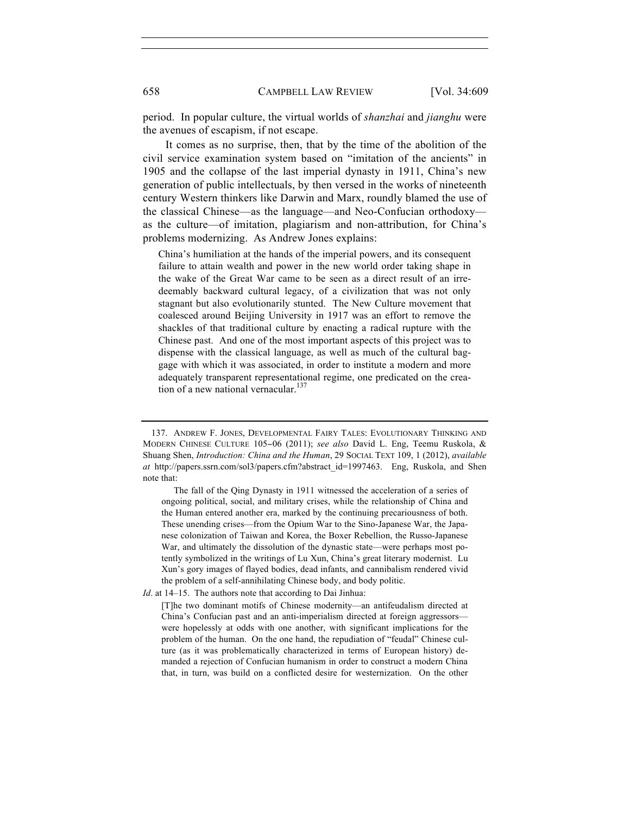period. In popular culture, the virtual worlds of *shanzhai* and *jianghu* were the avenues of escapism, if not escape.

It comes as no surprise, then, that by the time of the abolition of the civil service examination system based on "imitation of the ancients" in 1905 and the collapse of the last imperial dynasty in 1911, China's new generation of public intellectuals, by then versed in the works of nineteenth century Western thinkers like Darwin and Marx, roundly blamed the use of the classical Chinese—as the language—and Neo-Confucian orthodoxy as the culture—of imitation, plagiarism and non-attribution, for China's problems modernizing. As Andrew Jones explains:

China's humiliation at the hands of the imperial powers, and its consequent failure to attain wealth and power in the new world order taking shape in the wake of the Great War came to be seen as a direct result of an irredeemably backward cultural legacy, of a civilization that was not only stagnant but also evolutionarily stunted. The New Culture movement that coalesced around Beijing University in 1917 was an effort to remove the shackles of that traditional culture by enacting a radical rupture with the Chinese past. And one of the most important aspects of this project was to dispense with the classical language, as well as much of the cultural baggage with which it was associated, in order to institute a modern and more adequately transparent representational regime, one predicated on the creation of a new national vernacular.<sup>137</sup>

 The fall of the Qing Dynasty in 1911 witnessed the acceleration of a series of ongoing political, social, and military crises, while the relationship of China and the Human entered another era, marked by the continuing precariousness of both. These unending crises—from the Opium War to the Sino-Japanese War, the Japanese colonization of Taiwan and Korea, the Boxer Rebellion, the Russo-Japanese War, and ultimately the dissolution of the dynastic state—were perhaps most potently symbolized in the writings of Lu Xun, China's great literary modernist. Lu Xun's gory images of flayed bodies, dead infants, and cannibalism rendered vivid the problem of a self-annihilating Chinese body, and body politic.

*Id*. at 14–15. The authors note that according to Dai Jinhua:

[T]he two dominant motifs of Chinese modernity—an antifeudalism directed at China's Confucian past and an anti-imperialism directed at foreign aggressors were hopelessly at odds with one another, with significant implications for the problem of the human. On the one hand, the repudiation of "feudal" Chinese culture (as it was problematically characterized in terms of European history) demanded a rejection of Confucian humanism in order to construct a modern China that, in turn, was build on a conflicted desire for westernization. On the other

<sup>137.</sup> ANDREW F. JONES, DEVELOPMENTAL FAIRY TALES: EVOLUTIONARY THINKING AND MODERN CHINESE CULTURE 105−06 (2011); *see also* David L. Eng, Teemu Ruskola, & Shuang Shen, *Introduction: China and the Human*, 29 SOCIAL TEXT 109, 1 (2012), *available at* http://papers.ssrn.com/sol3/papers.cfm?abstract\_id=1997463. Eng, Ruskola, and Shen note that: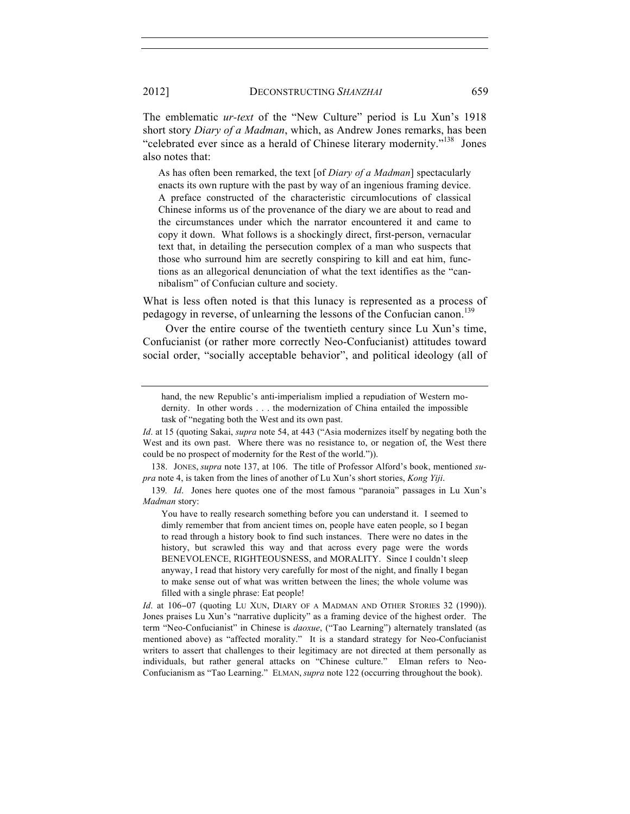The emblematic *ur-text* of the "New Culture" period is Lu Xun's 1918 short story *Diary of a Madman*, which, as Andrew Jones remarks, has been "celebrated ever since as a herald of Chinese literary modernity."<sup>138</sup> Jones also notes that:

As has often been remarked, the text [of *Diary of a Madman*] spectacularly enacts its own rupture with the past by way of an ingenious framing device. A preface constructed of the characteristic circumlocutions of classical Chinese informs us of the provenance of the diary we are about to read and the circumstances under which the narrator encountered it and came to copy it down. What follows is a shockingly direct, first-person, vernacular text that, in detailing the persecution complex of a man who suspects that those who surround him are secretly conspiring to kill and eat him, functions as an allegorical denunciation of what the text identifies as the "cannibalism" of Confucian culture and society.

What is less often noted is that this lunacy is represented as a process of pedagogy in reverse, of unlearning the lessons of the Confucian canon.<sup>139</sup>

Over the entire course of the twentieth century since Lu Xun's time, Confucianist (or rather more correctly Neo-Confucianist) attitudes toward social order, "socially acceptable behavior", and political ideology (all of

138. JONES, *supra* note 137, at 106. The title of Professor Alford's book, mentioned *supra* note 4, is taken from the lines of another of Lu Xun's short stories, *Kong Yiji*.

139*. Id*. Jones here quotes one of the most famous "paranoia" passages in Lu Xun's *Madman* story:

You have to really research something before you can understand it. I seemed to dimly remember that from ancient times on, people have eaten people, so I began to read through a history book to find such instances. There were no dates in the history, but scrawled this way and that across every page were the words BENEVOLENCE, RIGHTEOUSNESS, and MORALITY. Since I couldn't sleep anyway, I read that history very carefully for most of the night, and finally I began to make sense out of what was written between the lines; the whole volume was filled with a single phrase: Eat people!

*Id*. at 106−07 (quoting LU XUN, DIARY OF A MADMAN AND OTHER STORIES 32 (1990)). Jones praises Lu Xun's "narrative duplicity" as a framing device of the highest order. The term "Neo-Confucianist" in Chinese is *daoxue*, ("Tao Learning") alternately translated (as mentioned above) as "affected morality." It is a standard strategy for Neo-Confucianist writers to assert that challenges to their legitimacy are not directed at them personally as individuals, but rather general attacks on "Chinese culture." Elman refers to Neo-Confucianism as "Tao Learning." ELMAN, *supra* note 122 (occurring throughout the book).

hand, the new Republic's anti-imperialism implied a repudiation of Western modernity. In other words . . . the modernization of China entailed the impossible task of "negating both the West and its own past.

*Id*. at 15 (quoting Sakai, *supra* note 54, at 443 ("Asia modernizes itself by negating both the West and its own past. Where there was no resistance to, or negation of, the West there could be no prospect of modernity for the Rest of the world.")).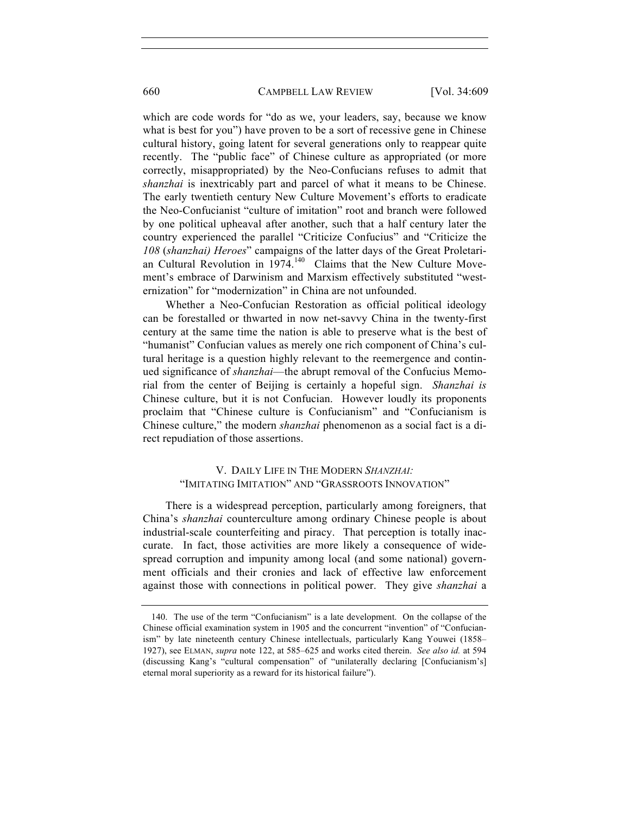### 660 CAMPBELL LAW REVIEW [Vol. 34:609

which are code words for "do as we, your leaders, say, because we know what is best for you") have proven to be a sort of recessive gene in Chinese cultural history, going latent for several generations only to reappear quite recently. The "public face" of Chinese culture as appropriated (or more correctly, misappropriated) by the Neo-Confucians refuses to admit that *shanzhai* is inextricably part and parcel of what it means to be Chinese. The early twentieth century New Culture Movement's efforts to eradicate the Neo-Confucianist "culture of imitation" root and branch were followed by one political upheaval after another, such that a half century later the country experienced the parallel "Criticize Confucius" and "Criticize the *108* (*shanzhai) Heroes*" campaigns of the latter days of the Great Proletarian Cultural Revolution in 1974.<sup>140</sup> Claims that the New Culture Movement's embrace of Darwinism and Marxism effectively substituted "westernization" for "modernization" in China are not unfounded.

Whether a Neo-Confucian Restoration as official political ideology can be forestalled or thwarted in now net-savvy China in the twenty-first century at the same time the nation is able to preserve what is the best of "humanist" Confucian values as merely one rich component of China's cultural heritage is a question highly relevant to the reemergence and continued significance of *shanzhai*—the abrupt removal of the Confucius Memorial from the center of Beijing is certainly a hopeful sign. *Shanzhai is* Chinese culture, but it is not Confucian. However loudly its proponents proclaim that "Chinese culture is Confucianism" and "Confucianism is Chinese culture," the modern *shanzhai* phenomenon as a social fact is a direct repudiation of those assertions.

# V. DAILY LIFE IN THE MODERN *SHANZHAI:*  "IMITATING IMITATION" AND "GRASSROOTS INNOVATION"

There is a widespread perception, particularly among foreigners, that China's *shanzhai* counterculture among ordinary Chinese people is about industrial-scale counterfeiting and piracy. That perception is totally inaccurate. In fact, those activities are more likely a consequence of widespread corruption and impunity among local (and some national) government officials and their cronies and lack of effective law enforcement against those with connections in political power. They give *shanzhai* a

<sup>140.</sup> The use of the term "Confucianism" is a late development. On the collapse of the Chinese official examination system in 1905 and the concurrent "invention" of "Confucianism" by late nineteenth century Chinese intellectuals, particularly Kang Youwei (1858– 1927), see ELMAN, *supra* note 122, at 585–625 and works cited therein. *See also id.* at 594 (discussing Kang's "cultural compensation" of "unilaterally declaring [Confucianism's] eternal moral superiority as a reward for its historical failure").